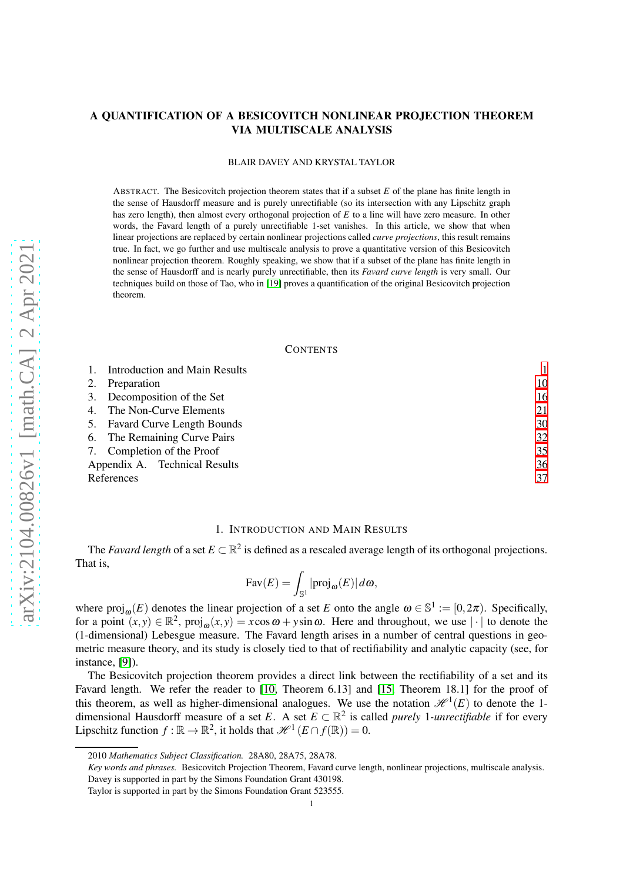# A QUANTIFICATION OF A BESICOVITCH NONLINEAR PROJECTION THEOREM VIA MULTISCALE ANALYSIS

#### BLAIR DAVEY AND KRYSTAL TAYLOR

ABSTRACT. The Besicovitch projection theorem states that if a subset *E* of the plane has finite length in the sense of Hausdorff measure and is purely unrectifiable (so its intersection with any Lipschitz graph has zero length), then almost every orthogonal projection of *E* to a line will have zero measure. In other words, the Favard length of a purely unrectifiable 1-set vanishes. In this article, we show that when linear projections are replaced by certain nonlinear projections called *curve projections*, this result remains true. In fact, we go further and use multiscale analysis to prove a quantitative version of this Besicovitch nonlinear projection theorem. Roughly speaking, we show that if a subset of the plane has finite length in the sense of Hausdorff and is nearly purely unrectifiable, then its *Favard curve length* is very small. Our techniques build on those of Tao, who in [\[19\]](#page-36-0) proves a quantification of the original Besicovitch projection theorem.

## **CONTENTS**

|    | Introduction and Main Results |    |
|----|-------------------------------|----|
| 2. | Preparation                   | 10 |
|    | 3. Decomposition of the Set   | 16 |
|    | 4. The Non-Curve Elements     | 21 |
|    | 5. Favard Curve Length Bounds | 30 |
|    | 6. The Remaining Curve Pairs  | 32 |
|    | 7. Completion of the Proof    | 35 |
|    | Appendix A. Technical Results | 36 |
|    | References                    | 37 |

## 1. INTRODUCTION AND MAIN RESULTS

<span id="page-0-0"></span>The *Favard length* of a set  $E \subset \mathbb{R}^2$  is defined as a rescaled average length of its orthogonal projections. That is,

$$
Fav(E) = \int_{\mathbb{S}^1} |proj_{\omega}(E)| d\omega,
$$

where  $\text{proj}_{\omega}(E)$  denotes the linear projection of a set *E* onto the angle  $\omega \in \mathbb{S}^1 := [0, 2\pi)$ . Specifically, for a point  $(x, y) \in \mathbb{R}^2$ ,  $proj_{\omega}(x, y) = x \cos \omega + y \sin \omega$ . Here and throughout, we use  $|\cdot|$  to denote the (1-dimensional) Lebesgue measure. The Favard length arises in a number of central questions in geometric measure theory, and its study is closely tied to that of rectifiability and analytic capacity (see, for instance, [\[9\]](#page-36-2)).

The Besicovitch projection theorem provides a direct link between the rectifiability of a set and its Favard length. We refer the reader to [\[10,](#page-36-3) Theorem 6.13] and [\[15,](#page-36-4) Theorem 18.1] for the proof of this theorem, as well as higher-dimensional analogues. We use the notation  $\mathcal{H}^1(E)$  to denote the 1dimensional Hausdorff measure of a set *E*. A set  $E \subset \mathbb{R}^2$  is called *purely* 1*-unrectifiable* if for every Lipschitz function  $f : \mathbb{R} \to \mathbb{R}^2$ , it holds that  $\mathcal{H}^1(E \cap f(\mathbb{R})) = 0$ .

<sup>2010</sup> *Mathematics Subject Classification.* 28A80, 28A75, 28A78.

*Key words and phrases.* Besicovitch Projection Theorem, Favard curve length, nonlinear projections, multiscale analysis. Davey is supported in part by the Simons Foundation Grant 430198.

Taylor is supported in part by the Simons Foundation Grant 523555.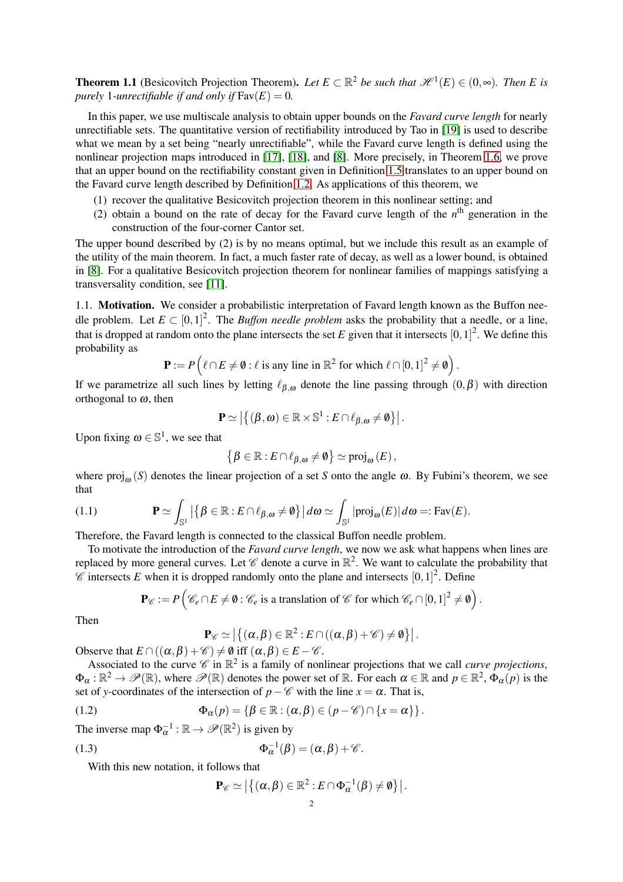**Theorem 1.1** (Besicovitch Projection Theorem). Let  $E \subset \mathbb{R}^2$  be such that  $\mathcal{H}^1(E) \in (0, \infty)$ . Then E is *purely* 1*-unrectifiable if and only if*  $\text{Fav}(E) = 0$ *.* 

In this paper, we use multiscale analysis to obtain upper bounds on the *Favard curve length* for nearly unrectifiable sets. The quantitative version of rectifiability introduced by Tao in [\[19\]](#page-36-0) is used to describe what we mean by a set being "nearly unrectifiable", while the Favard curve length is defined using the nonlinear projection maps introduced in [\[17\]](#page-36-5), [\[18\]](#page-36-6), and [\[8\]](#page-36-7). More precisely, in Theorem [1.6,](#page-3-0) we prove that an upper bound on the rectifiability constant given in Definition [1.5](#page-3-1) translates to an upper bound on the Favard curve length described by Definition [1.2.](#page-2-0) As applications of this theorem, we

- (1) recover the qualitative Besicovitch projection theorem in this nonlinear setting; and
- (2) obtain a bound on the rate of decay for the Favard curve length of the  $n<sup>th</sup>$  generation in the construction of the four-corner Cantor set.

The upper bound described by (2) is by no means optimal, but we include this result as an example of the utility of the main theorem. In fact, a much faster rate of decay, as well as a lower bound, is obtained in [\[8\]](#page-36-7). For a qualitative Besicovitch projection theorem for nonlinear families of mappings satisfying a transversality condition, see [\[11\]](#page-36-8).

1.1. Motivation. We consider a probabilistic interpretation of Favard length known as the Buffon needle problem. Let  $E \subset [0,1]^2$ . The *Buffon needle problem* asks the probability that a needle, or a line, that is dropped at random onto the plane intersects the set  $E$  given that it intersects  $[0,1]^2$ . We define this probability as

$$
\mathbf{P} := P\left(\ell \cap E \neq \emptyset : \ell \text{ is any line in } \mathbb{R}^2 \text{ for which } \ell \cap [0,1]^2 \neq \emptyset\right).
$$

If we parametrize all such lines by letting  $\ell_{\beta,\omega}$  denote the line passing through  $(0,\beta)$  with direction orthogonal to  $\omega$ , then

$$
\mathbf{P} \simeq \left| \left\{ (\boldsymbol{\beta}, \boldsymbol{\omega}) \in \mathbb{R} \times \mathbb{S}^1 : E \cap \ell_{\boldsymbol{\beta}, \boldsymbol{\omega}} \neq \boldsymbol{\emptyset} \right\} \right|.
$$

Upon fixing  $\omega \in \mathbb{S}^1$ , we see that

$$
\left\{\boldsymbol{\beta}\in\mathbb{R}:E\cap\ell_{\boldsymbol{\beta},\boldsymbol{\omega}}\neq\boldsymbol{0}\right\}\simeq\text{proj}_{\boldsymbol{\omega}}\left(E\right),
$$

where  $\text{proj}_{\omega}(S)$  denotes the linear projection of a set *S* onto the angle  $\omega$ . By Fubini's theorem, we see that

(1.1) 
$$
\mathbf{P} \simeq \int_{\mathbb{S}^1} \left| \left\{ \beta \in \mathbb{R} : E \cap \ell_{\beta, \omega} \neq \emptyset \right\} \right| d\omega \simeq \int_{\mathbb{S}^1} |\text{proj}_{\omega}(E)| d\omega =: \text{Fav}(E).
$$

Therefore, the Favard length is connected to the classical Buffon needle problem.

To motivate the introduction of the *Favard curve length*, we now we ask what happens when lines are replaced by more general curves. Let  $\mathscr C$  denote a curve in  $\mathbb R^2$ . We want to calculate the probability that  $\mathscr C$  intersects E when it is dropped randomly onto the plane and intersects  $[0,1]^2$ . Define

$$
\mathbf{P}_{\mathscr{C}} := P\left(\mathscr{C}_e \cap E \neq \emptyset : \mathscr{C}_e \text{ is a translation of } \mathscr{C} \text{ for which } \mathscr{C}_e \cap [0,1]^2 \neq \emptyset\right).
$$

Then

$$
\mathbf{P}_{\mathscr{C}} \simeq \left| \left\{ (\alpha, \beta) \in \mathbb{R}^2 : E \cap ((\alpha, \beta) + \mathscr{C}) \neq \emptyset \right\} \right|.
$$

Observe that  $E \cap ((\alpha, \beta) + \mathscr{C}) \neq \emptyset$  iff  $(\alpha, \beta) \in E - \mathscr{C}$ .

Associated to the curve  $\mathscr C$  in  $\mathbb R^2$  is a family of nonlinear projections that we call *curve projections*,  $\Phi_{\alpha}: \mathbb{R}^2 \to \mathscr{P}(\mathbb{R})$ , where  $\mathscr{P}(\mathbb{R})$  denotes the power set of  $\mathbb{R}$ . For each  $\alpha \in \mathbb{R}$  and  $p \in \mathbb{R}^2$ ,  $\Phi_{\alpha}(p)$  is the set of *y*-coordinates of the intersection of  $p-\mathscr{C}$  with the line  $x = \alpha$ . That is,

(1.2) 
$$
\Phi_{\alpha}(p) = \left\{ \beta \in \mathbb{R} : (\alpha, \beta) \in (p - \mathscr{C}) \cap \{x = \alpha\} \right\}.
$$

The inverse map  $\Phi_{\alpha}^{-1} : \mathbb{R} \to \mathscr{P}(\mathbb{R}^2)$  is given by

(1.3) 
$$
\Phi_{\alpha}^{-1}(\beta) = (\alpha, \beta) + \mathscr{C}.
$$

With this new notation, it follows that

<span id="page-1-1"></span><span id="page-1-0"></span>
$$
\mathbf{P}_{\mathscr{C}} \simeq \left| \left\{ (\alpha, \beta) \in \mathbb{R}^2 : E \cap \Phi_\alpha^{-1}(\beta) \neq \emptyset \right\} \right|.
$$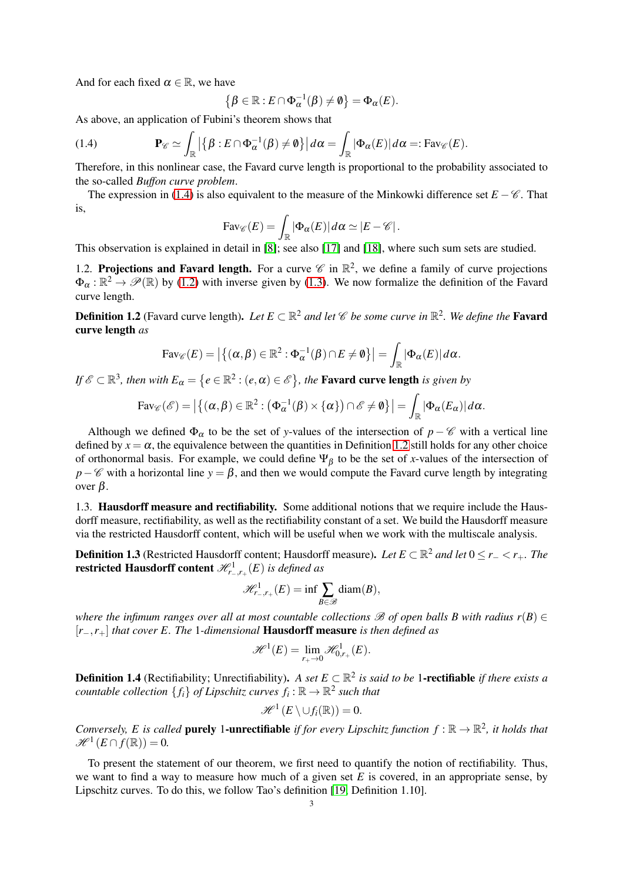And for each fixed  $\alpha \in \mathbb{R}$ , we have

$$
\left\{\boldsymbol{\beta}\in\mathbb{R}:E\cap\Phi_{\alpha}^{-1}(\boldsymbol{\beta})\neq\emptyset\right\}=\Phi_{\alpha}(E).
$$

As above, an application of Fubini's theorem shows that

<span id="page-2-1"></span>(1.4) 
$$
\mathbf{P}_{\mathscr{C}} \simeq \int_{\mathbb{R}} \left| \left\{ \beta : E \cap \Phi_{\alpha}^{-1}(\beta) \neq \emptyset \right\} \right| d\alpha = \int_{\mathbb{R}} |\Phi_{\alpha}(E)| d\alpha =: \text{Fav}_{\mathscr{C}}(E).
$$

Therefore, in this nonlinear case, the Favard curve length is proportional to the probability associated to the so-called *Buffon curve problem*.

The expression in [\(1.4\)](#page-2-1) is also equivalent to the measure of the Minkowki difference set  $E - \mathscr{C}$ . That is,

$$
\text{Fav}_{\mathscr{C}}(E) = \int_{\mathbb{R}} |\Phi_{\alpha}(E)| d\alpha \simeq |E - \mathscr{C}|.
$$

This observation is explained in detail in [\[8\]](#page-36-7); see also [\[17\]](#page-36-5) and [\[18\]](#page-36-6), where such sum sets are studied.

1.2. Projections and Favard length. For a curve  $\mathscr C$  in  $\mathbb R^2$ , we define a family of curve projections  $\Phi_{\alpha} : \mathbb{R}^2 \to \mathscr{P}(\mathbb{R})$  by [\(1.2\)](#page-1-0) with inverse given by [\(1.3\)](#page-1-1). We now formalize the definition of the Favard curve length.

<span id="page-2-0"></span>**Definition 1.2** (Favard curve length). Let  $E \subset \mathbb{R}^2$  and let  $\mathscr{C}$  be some curve in  $\mathbb{R}^2$ . We define the **Favard** curve length *as*

$$
Fav_{\mathscr{C}}(E) = \left| \left\{ (\alpha, \beta) \in \mathbb{R}^2 : \Phi_{\alpha}^{-1}(\beta) \cap E \neq \emptyset \right\} \right| = \int_{\mathbb{R}} |\Phi_{\alpha}(E)| d\alpha.
$$

*If*  $\mathscr{E} \subset \mathbb{R}^3$ , then with  $E_\alpha = \{e \in \mathbb{R}^2 : (e, \alpha) \in \mathscr{E}\}$ , the **Favard curve length** is given by

$$
\mathrm{Fav}_{\mathscr{C}}(\mathscr{E}) = \left| \left\{ (\alpha, \beta) \in \mathbb{R}^2 : (\Phi_\alpha^{-1}(\beta) \times \{\alpha\}) \cap \mathscr{E} \neq \emptyset \right\} \right| = \int_{\mathbb{R}} |\Phi_\alpha(E_\alpha)| d\alpha.
$$

Although we defined  $\Phi_{\alpha}$  to be the set of *y*-values of the intersection of *p* −  $\mathscr C$  with a vertical line defined by  $x = \alpha$ , the equivalence between the quantities in Definition [1.2](#page-2-0) still holds for any other choice of orthonormal basis. For example, we could define  $\Psi_\beta$  to be the set of *x*-values of the intersection of *p*−C with a horizontal line *y* =  $\beta$ , and then we would compute the Favard curve length by integrating over β.

1.3. Hausdorff measure and rectifiability. Some additional notions that we require include the Hausdorff measure, rectifiability, as well as the rectifiability constant of a set. We build the Hausdorff measure via the restricted Hausdorff content, which will be useful when we work with the multiscale analysis.

**Definition 1.3** (Restricted Hausdorff content; Hausdorff measure). Let  $E \subset \mathbb{R}^2$  and let  $0 \le r_- < r_+$ . The **restricted Hausdorff content**  $\mathscr{H}^1_{r_-,r_+}(E)$  *is defined as* 

$$
\mathcal{H}_{r_-,r_+}^{1}(E)=\inf\sum_{B\in\mathcal{B}}\text{diam}(B),
$$

*where the infimum ranges over all at most countable collections*  $\mathscr B$  *of open balls B with radius*  $r(B) \in$ [*r*−,*r*+] *that cover E. The* 1*-dimensional* Hausdorff measure *is then defined as*

$$
\mathscr{H}^1(E) = \lim_{r_+ \to 0} \mathscr{H}^1_{0,r_+}(E).
$$

**Definition 1.4** (Rectifiability; Unrectifiability). *A set*  $E \subset \mathbb{R}^2$  is said to be 1-**rectifiable** *if there exists a countable collection*  $\{f_i\}$  *of Lipschitz curves*  $f_i : \mathbb{R} \to \mathbb{R}^2$  such that

$$
\mathscr{H}^1(E\setminus \cup f_i(\mathbb{R}))=0.
$$

*Conversely, E is called* **purely 1-unrectifiable** *if for every Lipschitz function*  $f : \mathbb{R} \to \mathbb{R}^2$ *, it holds that*  $\mathscr{H}^1(E \cap f(\mathbb{R})) = 0.$ 

To present the statement of our theorem, we first need to quantify the notion of rectifiability. Thus, we want to find a way to measure how much of a given set  $E$  is covered, in an appropriate sense, by Lipschitz curves. To do this, we follow Tao's definition [\[19,](#page-36-0) Definition 1.10].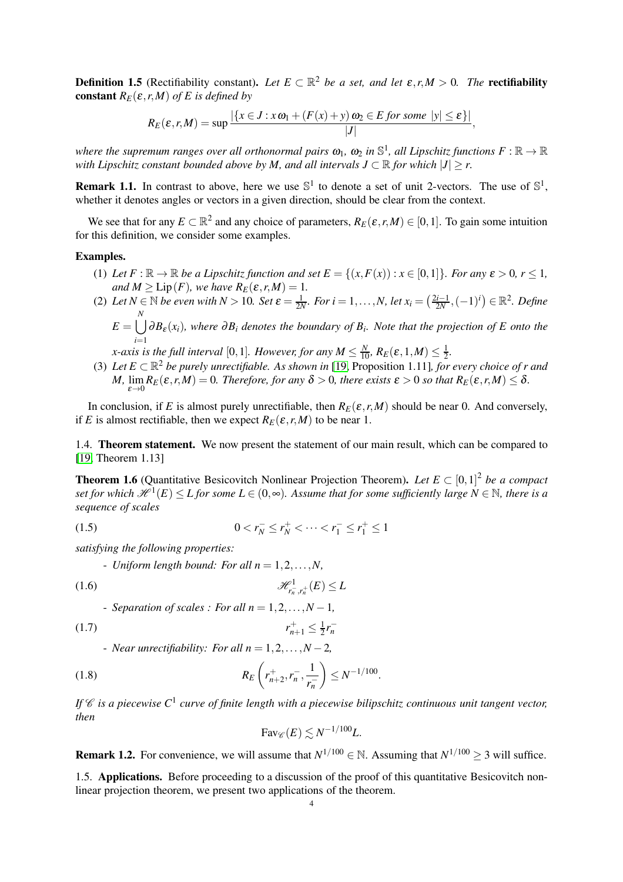<span id="page-3-1"></span>**Definition 1.5** (Rectifiability constant). Let  $E \subset \mathbb{R}^2$  be a set, and let  $\varepsilon, r, M > 0$ . The **rectifiability constant**  $R_E(\varepsilon, r, M)$  *of E* is defined by

$$
R_E(\varepsilon,r,M) = \sup \frac{|\{x \in J : x \omega_1 + (F(x) + y) \omega_2 \in E \text{ for some } |y| \leq \varepsilon\}|}{|J|},
$$

where the supremum ranges over all orthonormal pairs  $\omega_1$ ,  $\omega_2$  in  $\mathbb{S}^1$ , all Lipschitz functions  $F:\mathbb{R}\to\mathbb{R}$ *with Lipschitz constant bounded above by M, and all intervals*  $J \subset \mathbb{R}$  *for which*  $|J| \geq r$ .

**Remark 1.1.** In contrast to above, here we use  $\mathbb{S}^1$  to denote a set of unit 2-vectors. The use of  $\mathbb{S}^1$ , whether it denotes angles or vectors in a given direction, should be clear from the context.

We see that for any  $E \subset \mathbb{R}^2$  and any choice of parameters,  $R_E(\varepsilon, r, M) \in [0, 1]$ . To gain some intuition for this definition, we consider some examples.

# Examples.

- (1) Let  $F : \mathbb{R} \to \mathbb{R}$  be a Lipschitz function and set  $E = \{(x, F(x)) : x \in [0,1]\}$ *. For any*  $\varepsilon > 0$ *, r*  $\leq 1$ *, and*  $M \ge \text{Lip}(F)$ *, we have*  $R_E(\varepsilon, r, M) = 1$ *.*
- (2) *Let*  $N \in \mathbb{N}$  *be even with*  $N > 10$ *. Set*  $\varepsilon = \frac{1}{2N}$ *. For*  $i = 1,...,N$ *, let*  $x_i = (\frac{2i-1}{2N}, (-1)^i) \in \mathbb{R}^2$ *. Define*  $E = \begin{pmatrix} N \\ J \end{pmatrix}$ *i*=1 <sup>∂</sup>*B*<sup>ε</sup> (*xi*)*, where* <sup>∂</sup>*B<sup>i</sup> denotes the boundary of B<sup>i</sup> . Note that the projection of E onto the x*-axis is the full interval [0,1]. However, for any  $M \leq \frac{N}{10}$ ,  $R_E(\varepsilon,1,M) \leq \frac{1}{2}$  $\frac{1}{2}$ .
- (3) Let  $E \subset \mathbb{R}^2$  be purely unrectifiable. As shown in [\[19,](#page-36-0) Proposition 1.11]*, for every choice of r and M,* lim  $\lim_{\varepsilon \to 0} R_E(\varepsilon, r, M) = 0$ . Therefore, for any  $\delta > 0$ , there exists  $\varepsilon > 0$  so that  $R_E(\varepsilon, r, M) \leq \delta$ .

In conclusion, if *E* is almost purely unrectifiable, then  $R_E(\varepsilon, r, M)$  should be near 0. And conversely, if *E* is almost rectifiable, then we expect  $R_F(\varepsilon, r, M)$  to be near 1.

1.4. Theorem statement. We now present the statement of our main result, which can be compared to [\[19,](#page-36-0) Theorem 1.13]

<span id="page-3-0"></span>**Theorem 1.6** (Quantitative Besicovitch Nonlinear Projection Theorem). Let  $E \subset [0,1]^2$  be a compact  $set$  for which  $\mathscr{H}^1(E) \leq L$  for some  $L \in (0, \infty)$ . Assume that for some sufficiently large  $N \in \mathbb{N}$ , there is a *sequence of scales*

$$
(1.5) \t\t 0 < r_N^- \le r_N^+ < \dots < r_1^- \le r_1^+ \le 1
$$

*satisfying the following properties:*

- *Uniform length bound: For all n* =  $1, 2, ..., N$ ,

$$
\mathcal{H}^1_{r_n^-,r_n^+}(E) \le L
$$

- Separation of scales: For all 
$$
n = 1, 2, ..., N - 1
$$
,

$$
(1.7) \t\t\t r
$$

- *Near unrectifiability: For all n* = 1,2,... ,*N* −2*,*

(1.8) 
$$
R_E\left(r_{n+2}^+, r_n^-, \frac{1}{r_n^-}\right) \leq N^{-1/100}.
$$

If  $\mathscr C$  is a piecewise  $C^1$  curve of finite length with a piecewise bilipschitz continuous unit tangent vector, *then*

<span id="page-3-4"></span><span id="page-3-2"></span> $_{n+1}^{+} \leq \frac{1}{2}$ 

 $\frac{1}{2}r_n^-$ 

<span id="page-3-3"></span>
$$
Fav_{\mathscr{C}}(E) \lesssim N^{-1/100}L.
$$

**Remark 1.2.** For convenience, we will assume that  $N^{1/100} \in \mathbb{N}$ . Assuming that  $N^{1/100} \ge 3$  will suffice.

1.5. Applications. Before proceeding to a discussion of the proof of this quantitative Besicovitch nonlinear projection theorem, we present two applications of the theorem.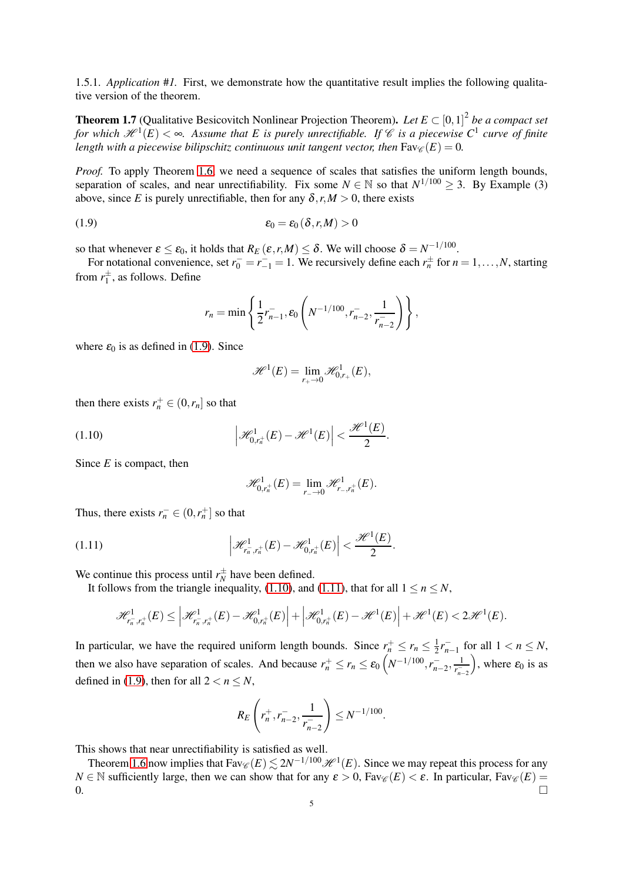1.5.1. *Application* #*1.* First, we demonstrate how the quantitative result implies the following qualitative version of the theorem.

**Theorem 1.7** (Qualitative Besicovitch Nonlinear Projection Theorem). Let  $E \subset [0,1]^2$  be a compact set *for which*  $\mathscr{H}^1(E) < \infty$ . Assume that E is purely unrectifiable. If C is a piecewise C<sup>1</sup> curve of finite *length with a piecewise bilipschitz continuous unit tangent vector, then*  $\text{Fav}_{\mathscr{C}}(E) = 0$ .

*Proof.* To apply Theorem [1.6,](#page-3-0) we need a sequence of scales that satisfies the uniform length bounds, separation of scales, and near unrectifiability. Fix some  $N \in \mathbb{N}$  so that  $N^{1/100} \geq 3$ . By Example (3) above, since *E* is purely unrectifiable, then for any  $\delta$ ,  $r, M > 0$ , there exists

$$
\varepsilon_0 = \varepsilon_0 \left( \delta, r, M \right) > 0
$$

so that whenever  $\varepsilon \leq \varepsilon_0$ , it holds that  $R_E(\varepsilon, r, M) \leq \delta$ . We will choose  $\delta = N^{-1/100}$ .

For notational convenience, set  $r_0^- = r_{-1}^- = 1$ . We recursively define each  $r_n^{\pm}$  for  $n = 1, ..., N$ , starting from  $r_1^{\pm}$ , as follows. Define

<span id="page-4-0"></span>
$$
r_n = \min\left\{\frac{1}{2}r_{n-1}^-, \varepsilon_0\left(N^{-1/100}, r_{n-2}^-, \frac{1}{r_{n-2}^-}\right)\right\},\,
$$

where  $\varepsilon_0$  is as defined in [\(1.9\)](#page-4-0). Since

$$
\mathscr{H}^1(E) = \lim_{r_+ \to 0} \mathscr{H}^1_{0,r_+}(E),
$$

then there exists  $r_n^+ \in (0, r_n]$  so that

(1.10) 
$$
\left|\mathcal{H}_{0,r_n^+}^1(E)-\mathcal{H}^1(E)\right|<\frac{\mathcal{H}^1(E)}{2}
$$

Since *E* is compact, then

<span id="page-4-2"></span><span id="page-4-1"></span>
$$
\mathscr{H}_{0,r_n^+}^1(E)=\lim_{r_-\to 0}\mathscr{H}_{r_-,r_n^+}^1(E).
$$

.

Thus, there exists  $r_n^- \in (0, r_n^+]$  so that

(1.11) 
$$
\left|\mathcal{H}_{r_n^-,r_n^+}^1(E)-\mathcal{H}_{0,r_n^+}^1(E)\right|<\frac{\mathcal{H}^1(E)}{2}.
$$

We continue this process until  $r_N^{\pm}$  have been defined.

It follows from the triangle inequality, [\(1.10\)](#page-4-1), and [\(1.11\)](#page-4-2), that for all  $1 \le n \le N$ ,

$$
\mathscr{H}^1_{r_n^-,r_n^+}(E)\leq \left|\mathscr{H}^1_{r_n^-,r_n^+}(E)-\mathscr{H}^1_{0,r_n^+}(E)\right|+\left|\mathscr{H}^1_{0,r_n^+}(E)-\mathscr{H}^1(E)\right|+\mathscr{H}^1(E)<2\mathscr{H}^1(E).
$$

In particular, we have the required uniform length bounds. Since  $r_n^+ \le r_n \le \frac{1}{2}$  $\frac{1}{2}r_{n-1}^-$  for all  $1 < n \le N$ , then we also have separation of scales. And because  $r_n^+ \le r_n \le \varepsilon_0 \left( N^{-1/100}, r_{n-2}^-, \frac{1}{r_{n-1}^-} \right)$ *r* − *n*−2 ), where  $\varepsilon_0$  is as defined in [\(1.9\)](#page-4-0), then for all  $2 < n \le N$ ,

$$
R_E\left(r_n^+, r_{n-2}^-, \frac{1}{r_{n-2}^-}\right) \leq N^{-1/100}.
$$

This shows that near unrectifiability is satisfied as well.

Theorem [1.6](#page-3-0) now implies that  $Fav_{\mathscr{C}}(E) \lesssim 2N^{-1/100} \mathscr{H}^1(E)$ . Since we may repeat this process for any *N* ∈ N sufficiently large, then we can show that for any  $\varepsilon > 0$ , Fav $\mathcal{C}(E) < \varepsilon$ . In particular, Fav $\mathcal{C}(E) = 0$ .  $\Box$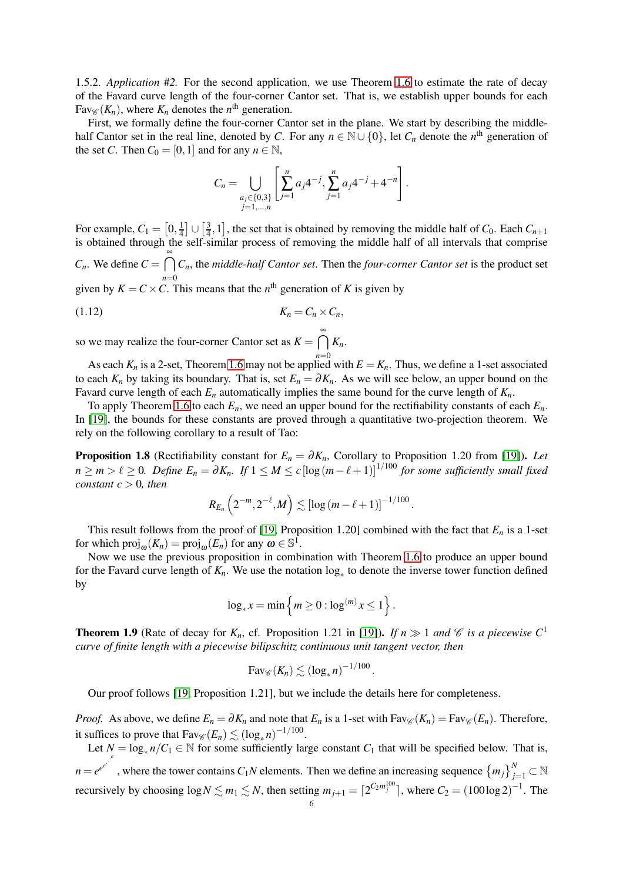1.5.2. *Application* #*2.* For the second application, we use Theorem [1.6](#page-3-0) to estimate the rate of decay of the Favard curve length of the four-corner Cantor set. That is, we establish upper bounds for each  $Fav_{\mathscr{C}}(K_n)$ , where  $K_n$  denotes the  $n^{\text{th}}$  generation.

First, we formally define the four-corner Cantor set in the plane. We start by describing the middlehalf Cantor set in the real line, denoted by *C*. For any  $n \in \mathbb{N} \cup \{0\}$ , let  $C_n$  denote the  $n^{\text{th}}$  generation of the set *C*. Then  $C_0 = [0,1]$  and for any  $n \in \mathbb{N}$ ,

<span id="page-5-2"></span>
$$
C_n = \bigcup_{\substack{a_j \in \{0,3\} \\ j=1,\dots,n}} \left[ \sum_{j=1}^n a_j 4^{-j}, \sum_{j=1}^n a_j 4^{-j} + 4^{-n} \right].
$$

For example,  $C_1 = [0, \frac{1}{4}] \cup [\frac{3}{4}, 1]$ , the set that is obtained by removing the middle half of  $C_0$ . Each  $C_{n+1}$ is obtained through the self-similar process of removing the middle half of all intervals that comprise is obtained through the self-similar process of removing the middle half of all intervals that comprise  $C_n$ . We define  $C = \bigcap_{n=1}^{\infty}$ *n*=0 *Cn*, the *middle-half Cantor set*. Then the *four-corner Cantor set* is the product set given by  $K = C \times C$ . This means that the  $n^{\text{th}}$  generation of *K* is given by

$$
K_n = C_n \times C_n,
$$

so we may realize the four-corner Cantor set as  $K = \bigcap_{k=1}^{\infty} K_k$ *n*=0 *Kn*.

As each  $K_n$  is a 2-set, Theorem [1.6](#page-3-0) may not be applied with  $E = K_n$ . Thus, we define a 1-set associated to each  $K_n$  by taking its boundary. That is, set  $E_n = \partial K_n$ . As we will see below, an upper bound on the Favard curve length of each *E<sup>n</sup>* automatically implies the same bound for the curve length of *Kn*.

To apply Theorem [1.6](#page-3-0) to each  $E_n$ , we need an upper bound for the rectifiability constants of each  $E_n$ . In [\[19\]](#page-36-0), the bounds for these constants are proved through a quantitative two-projection theorem. We rely on the following corollary to a result of Tao:

<span id="page-5-0"></span>**Proposition 1.8** (Rectifiability constant for  $E_n = \partial K_n$ , Corollary to Proposition 1.20 from [\[19\]](#page-36-0)). Let *n* ≥ *m* >  $\ell$  ≥ 0*. Define E<sub>n</sub>* = ∂*K<sub>n</sub>. If* 1 ≤ *M* ≤ *c*[log( $m - \ell + 1$ )]<sup>1/100</sup> *for some sufficiently small fixed constant*  $c > 0$ *, then* 

$$
R_{E_n}\left(2^{-m},2^{-\ell},M\right)\lesssim \left[\log\left(m-\ell+1\right)\right]^{-1/100}.
$$

This result follows from the proof of [\[19,](#page-36-0) Proposition 1.20] combined with the fact that  $E_n$  is a 1-set for which  $\text{proj}_{\omega}(K_n) = \text{proj}_{\omega}(E_n)$  for any  $\omega \in \mathbb{S}^1$ .

Now we use the previous proposition in combination with Theorem [1.6](#page-3-0) to produce an upper bound for the Favard curve length of  $K_n$ . We use the notation  $\log_*$  to denote the inverse tower function defined by

$$
\log_* x = \min \left\{ m \ge 0 : \log^{(m)} x \le 1 \right\}.
$$

<span id="page-5-1"></span>**Theorem 1.9** (Rate of decay for  $K_n$ , cf. Proposition 1.21 in [\[19\]](#page-36-0)). *If*  $n \gg 1$  *and*  $\mathcal{C}$  *is a piecewise*  $C^1$ *curve of finite length with a piecewise bilipschitz continuous unit tangent vector, then*

$$
\operatorname{Fav}_{\mathscr{C}}(K_n) \lesssim (\log_* n)^{-1/100}
$$

.

Our proof follows [\[19,](#page-36-0) Proposition 1.21], but we include the details here for completeness.

*Proof.* As above, we define  $E_n = \partial K_n$  and note that  $E_n$  is a 1-set with  $Fav_{\mathscr{C}}(K_n) = Fav_{\mathscr{C}}(E_n)$ . Therefore, it suffices to prove that  $\text{Fav}_{\mathscr{C}}(E_n) \lesssim (\log_* n)^{-1/100}$ .

Let  $N = \log_* n/C_1 \in \mathbb{N}$  for some sufficiently large constant  $C_1$  that will be specified below. That is,  $n = e^{e^{e^{x^{e^{e^{x}}}}}}$ , where the tower contains  $C_1N$  elements. Then we define an increasing sequence  ${m_j}_{j=1}^N \subset \mathbb{N}$ recursively by choosing  $\log N \lesssim m_1 \lesssim N$ , then setting  $m_{j+1} = \lceil 2^{C_2 m_j^{100}} \rceil$ , where  $C_2 = (100 \log 2)^{-1}$ . The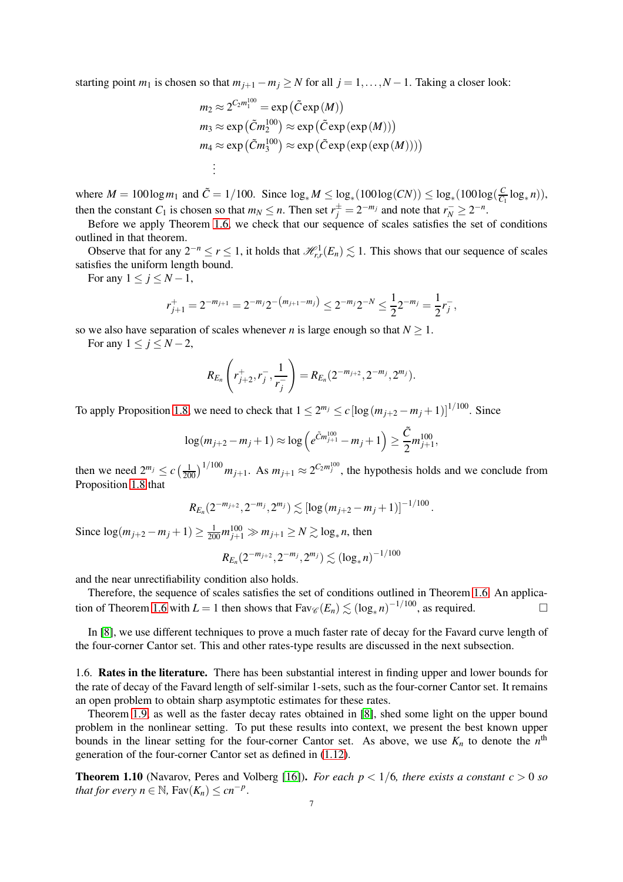starting point  $m_1$  is chosen so that  $m_{j+1} - m_j \ge N$  for all  $j = 1, ..., N - 1$ . Taking a closer look:

$$
m_2 \approx 2^{C_2 m_1^{100}} = \exp(\tilde{C} \exp(M))
$$
  
\n
$$
m_3 \approx \exp(\tilde{C} m_2^{100}) \approx \exp(\tilde{C} \exp(\exp(M)))
$$
  
\n
$$
m_4 \approx \exp(\tilde{C} m_3^{100}) \approx \exp(\tilde{C} \exp(\exp(\exp(M))))
$$
  
\n
$$
\vdots
$$

where  $M = 100 \log m_1$  and  $\tilde{C} = 1/100$ . Since  $\log_* M \le \log_*(100 \log(CN)) \le \log_*(100 \log(\frac{C}{C_1}))$  $\frac{C}{C_1} \log_* n$ ), then the constant *C*<sub>1</sub> is chosen so that  $m_N \le n$ . Then set  $r_j^{\pm} = 2^{-m_j}$  and note that  $r_N^{-} \ge 2^{-n}$ .

Before we apply Theorem [1.6,](#page-3-0) we check that our sequence of scales satisfies the set of conditions outlined in that theorem.

Observe that for any  $2^{-n} \le r \le 1$ , it holds that  $\mathcal{H}_{r,r}^1(E_n) \lesssim 1$ . This shows that our sequence of scales satisfies the uniform length bound.

For any  $1 \leq j \leq N-1$ ,

$$
r_{j+1}^+ = 2^{-m_{j+1}} = 2^{-m_j} 2^{-\left(m_{j+1} - m_j\right)} \leq 2^{-m_j} 2^{-N} \leq \frac{1}{2} 2^{-m_j} = \frac{1}{2} r_j^-,
$$

so we also have separation of scales whenever *n* is large enough so that  $N \geq 1$ .

For any  $1 \le i \le N-2$ ,

$$
R_{E_n}\left(r_{j+2}^+, r_j^-, \frac{1}{r_j^-}\right) = R_{E_n}(2^{-m_{j+2}}, 2^{-m_j}, 2^{m_j}).
$$

To apply Proposition [1.8,](#page-5-0) we need to check that  $1 \le 2^{m_j} \le c \left[ \log \left( m_{j+2} - m_j + 1 \right) \right]^{1/100}$ . Since

$$
\log(m_{j+2} - m_j + 1) \approx \log\left(e^{\tilde{C}m_{j+1}^{100}} - m_j + 1\right) \ge \frac{\tilde{C}}{2}m_{j+1}^{100},
$$

then we need  $2^{m_j} \le c \left(\frac{1}{200}\right)^{1/100} m_{j+1}$ . As  $m_{j+1} \approx 2^{C_2 m_j^{100}}$ , the hypothesis holds and we conclude from Proposition [1.8](#page-5-0) that

$$
R_{E_n}(2^{-m_{j+2}}, 2^{-m_j}, 2^{m_j}) \lesssim [\log (m_{j+2}-m_j+1)]^{-1/100}.
$$

Since  $\log(m_{j+2} - m_j + 1) \ge \frac{1}{200} m_{j+1}^{100} \gg m_{j+1} \ge N \gtrsim \log_* n$ , then

$$
R_{E_n}(2^{-m_{j+2}}, 2^{-m_j}, 2^{m_j}) \lesssim (\log_* n)^{-1/100}
$$

and the near unrectifiability condition also holds.

Therefore, the sequence of scales satisfies the set of conditions outlined in Theorem [1.6.](#page-3-0) An applica-tion of Theorem [1.6](#page-3-0) with  $L = 1$  then shows that  $\text{Fav}_{\mathscr{C}}(E_n) \lesssim (\log_* n)^{-1/100}$ , as required.

In [\[8\]](#page-36-7), we use different techniques to prove a much faster rate of decay for the Favard curve length of the four-corner Cantor set. This and other rates-type results are discussed in the next subsection.

1.6. Rates in the literature. There has been substantial interest in finding upper and lower bounds for the rate of decay of the Favard length of self-similar 1-sets, such as the four-corner Cantor set. It remains an open problem to obtain sharp asymptotic estimates for these rates.

Theorem [1.9,](#page-5-1) as well as the faster decay rates obtained in [\[8\]](#page-36-7), shed some light on the upper bound problem in the nonlinear setting. To put these results into context, we present the best known upper bounds in the linear setting for the four-corner Cantor set. As above, we use  $K_n$  to denote the  $n^{\text{th}}$ generation of the four-corner Cantor set as defined in [\(1.12\)](#page-5-2).

<span id="page-6-0"></span>**Theorem 1.10** (Navarov, Peres and Volberg [\[16\]](#page-36-9)). *For each*  $p < 1/6$ *, there exists a constant*  $c > 0$  *so that for every n*  $\in \mathbb{N}$ ,  $\text{Fav}(K_n) \leq cn^{-p}$ .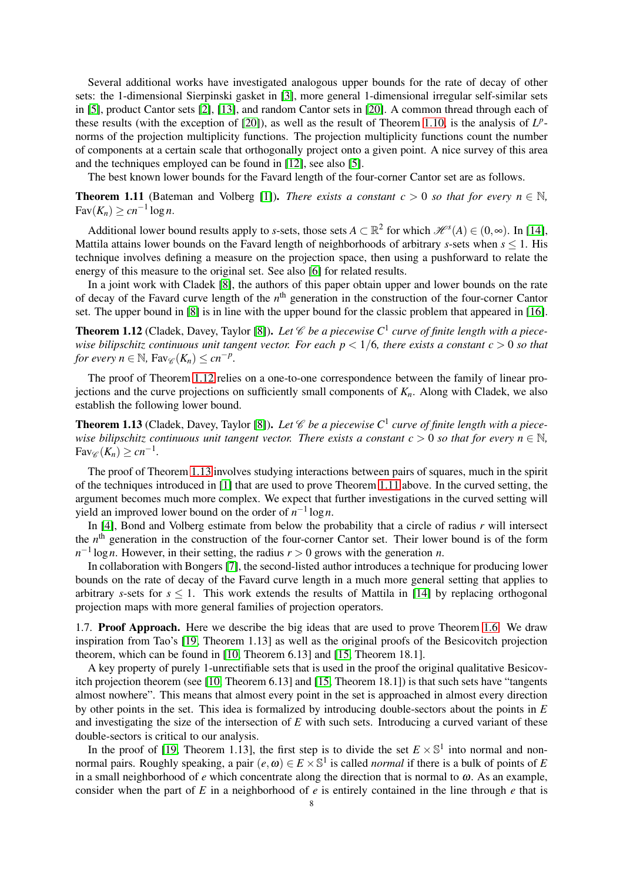Several additional works have investigated analogous upper bounds for the rate of decay of other sets: the 1-dimensional Sierpinski gasket in [\[3\]](#page-36-10), more general 1-dimensional irregular self-similar sets in [\[5\]](#page-36-11), product Cantor sets [\[2\]](#page-36-12), [\[13\]](#page-36-13), and random Cantor sets in [\[20\]](#page-36-14). A common thread through each of these results (with the exception of [\[20\]](#page-36-14)), as well as the result of Theorem [1.10,](#page-6-0) is the analysis of  $L^p$ norms of the projection multiplicity functions. The projection multiplicity functions count the number of components at a certain scale that orthogonally project onto a given point. A nice survey of this area and the techniques employed can be found in [\[12\]](#page-36-15), see also [\[5\]](#page-36-11).

The best known lower bounds for the Favard length of the four-corner Cantor set are as follows.

<span id="page-7-2"></span>**Theorem 1.11** (Bateman and Volberg [\[1\]](#page-36-16)). *There exists a constant c* > 0 *so that for every n*  $\in \mathbb{N}$ ,  $\text{Fav}(K_n) \geq cn^{-1} \log n.$ 

Additional lower bound results apply to *s*-sets, those sets  $A \subset \mathbb{R}^2$  for which  $\mathcal{H}^s(A) \in (0, \infty)$ . In [\[14\]](#page-36-17), Mattila attains lower bounds on the Favard length of neighborhoods of arbitrary *s*-sets when *s* ≤ 1. His technique involves defining a measure on the projection space, then using a pushforward to relate the energy of this measure to the original set. See also [\[6\]](#page-36-18) for related results.

In a joint work with Cladek [\[8\]](#page-36-7), the authors of this paper obtain upper and lower bounds on the rate of decay of the Favard curve length of the *n*<sup>th</sup> generation in the construction of the four-corner Cantor set. The upper bound in [\[8\]](#page-36-7) is in line with the upper bound for the classic problem that appeared in [\[16\]](#page-36-9).

<span id="page-7-0"></span>**Theorem 1.12** (Cladek, Davey, Taylor [\[8\]](#page-36-7)). Let  $\mathscr C$  be a piecewise  $C^1$  curve of finite length with a piece*wise bilipschitz continuous unit tangent vector. For each p* < 1/6*, there exists a constant c* > 0 *so that for every n*  $\in \mathbb{N}$ ,  $\text{Fav}_{\mathscr{C}}(K_n) \leq cn^{-p}$ .

The proof of Theorem [1.12](#page-7-0) relies on a one-to-one correspondence between the family of linear projections and the curve projections on sufficiently small components of *Kn*. Along with Cladek, we also establish the following lower bound.

<span id="page-7-1"></span>**Theorem 1.13** (Cladek, Davey, Taylor [\[8\]](#page-36-7)). Let  $\mathscr C$  be a piecewise  $C^1$  curve of finite length with a piece*wise bilipschitz continuous unit tangent vector. There exists a constant*  $c > 0$  *so that for every*  $n \in \mathbb{N}$ *,*  $\text{Fav}_{\mathscr{C}}(K_n) \geq cn^{-1}.$ 

The proof of Theorem [1.13](#page-7-1) involves studying interactions between pairs of squares, much in the spirit of the techniques introduced in [\[1\]](#page-36-16) that are used to prove Theorem [1.11](#page-7-2) above. In the curved setting, the argument becomes much more complex. We expect that further investigations in the curved setting will yield an improved lower bound on the order of  $n^{-1} \log n$ .

In [\[4\]](#page-36-19), Bond and Volberg estimate from below the probability that a circle of radius *r* will intersect the *n*<sup>th</sup> generation in the construction of the four-corner Cantor set. Their lower bound is of the form *n*<sup>−1</sup> log *n*. However, in their setting, the radius *r* > 0 grows with the generation *n*.

In collaboration with Bongers [\[7\]](#page-36-20), the second-listed author introduces a technique for producing lower bounds on the rate of decay of the Favard curve length in a much more general setting that applies to arbitrary *s*-sets for  $s \leq 1$ . This work extends the results of Mattila in [\[14\]](#page-36-17) by replacing orthogonal projection maps with more general families of projection operators.

1.7. Proof Approach. Here we describe the big ideas that are used to prove Theorem [1.6.](#page-3-0) We draw inspiration from Tao's [\[19,](#page-36-0) Theorem 1.13] as well as the original proofs of the Besicovitch projection theorem, which can be found in [\[10,](#page-36-3) Theorem 6.13] and [\[15,](#page-36-4) Theorem 18.1].

A key property of purely 1-unrectifiable sets that is used in the proof the original qualitative Besicovitch projection theorem (see [\[10,](#page-36-3) Theorem 6.13] and [\[15,](#page-36-4) Theorem 18.1]) is that such sets have "tangents almost nowhere". This means that almost every point in the set is approached in almost every direction by other points in the set. This idea is formalized by introducing double-sectors about the points in *E* and investigating the size of the intersection of *E* with such sets. Introducing a curved variant of these double-sectors is critical to our analysis.

In the proof of [\[19,](#page-36-0) Theorem 1.13], the first step is to divide the set  $E \times \mathbb{S}^1$  into normal and nonnormal pairs. Roughly speaking, a pair  $(e, \omega) \in E \times \mathbb{S}^1$  is called *normal* if there is a bulk of points of *E* in a small neighborhood of  $e$  which concentrate along the direction that is normal to  $\omega$ . As an example, consider when the part of *E* in a neighborhood of *e* is entirely contained in the line through *e* that is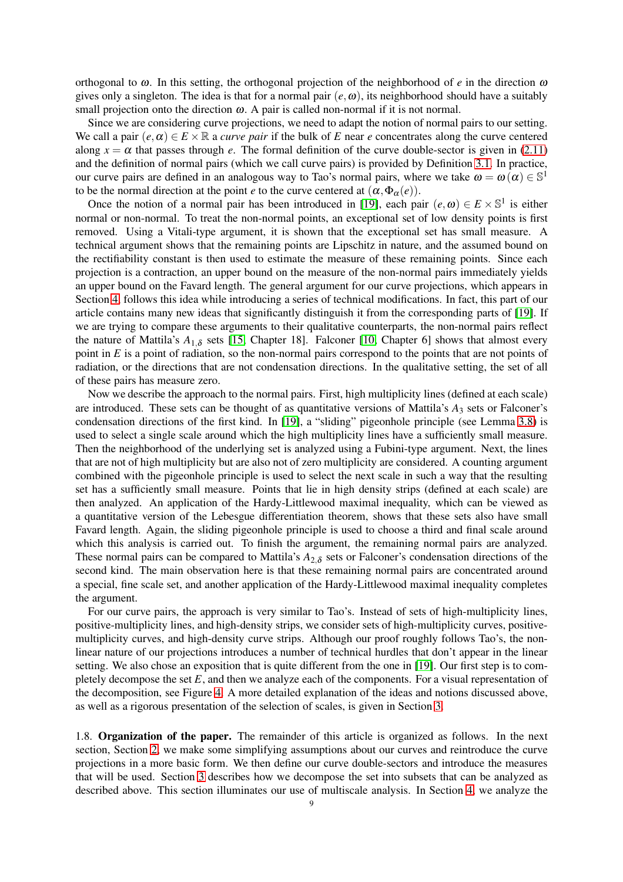orthogonal to  $\omega$ . In this setting, the orthogonal projection of the neighborhood of *e* in the direction  $\omega$ gives only a singleton. The idea is that for a normal pair  $(e, \omega)$ , its neighborhood should have a suitably small projection onto the direction  $\omega$ . A pair is called non-normal if it is not normal.

Since we are considering curve projections, we need to adapt the notion of normal pairs to our setting. We call a pair  $(e, \alpha) \in E \times \mathbb{R}$  a *curve pair* if the bulk of *E* near *e* concentrates along the curve centered along  $x = \alpha$  that passes through *e*. The formal definition of the curve double-sector is given in [\(2.11\)](#page-11-0) and the definition of normal pairs (which we call curve pairs) is provided by Definition [3.1.](#page-15-1) In practice, our curve pairs are defined in an analogous way to Tao's normal pairs, where we take  $\omega = \omega(\alpha) \in \mathbb{S}^1$ to be the normal direction at the point *e* to the curve centered at  $(\alpha, \Phi_{\alpha}(e))$ .

Once the notion of a normal pair has been introduced in [\[19\]](#page-36-0), each pair  $(e, \omega) \in E \times S^1$  is either normal or non-normal. To treat the non-normal points, an exceptional set of low density points is first removed. Using a Vitali-type argument, it is shown that the exceptional set has small measure. A technical argument shows that the remaining points are Lipschitz in nature, and the assumed bound on the rectifiability constant is then used to estimate the measure of these remaining points. Since each projection is a contraction, an upper bound on the measure of the non-normal pairs immediately yields an upper bound on the Favard length. The general argument for our curve projections, which appears in Section [4,](#page-20-0) follows this idea while introducing a series of technical modifications. In fact, this part of our article contains many new ideas that significantly distinguish it from the corresponding parts of [\[19\]](#page-36-0). If we are trying to compare these arguments to their qualitative counterparts, the non-normal pairs reflect the nature of Mattila's  $A_{1,\delta}$  sets [\[15,](#page-36-4) Chapter 18]. Falconer [\[10,](#page-36-3) Chapter 6] shows that almost every point in *E* is a point of radiation, so the non-normal pairs correspond to the points that are not points of radiation, or the directions that are not condensation directions. In the qualitative setting, the set of all of these pairs has measure zero.

Now we describe the approach to the normal pairs. First, high multiplicity lines (defined at each scale) are introduced. These sets can be thought of as quantitative versions of Mattila's  $A_3$  sets or Falconer's condensation directions of the first kind. In [\[19\]](#page-36-0), a "sliding" pigeonhole principle (see Lemma [3.8\)](#page-17-0) is used to select a single scale around which the high multiplicity lines have a sufficiently small measure. Then the neighborhood of the underlying set is analyzed using a Fubini-type argument. Next, the lines that are not of high multiplicity but are also not of zero multiplicity are considered. A counting argument combined with the pigeonhole principle is used to select the next scale in such a way that the resulting set has a sufficiently small measure. Points that lie in high density strips (defined at each scale) are then analyzed. An application of the Hardy-Littlewood maximal inequality, which can be viewed as a quantitative version of the Lebesgue differentiation theorem, shows that these sets also have small Favard length. Again, the sliding pigeonhole principle is used to choose a third and final scale around which this analysis is carried out. To finish the argument, the remaining normal pairs are analyzed. These normal pairs can be compared to Mattila's  $A_{2,\delta}$  sets or Falconer's condensation directions of the second kind. The main observation here is that these remaining normal pairs are concentrated around a special, fine scale set, and another application of the Hardy-Littlewood maximal inequality completes the argument.

For our curve pairs, the approach is very similar to Tao's. Instead of sets of high-multiplicity lines, positive-multiplicity lines, and high-density strips, we consider sets of high-multiplicity curves, positivemultiplicity curves, and high-density curve strips. Although our proof roughly follows Tao's, the nonlinear nature of our projections introduces a number of technical hurdles that don't appear in the linear setting. We also chose an exposition that is quite different from the one in [\[19\]](#page-36-0). Our first step is to completely decompose the set *E*, and then we analyze each of the components. For a visual representation of the decomposition, see Figure [4.](#page-19-0) A more detailed explanation of the ideas and notions discussed above, as well as a rigorous presentation of the selection of scales, is given in Section [3.](#page-15-0)

1.8. Organization of the paper. The remainder of this article is organized as follows. In the next section, Section [2,](#page-9-0) we make some simplifying assumptions about our curves and reintroduce the curve projections in a more basic form. We then define our curve double-sectors and introduce the measures that will be used. Section [3](#page-15-0) describes how we decompose the set into subsets that can be analyzed as described above. This section illuminates our use of multiscale analysis. In Section [4,](#page-20-0) we analyze the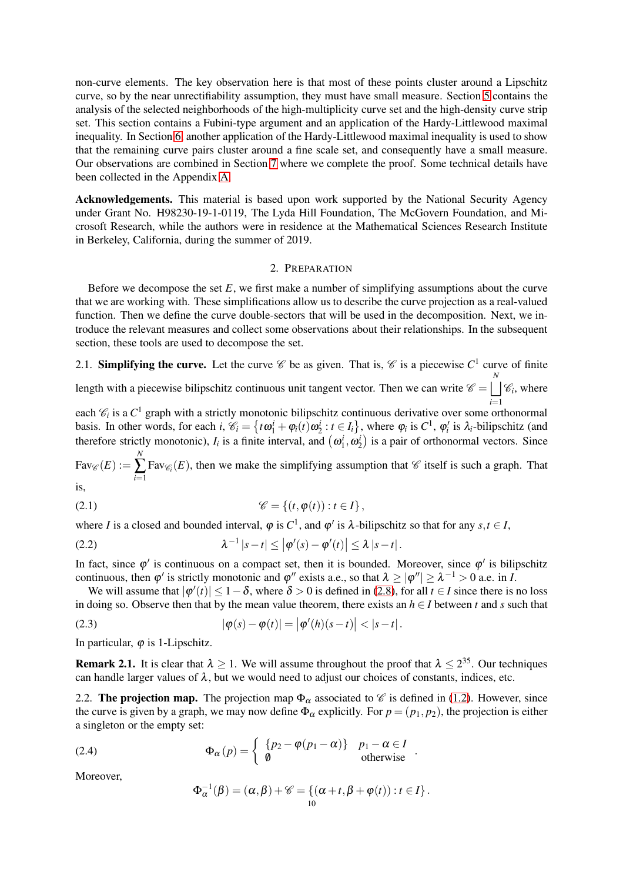non-curve elements. The key observation here is that most of these points cluster around a Lipschitz curve, so by the near unrectifiability assumption, they must have small measure. Section [5](#page-29-0) contains the analysis of the selected neighborhoods of the high-multiplicity curve set and the high-density curve strip set. This section contains a Fubini-type argument and an application of the Hardy-Littlewood maximal inequality. In Section [6,](#page-31-0) another application of the Hardy-Littlewood maximal inequality is used to show that the remaining curve pairs cluster around a fine scale set, and consequently have a small measure. Our observations are combined in Section [7](#page-34-0) where we complete the proof. Some technical details have been collected in the Appendix [A.](#page-35-0)

Acknowledgements. This material is based upon work supported by the National Security Agency under Grant No. H98230-19-1-0119, The Lyda Hill Foundation, The McGovern Foundation, and Microsoft Research, while the authors were in residence at the Mathematical Sciences Research Institute in Berkeley, California, during the summer of 2019.

# 2. PREPARATION

<span id="page-9-0"></span>Before we decompose the set *E*, we first make a number of simplifying assumptions about the curve that we are working with. These simplifications allow us to describe the curve projection as a real-valued function. Then we define the curve double-sectors that will be used in the decomposition. Next, we introduce the relevant measures and collect some observations about their relationships. In the subsequent section, these tools are used to decompose the set.

# 2.1. **Simplifying the curve.** Let the curve  $\mathscr{C}$  be as given. That is,  $\mathscr{C}$  is a piecewise  $C^1$  curve of finite

length with a piecewise bilipschitz continuous unit tangent vector. Then we can write  $\mathscr{C} = \begin{bmatrix} N \\ N \end{bmatrix}$ *i*=1  $\mathscr{C}_i$ , where

each  $\mathcal{C}_i$  is a  $C^1$  graph with a strictly monotonic bilipschitz continuous derivative over some orthonormal basis. In other words, for each *i*,  $\mathcal{C}_i = \{ t\omega_1^i + \varphi_i(t) \omega_2^i : t \in I_i \}$ , where  $\varphi_i$  is  $C^1$ ,  $\varphi'_i$  is  $\lambda_i$ -bilipschitz (and therefore strictly monotonic),  $I_i$  is a finite interval, and  $(\omega_1^i, \omega_2^i)$  is a pair of orthonormal vectors. Since *N*

 $Fav_{\mathscr{C}}(E) :=$ ∑ *i*=1 Fav<sub> $\mathscr{C}_i(E)$ , then we make the simplifying assumption that  $\mathscr{C}$  itself is such a graph. That</sub>

is,

$$
\mathscr{C} = \left\{ (t, \varphi(t)) : t \in I \right\},\
$$

where *I* is a closed and bounded interval,  $\varphi$  is  $C^1$ , and  $\varphi'$  is  $\lambda$ -bilipschitz so that for any  $s, t \in I$ ,

<span id="page-9-2"></span>(2.2) 
$$
\lambda^{-1} |s-t| \leq |\varphi'(s) - \varphi'(t)| \leq \lambda |s-t|.
$$

In fact, since  $\varphi'$  is continuous on a compact set, then it is bounded. Moreover, since  $\varphi'$  is bilipschitz continuous, then  $\varphi'$  is strictly monotonic and  $\varphi''$  exists a.e., so that  $\lambda \ge |\varphi''| \ge \lambda^{-1} > 0$  a.e. in *I*.

We will assume that  $|\varphi'(t)| \leq 1 - \delta$ , where  $\delta > 0$  is defined in [\(2.8\)](#page-10-0), for all  $t \in I$  since there is no loss in doing so. Observe then that by the mean value theorem, there exists an  $h \in I$  between  $t$  and  $s$  such that

(2.3) 
$$
|\varphi(s) - \varphi(t)| = |\varphi'(h)(s-t)| < |s-t|.
$$

In particular,  $\varphi$  is 1-Lipschitz.

<span id="page-9-1"></span>**Remark 2.1.** It is clear that  $\lambda \ge 1$ . We will assume throughout the proof that  $\lambda \le 2^{35}$ . Our techniques can handle larger values of  $\lambda$ , but we would need to adjust our choices of constants, indices, etc.

2.2. The projection map. The projection map  $\Phi_{\alpha}$  associated to  $\mathscr C$  is defined in [\(1.2\)](#page-1-0). However, since the curve is given by a graph, we may now define  $\Phi_{\alpha}$  explicitly. For  $p = (p_1, p_2)$ , the projection is either a singleton or the empty set:

(2.4) 
$$
\Phi_{\alpha}(p) = \begin{cases} \{p_2 - \varphi(p_1 - \alpha)\} & p_1 - \alpha \in I \\ \emptyset & \text{otherwise} \end{cases}.
$$

Moreover,

<span id="page-9-3"></span>
$$
\Phi_{\alpha}^{-1}(\beta) = (\alpha, \beta) + \mathscr{C} = \{(\alpha + t, \beta + \varphi(t)) : t \in I\}.
$$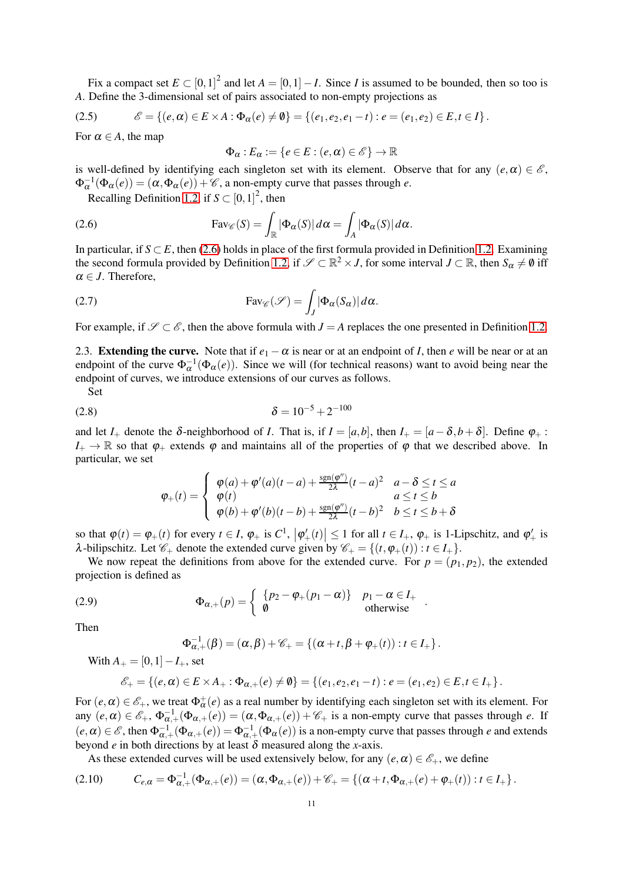Fix a compact set  $E \subset [0,1]^2$  and let  $A = [0,1] - I$ . Since *I* is assumed to be bounded, then so too is *A*. Define the 3-dimensional set of pairs associated to non-empty projections as

<span id="page-10-4"></span>(2.5) 
$$
\mathscr{E} = \{ (e, \alpha) \in E \times A : \Phi_{\alpha}(e) \neq \emptyset \} = \{ (e_1, e_2, e_1 - t) : e = (e_1, e_2) \in E, t \in I \}.
$$

For  $\alpha \in A$ , the map

<span id="page-10-3"></span><span id="page-10-1"></span>
$$
\Phi_{\alpha}: E_{\alpha} := \{e \in E : (e, \alpha) \in \mathscr{E}\} \to \mathbb{R}
$$

is well-defined by identifying each singleton set with its element. Observe that for any  $(e, \alpha) \in \mathscr{E}$ ,  $\Phi_{\alpha}^{-1}(\Phi_{\alpha}(e)) = (\alpha, \Phi_{\alpha}(e)) + \mathscr{C}$ , a non-empty curve that passes through *e*.

Recalling Definition [1.2,](#page-2-0) if  $S \subset [0,1]^2$ , then

(2.6) 
$$
\text{Fav}_{\mathscr{C}}(S) = \int_{\mathbb{R}} |\Phi_{\alpha}(S)| d\alpha = \int_{A} |\Phi_{\alpha}(S)| d\alpha.
$$

In particular, if  $S \subset E$ , then [\(2.6\)](#page-10-1) holds in place of the first formula provided in Definition [1.2.](#page-2-0) Examining the second formula provided by Definition [1.2,](#page-2-0) if  $\mathscr{S} \subset \mathbb{R}^2 \times J$ , for some interval  $J \subset \mathbb{R}$ , then  $S_{\alpha} \neq \emptyset$  iff  $\alpha \in J$ . Therefore,

(2.7) 
$$
Fav_{\mathscr{C}}(\mathscr{S}) = \int_{J} |\Phi_{\alpha}(S_{\alpha})| d\alpha.
$$

For example, if  $\mathscr{S} \subset \mathscr{E}$ , then the above formula with *J* = *A* replaces the one presented in Definition [1.2.](#page-2-0)

2.3. **Extending the curve.** Note that if  $e_1 - \alpha$  is near or at an endpoint of *I*, then *e* will be near or at an endpoint of the curve  $\Phi_{\alpha}^{-1}(\Phi_{\alpha}(e))$ . Since we will (for technical reasons) want to avoid being near the endpoint of curves, we introduce extensions of our curves as follows.

Set

$$
\delta = 10^{-5} + 2^{-100}
$$

and let *I*<sub>+</sub> denote the  $\delta$ -neighborhood of *I*. That is, if  $I = [a,b]$ , then  $I_+ = [a-\delta,b+\delta]$ . Define  $\varphi_+$ :  $I_+ \to \mathbb{R}$  so that  $\varphi_+$  extends  $\varphi$  and maintains all of the properties of  $\varphi$  that we described above. In particular, we set

<span id="page-10-0"></span>
$$
\varphi_{+}(t) = \begin{cases} \varphi(a) + \varphi'(a)(t-a) + \frac{\operatorname{sgn}(\varphi'')}{2\lambda}(t-a)^2 & a - \delta \leq t \leq a \\ \varphi(t) & a \leq t \leq b \\ \varphi(b) + \varphi'(b)(t-b) + \frac{\operatorname{sgn}(\varphi'')}{2\lambda}(t-b)^2 & b \leq t \leq b + \delta \end{cases}
$$

so that  $\varphi(t) = \varphi_+(t)$  for every  $t \in I$ ,  $\varphi_+$  is  $C^1$ ,  $|\varphi'_+(t)| \leq 1$  for all  $t \in I_+$ ,  $\varphi_+$  is 1-Lipschitz, and  $\varphi'_+$  is λ-bilipschitz. Let  $\mathcal{C}_+$  denote the extended curve given by  $\mathcal{C}_+ = \{(t, φ_+(t)) : t \in I_+\}.$ 

We now repeat the definitions from above for the extended curve. For  $p = (p_1, p_2)$ , the extended projection is defined as

(2.9) 
$$
\Phi_{\alpha,+}(p) = \begin{cases} \{p_2 - \varphi_+(p_1 - \alpha)\} & p_1 - \alpha \in I_+ \\ \emptyset & \text{otherwise} \end{cases}.
$$

Then

$$
\Phi_{\alpha,+}^{-1}(\beta) = (\alpha, \beta) + \mathscr{C}_+ = \{(\alpha + t, \beta + \varphi_+(t)) : t \in I_+\}.
$$
  
With  $A_+ = [0, 1] - I_+$ , set

$$
\mathscr{E}_+ = \{ (e, \alpha) \in E \times A_+ : \Phi_{\alpha,+}(e) \neq \emptyset \} = \{ (e_1, e_2, e_1 - t) : e = (e_1, e_2) \in E, t \in I_+ \}.
$$

For  $(e, \alpha) \in \mathscr{E}_+$ , we treat  $\Phi^+_{\alpha}(e)$  as a real number by identifying each singleton set with its element. For any  $(e, \alpha) \in \mathscr{E}_+, \Phi_{\alpha,+}^{-1}(\Phi_{\alpha,+}(e)) = (\alpha, \Phi_{\alpha,+}(e)) + \mathscr{C}_+$  is a non-empty curve that passes through *e*. If  $(e, \alpha) \in \mathscr{E}$ , then  $\Phi_{\alpha,+}^{-1}(\Phi_{\alpha,+}(e)) = \Phi_{\alpha,+}^{-1}(\Phi_{\alpha}(e))$  is a non-empty curve that passes through *e* and extends beyond *e* in both directions by at least  $\delta$  measured along the *x*-axis.

<span id="page-10-2"></span>As these extended curves will be used extensively below, for any  $(e, \alpha) \in \mathscr{E}_+$ , we define

$$
(2.10) \tC_{e,\alpha} = \Phi_{\alpha,+}^{-1}(\Phi_{\alpha,+}(e)) = (\alpha, \Phi_{\alpha,+}(e)) + \mathscr{C}_+ = \{(\alpha + t, \Phi_{\alpha,+}(e) + \varphi_+(t)) : t \in I_+\}.
$$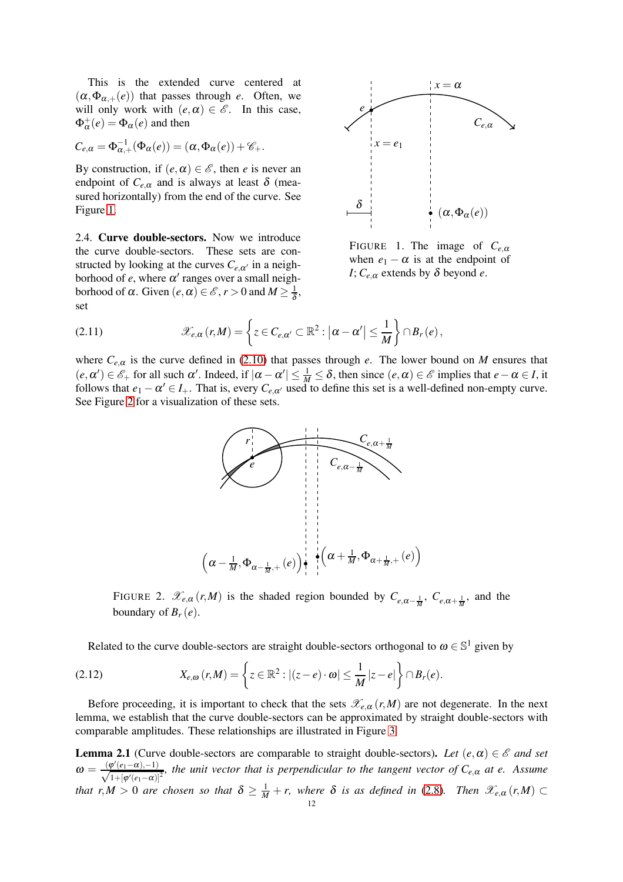This is the extended curve centered at  $(\alpha, \Phi_{\alpha,+}(e))$  that passes through *e*. Often, we will only work with  $(e, \alpha) \in \mathscr{E}$ . In this case,  $\Phi^+_{\alpha}(e) = \Phi_{\alpha}(e)$  and then

$$
C_{e,\alpha} = \Phi_{\alpha,+}^{-1}(\Phi_{\alpha}(e)) = (\alpha, \Phi_{\alpha}(e)) + \mathscr{C}_{+}.
$$

By construction, if  $(e, \alpha) \in \mathscr{E}$ , then *e* is never an endpoint of  $C_{e,\alpha}$  and is always at least  $\delta$  (measured horizontally) from the end of the curve. See Figure [1.](#page-11-1)

2.4. Curve double-sectors. Now we introduce the curve double-sectors. These sets are constructed by looking at the curves  $C_{e,\alpha'}$  in a neighborhood of  $e$ , where  $\alpha'$  ranges over a small neighborhood of  $\alpha$ . Given  $(e, \alpha) \in \mathscr{E}, r > 0$  and  $M \geq \frac{1}{\delta}$ , set



<span id="page-11-1"></span>FIGURE 1. The image of  $C_{e,\alpha}$ when  $e_1 - \alpha$  is at the endpoint of *I*;  $C_{e,\alpha}$  extends by  $\delta$  beyond *e*.

(2.11) 
$$
\mathscr{X}_{e,\alpha}(r,M)=\left\{z\in C_{e,\alpha'}\subset\mathbb{R}^2:|\alpha-\alpha'|\leq\frac{1}{M}\right\}\cap B_r(e),
$$

where  $C_{e,\alpha}$  is the curve defined in [\(2.10\)](#page-10-2) that passes through *e*. The lower bound on *M* ensures that  $(e, \alpha') \in \mathcal{E}_+$  for all such  $\alpha'$ . Indeed, if  $|\alpha - \alpha'| \leq \frac{1}{M} \leq \delta$ , then since  $(e, \alpha) \in \mathcal{E}$  implies that  $e - \alpha \in I$ , it follows that  $e_1 - \alpha' \in I_+$ . That is, every  $C_{e,\alpha'}$  used to define this set is a well-defined non-empty curve. See Figure [2](#page-11-2) for a visualization of these sets.

<span id="page-11-0"></span>

<span id="page-11-2"></span>FIGURE 2.  $\mathscr{X}_{e,\alpha}(r,M)$  is the shaded region bounded by  $C_{e,\alpha-\frac{1}{M}}$ ,  $C_{e,\alpha+\frac{1}{M}}$ , and the boundary of  $B_r(e)$ .

Related to the curve double-sectors are straight double-sectors orthogonal to  $\omega \in \mathbb{S}^1$  given by

(2.12) 
$$
X_{e,\omega}(r,M)=\left\{z\in\mathbb{R}^2:|(z-e)\cdot\omega|\leq\frac{1}{M}|z-e|\right\}\cap B_r(e).
$$

Before proceeding, it is important to check that the sets  $\mathcal{X}_{e,\alpha}(r,M)$  are not degenerate. In the next lemma, we establish that the curve double-sectors can be approximated by straight double-sectors with comparable amplitudes. These relationships are illustrated in Figure [3.](#page-12-0)

<span id="page-11-3"></span>**Lemma 2.1** (Curve double-sectors are comparable to straight double-sectors). Let  $(e, \alpha) \in \mathcal{E}$  and set  $\omega = \frac{(\varphi'(e_1-\alpha),-1)}{\sqrt{1+|\varphi'(e_1-\alpha)|}}$  $\frac{\phi(e_1-\alpha)-1}{1+[\phi'(e_1-\alpha)]^2}$ , the unit vector that is perpendicular to the tangent vector of  $C_{e,\alpha}$  at e. Assume *that*  $r, M > 0$  *are chosen so that*  $\delta \ge \frac{1}{M} + r$ , where  $\delta$  *is as defined in* [\(2.8\)](#page-10-0). Then  $\mathscr{X}_{e,\alpha}(r,M) \subset$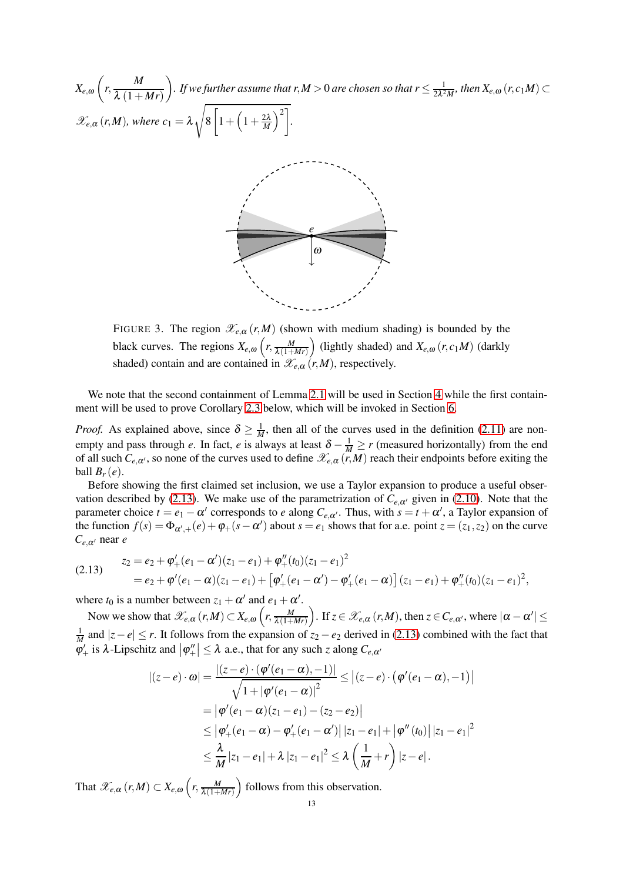*Xe*,<sup>ω</sup>  $\sqrt{2}$  $r, \frac{M}{2(1+M)}$  $\lambda(1+Mr)$  $\overline{ }$ . If we further assume that  $r, M > 0$  are chosen so that  $r \leq \frac{1}{2\lambda^2}$  $\frac{1}{2\lambda^2M}$ *, then*  $X_{e,\omega}(r,c_1M) \subset$  $\mathscr{X}_{e,\alpha}(r,M)$ , where  $c_1 = \lambda$ s 8  $\sqrt{ }$  $1+\left(1+\frac{2\lambda}{M}\right)$  $\setminus^2$ *.*



<span id="page-12-0"></span>FIGURE 3. The region  $\mathscr{X}_{e,\alpha}(r,M)$  (shown with medium shading) is bounded by the black curves. The regions  $X_{e, \omega}$   $\left(r, \frac{M}{\lambda(1+h)}\right)$  $\lambda(1+Mr)$ (lightly shaded) and  $X_{e, \omega}(r, c_1M)$  (darkly shaded) contain and are contained in  $\mathcal{X}_{e,\alpha}(r,M)$ , respectively.

We note that the second containment of Lemma [2.1](#page-11-3) will be used in Section [4](#page-20-0) while the first containment will be used to prove Corollary [2.3](#page-14-0) below, which will be invoked in Section [6.](#page-31-0)

*Proof.* As explained above, since  $\delta \ge \frac{1}{M}$ , then all of the curves used in the definition [\(2.11\)](#page-11-0) are nonempty and pass through *e*. In fact, *e* is always at least  $\delta - \frac{1}{M} \ge r$  (measured horizontally) from the end of all such  $C_{e,\alpha'}$ , so none of the curves used to define  $\mathscr{X}_{e,\alpha}(r,M)$  reach their endpoints before exiting the ball  $B_r(e)$ .

Before showing the first claimed set inclusion, we use a Taylor expansion to produce a useful obser-vation described by [\(2.13\)](#page-12-1). We make use of the parametrization of  $C_{e,\alpha'}$  given in [\(2.10\)](#page-10-2). Note that the parameter choice  $t = e_1 - \alpha'$  corresponds to *e* along  $C_{e,\alpha'}$ . Thus, with  $s = t + \alpha'$ , a Taylor expansion of the function  $f(s) = \Phi_{\alpha',+}(e) + \phi_+(s - \alpha')$  about  $s = e_1$  shows that for a.e. point  $z = (z_1, z_2)$  on the curve *Ce*,α′ near *e*

<span id="page-12-1"></span>(2.13) 
$$
z_2 = e_2 + \varphi'_+(e_1 - \alpha')(z_1 - e_1) + \varphi''_+(t_0)(z_1 - e_1)^2
$$

$$
= e_2 + \varphi'(e_1 - \alpha)(z_1 - e_1) + [\varphi'_+(e_1 - \alpha') - \varphi'_+(e_1 - \alpha)] (z_1 - e_1) + \varphi''_+(t_0)(z_1 - e_1)^2,
$$

where  $t_0$  is a number between  $z_1 + \alpha'$  and  $e_1 + \alpha'$ .

Now we show that  $\mathscr{X}_{e,\alpha}(r,M) \subset X_{e,\omega}\left(r,\frac{M}{\lambda(1+h)}\right)$  $\lambda(1+Mr)$ ). If  $z \in \mathscr{X}_{e,\alpha}(r,M)$ , then  $z \in C_{e,\alpha'}$ , where  $|\alpha - \alpha'| \leq$ 1 *M*<sub>*M*</sub> and  $|z - e|$  ≤ *r*. It follows from the expansion of  $z_2 - e_2$  derived in [\(2.13\)](#page-12-1) combined with the fact that  $\left|\phi'\right|$  is  $\lambda$ -Lipschitz and  $\left|\phi''\right| \leq \lambda$  a.e., that for any such *z* along  $C_{e,\alpha'}$ 

$$
\begin{split} |(z-e)\cdot\omega| &= \frac{|(z-e)\cdot(\varphi'(e_1-\alpha),-1)|}{\sqrt{1+|\varphi'(e_1-\alpha)|^2}} \le |(z-e)\cdot(\varphi'(e_1-\alpha),-1)| \\ &= |\varphi'(e_1-\alpha)(z_1-e_1)-(z_2-e_2)| \\ &\le |\varphi'_+(e_1-\alpha)-\varphi'_+(e_1-\alpha')|\,|z_1-e_1|+|\varphi''(t_0)|\,|z_1-e_1|^2 \\ &\le \frac{\lambda}{M}|z_1-e_1|+\lambda\,|z_1-e_1|^2 \le \lambda\left(\frac{1}{M}+r\right)|z-e| \,. \end{split}
$$

That  $\mathscr{X}_{e,\alpha} (r,M) \subset X_{e,\omega} \left( r, \frac{M}{\lambda(1+1)} \right)$  $\lambda(1+Mr)$ ) follows from this observation.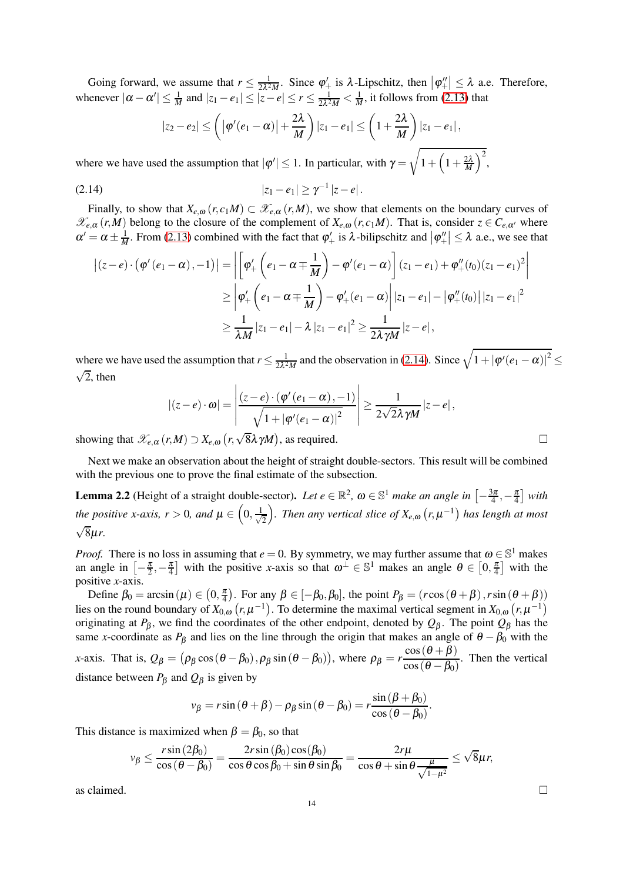Going forward, we assume that  $r \leq \frac{1}{2\lambda^2}$  $\frac{1}{2\lambda^2 M}$ . Since  $\varphi'_+$  is  $\lambda$ -Lipschitz, then  $|\varphi''_+| \leq \lambda$  a.e. Therefore, whenever  $|\alpha - \alpha'| \leq \frac{1}{M}$  and  $|z_1 - e_1| \leq |z - e| \leq r \leq \frac{1}{2\lambda^2}$  $\frac{1}{2\lambda^2 M} < \frac{1}{M}$ , it follows from [\(2.13\)](#page-12-1) that

<span id="page-13-0"></span>
$$
|z_2-e_2|\leq \left(|\varphi'(e_1-\alpha)|+\frac{2\lambda}{M}\right)|z_1-e_1|\leq \left(1+\frac{2\lambda}{M}\right)|z_1-e_1|,
$$

where we have used the assumption that  $|\varphi'| \leq 1$ . In particular, with  $\gamma =$ <sup>1</sup>  $1+\left(1+\frac{2\lambda}{M}\right)$  $\big)^2$ ,

$$
|z_1-e_1|\geq \gamma^{-1}|z-e|.
$$

Finally, to show that  $X_{e,\omega}(r,c_1M) \subset \mathcal{X}_{e,\alpha}(r,M)$ , we show that elements on the boundary curves of  $\mathscr{X}_{e,\alpha}(r,M)$  belong to the closure of the complement of  $X_{e,\omega}(r,c_1M)$ . That is, consider  $z \in C_{e,\alpha'}$  where  $\alpha' = \alpha \pm \frac{1}{M}$ . From [\(2.13\)](#page-12-1) combined with the fact that  $\varphi'_{+}$  is  $\lambda$ -bilipschitz and  $|\varphi''_{+}| \leq \lambda$  a.e., we see that

$$
\begin{aligned} \left| (z - e) \cdot (\varphi'(e_1 - \alpha), -1) \right| &= \left| \left[ \varphi'_+ \left( e_1 - \alpha \mp \frac{1}{M} \right) - \varphi'(e_1 - \alpha) \right] (z_1 - e_1) + \varphi''_+(t_0) (z_1 - e_1)^2 \right| \\ &\ge \left| \varphi'_+ \left( e_1 - \alpha \mp \frac{1}{M} \right) - \varphi'_+(e_1 - \alpha) \right| |z_1 - e_1| - \left| \varphi''_+(t_0) \right| |z_1 - e_1|^2 \\ &\ge \frac{1}{\lambda M} |z_1 - e_1| - \lambda |z_1 - e_1|^2 \ge \frac{1}{2\lambda \gamma M} |z - e|, \end{aligned}
$$

where we have used the assumption that  $r \leq \frac{1}{2\lambda^2}$  $\frac{1}{2\lambda^2 M}$  and the observation in [\(2.14\)](#page-13-0). Since  $\sqrt{1+|\varphi'(e_1-\alpha)|^2} \le$  $\sqrt{2}$ , then

$$
\left| (z - e) \cdot \omega \right| = \left| \frac{(z - e) \cdot (\varphi'(e_1 - \alpha), -1)}{\sqrt{1 + |\varphi'(e_1 - \alpha)|^2}} \right| \ge \frac{1}{2\sqrt{2}\lambda\gamma M} |z - e|,
$$
\nshowing that  $\mathscr{X}_{e,\alpha}(r,M) \supset X_{e,\omega}(r,\sqrt{8}\lambda\gamma M)$ , as required.

Next we make an observation about the height of straight double-sectors. This result will be combined with the previous one to prove the final estimate of the subsection.

<span id="page-13-1"></span>**Lemma 2.2** (Height of a straight double-sector). Let  $e \in \mathbb{R}^2$ ,  $\omega \in \mathbb{S}^1$  make an angle in  $\left[-\frac{3\pi}{4}\right]$  $\frac{3\pi}{4}, -\frac{\pi}{4}$  with the positive x-axis,  $r > 0$ , and  $\mu \in \left(0, \frac{1}{\sqrt{2}}\right)$ 2 *f*). Then any vertical slice of  $X_{e,\omega}(r,\mu^{-1})$  has length at most √ 8µ*r.*

*Proof.* There is no loss in assuming that  $e = 0$ . By symmetry, we may further assume that  $\omega \in \mathbb{S}^1$  makes an angle in  $\left[-\frac{\pi}{2}, -\frac{\pi}{4}\right]$  with the positive *x*-axis so that  $\omega^{\perp} \in \mathbb{S}^1$  makes an angle  $\theta \in \left[0, \frac{\pi}{4}\right]$  with the positive *x*-axis.

Define  $\beta_0 = \arcsin(\mu) \in (0, \frac{\pi}{4})$ . For any  $\beta \in [-\beta_0, \beta_0]$ , the point  $P_\beta = (r\cos(\theta + \beta), r\sin(\theta + \beta))$ lies on the round boundary of  $X_{0,\omega}(r,\mu^{-1})$ . To determine the maximal vertical segment in  $X_{0,\omega}(r,\mu^{-1})$ originating at *P*β, we find the coordinates of the other endpoint, denoted by *Q*<sup>β</sup> . The point *Q*<sup>β</sup> has the same *x*-coordinate as  $P_\beta$  and lies on the line through the origin that makes an angle of  $\theta - \beta_0$  with the *x*-axis. That is,  $Q_{\beta} = (\rho_{\beta} \cos(\theta - \beta_0), \rho_{\beta} \sin(\theta - \beta_0))$ , where  $\rho_{\beta} = r \frac{\cos(\theta + \beta)}{\cos(\theta - \beta_0)}$  $\frac{\cos(\theta + \beta)}{\cos(\theta - \beta_0)}$ . Then the vertical

distance between  $P_{\beta}$  and  $Q_{\beta}$  is given by

$$
v_{\beta} = r \sin (\theta + \beta) - \rho_{\beta} \sin (\theta - \beta_0) = r \frac{\sin (\beta + \beta_0)}{\cos (\theta - \beta_0)}.
$$

This distance is maximized when  $\beta = \beta_0$ , so that

$$
v_{\beta} \le \frac{r \sin (2\beta_0)}{\cos (\theta - \beta_0)} = \frac{2r \sin (\beta_0) \cos(\beta_0)}{\cos \theta \cos \beta_0 + \sin \theta \sin \beta_0} = \frac{2r\mu}{\cos \theta + \sin \theta \frac{\mu}{\sqrt{1-\mu^2}}} \le \sqrt{8}\mu r,
$$

as claimed.  $\Box$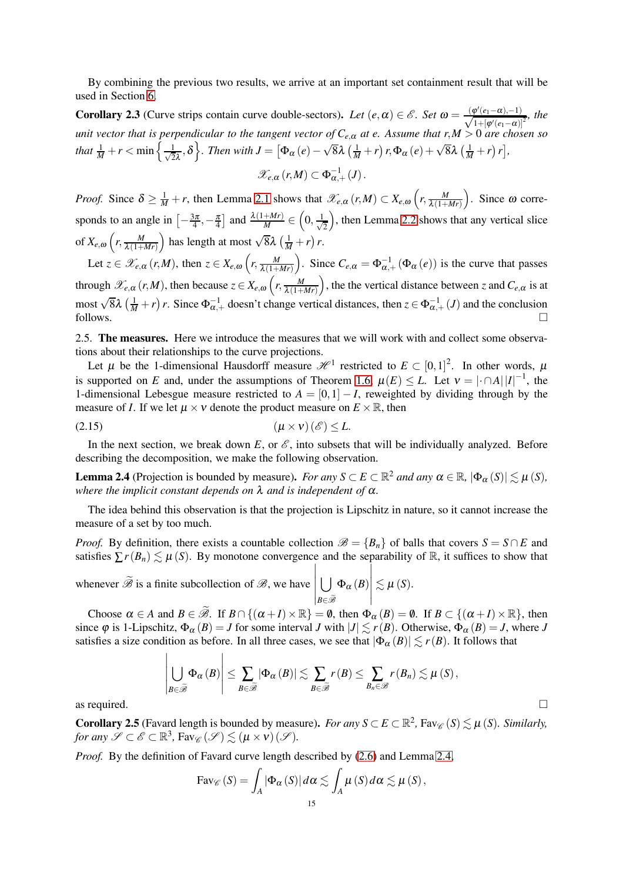By combining the previous two results, we arrive at an important set containment result that will be used in Section [6.](#page-31-0)

<span id="page-14-0"></span>**Corollary 2.3** (Curve strips contain curve double-sectors). Let  $(e, \alpha) \in \mathscr{E}$ . Set  $\omega = \frac{\varphi'(e_1 - \alpha) - 1}{\sqrt{1 + [\omega'(e_1 - \alpha)]}}$  $\frac{\rho(e_1-\alpha)-1)}{1+[\varphi'(e_1-\alpha)]^2}$ , the *unit vector that is perpendicular to the tangent vector of Ce*,<sup>α</sup> *at e. Assume that r*,*M* > 0 *are chosen so that*  $\frac{1}{M} + r < \min \left\{ \frac{1}{\sqrt{2}} \right\}$  $\left[\frac{1}{2\lambda},\delta\right]$ . Then with  $J=\left[\Phi_{\alpha}(e)-\sqrt{8}\lambda\left(\frac{1}{M}+r\right)r,\Phi_{\alpha}(e)+\sqrt{8}\lambda\left(\frac{1}{M}+r\right)r\right],$  $\mathscr{X}_{e,\alpha}(r,M) \subset \Phi_{\alpha,+}^{-1}(J)$ .

*Proof.* Since  $\delta \ge \frac{1}{M} + r$ , then Lemma [2.1](#page-11-3) shows that  $\mathscr{X}_{e,\alpha}(r,M) \subset X_{e,\omega}\left(r, \frac{M}{\lambda(1+r)}\right)$  $\lambda(1+Mr)$ ). Since  $\omega$  corresponds to an angle in  $\left[-\frac{3\pi}{4}\right]$  $\left[\frac{3\pi}{4}, -\frac{\pi}{4}\right]$  and  $\frac{\lambda(1+Mr)}{M} \in$  $\left(0, \frac{1}{\sqrt{2}}\right)$ 2 ), then Lemma [2.2](#page-13-1) shows that any vertical slice of  $X_{e,\omega}\left(r,\frac{M}{\lambda(1+h)}\right)$  $\lambda(1+Mr)$ ) has length at most  $\sqrt{8\lambda} \left(\frac{1}{M} + r\right) r$ .

Let  $z \in \mathscr{X}_{e,\alpha}(r,M)$ , then  $z \in X_{e,\omega}(r, \frac{M}{\lambda(1+\alpha)})$  $\lambda(1+Mr)$ ). Since  $C_{e,\alpha} = \Phi_{\alpha,+}^{-1} (\Phi_{\alpha}(e))$  is the curve that passes through  $\mathscr{X}_{e,\alpha}(r,M)$ , then because  $z \in X_{e,\omega}\left(r, \frac{M}{\lambda(1+\alpha)}\right)$  $\lambda(1+Mr)$ ), the the vertical distance between *z* and  $C_{e,\alpha}$  is at most  $\sqrt{8}\lambda \left(\frac{1}{M} + r\right) r$ . Since  $\Phi_{\alpha,+}^{-1}$  doesn't change vertical distances, then  $z \in \Phi_{\alpha,+}^{-1}(J)$  and the conclusion follows.  $\Box$ 

<span id="page-14-4"></span>2.5. The measures. Here we introduce the measures that we will work with and collect some observations about their relationships to the curve projections.

Let  $\mu$  be the 1-dimensional Hausdorff measure  $\mathcal{H}^1$  restricted to  $E \subset [0,1]^2$ . In other words,  $\mu$ is supported on *E* and, under the assumptions of Theorem [1.6,](#page-3-0)  $\mu(E) \leq L$ . Let  $v = |\Omega| |I|^{-1}$ , the 1-dimensional Lebesgue measure restricted to  $A = \begin{bmatrix} 0, 1 \end{bmatrix} - I$ , reweighted by dividing through by the measure of *I*. If we let  $\mu \times \nu$  denote the product measure on  $E \times \mathbb{R}$ , then

<span id="page-14-3"></span>
$$
(2.15) \t\t\t (\mu \times \nu)(\mathscr{E}) \leq L.
$$

In the next section, we break down  $E$ , or  $\mathscr E$ , into subsets that will be individually analyzed. Before describing the decomposition, we make the following observation.

<span id="page-14-1"></span>**Lemma 2.4** (Projection is bounded by measure). *For any*  $S \subset E \subset \mathbb{R}^2$  *and any*  $\alpha \in \mathbb{R}$ ,  $|\Phi_{\alpha}(S)| \lesssim \mu(S)$ , *where the implicit constant depends on*  $\lambda$  *and is independent of*  $\alpha$ *.* 

The idea behind this observation is that the projection is Lipschitz in nature, so it cannot increase the measure of a set by too much.

*Proof.* By definition, there exists a countable collection  $\mathcal{B} = \{B_n\}$  of balls that covers  $S = S \cap E$  and satisfies  $\sum r(B_n) \leq \mu(S)$ . By monotone convergence and the separability of R, it suffices to show that

whenever  $\mathscr B$  is a finite subcollection of  $\mathscr B$ , we have  $\overline{1}$ *B*∈Be  $\Phi_{\alpha}\left(B\right)$  $\begin{array}{c} \begin{array}{c} \begin{array}{c} \end{array} \\ \begin{array}{c} \end{array} \end{array} \end{array}$  $\lesssim \mu(S)$ .

 $\overline{1}$ 

Choose  $\alpha \in A$  and  $B \in \widetilde{\mathcal{B}}$ . If  $B \cap \{(\alpha + I) \times \mathbb{R}\} = \emptyset$ , then  $\Phi_{\alpha}(B) = \emptyset$ . If  $B \subset \{(\alpha + I) \times \mathbb{R}\}$ , then since  $\varphi$  is 1-Lipschitz,  $\Phi_{\alpha}(B) = J$  for some interval *J* with  $|J| \lesssim r(B)$ . Otherwise,  $\Phi_{\alpha}(B) = J$ , where *J* satisfies a size condition as before. In all three cases, we see that  $|\Phi_{\alpha}(B)| \lesssim r(B)$ . It follows that

$$
\left|\bigcup_{B \in \widetilde{\mathscr{B}}} \Phi_{\alpha}(B)\right| \leq \sum_{B \in \widetilde{\mathscr{B}}} |\Phi_{\alpha}(B)| \lesssim \sum_{B \in \widetilde{\mathscr{B}}} r(B) \leq \sum_{B_n \in \mathscr{B}} r(B_n) \lesssim \mu(S),
$$
 as required.

 $\overline{1}$ 

<span id="page-14-2"></span>**Corollary 2.5** (Favard length is bounded by measure). *For any*  $S \subset E \subset \mathbb{R}^2$ , Fav $\mathscr{C}(S) \lesssim \mu(S)$ . Similarly, *for any*  $\mathscr{S} \subset \mathscr{E} \subset \mathbb{R}^3$ ,  $\text{Fav}_{\mathscr{C}}(\mathscr{S}) \lesssim (\mu \times \nu)(\mathscr{S})$ .

*Proof.* By the definition of Favard curve length described by [\(2.6\)](#page-10-1) and Lemma [2.4,](#page-14-1)

$$
\text{Fav}_{\mathscr{C}}(S) = \int_A |\Phi_{\alpha}(S)| d\alpha \lesssim \int_A \mu(S) d\alpha \lesssim \mu(S),
$$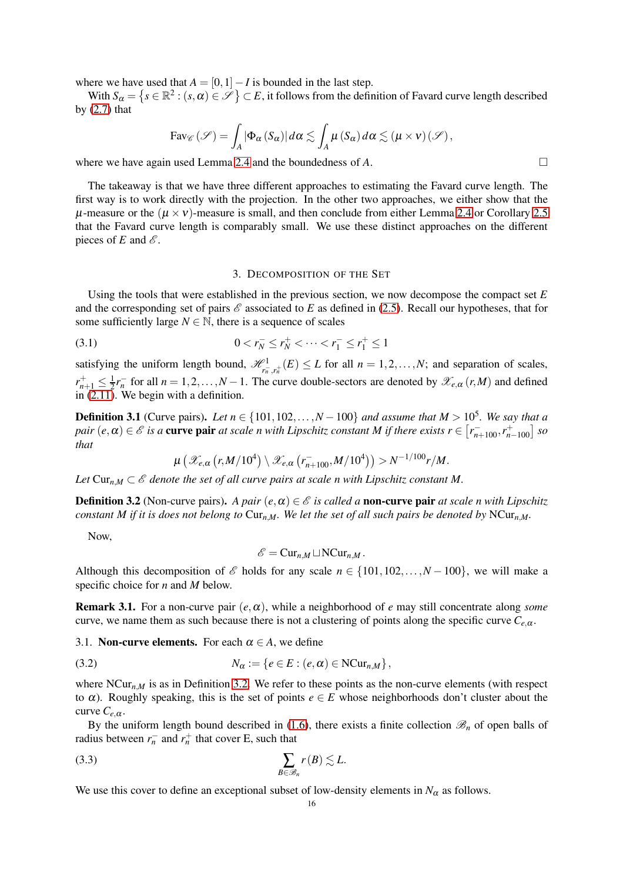where we have used that  $A = [0,1]-I$  is bounded in the last step.

With  $S_\alpha = \{s \in \mathbb{R}^2 : (s, \alpha) \in \mathscr{S} \} \subset E$ , it follows from the definition of Favard curve length described by  $(2.7)$  that

$$
\text{Fav}_{\mathscr{C}}(\mathscr{S}) = \int_A |\Phi_{\alpha}(S_{\alpha})| d\alpha \lesssim \int_A \mu(S_{\alpha}) d\alpha \lesssim (\mu \times \nu)(\mathscr{S}),
$$

where we have again used Lemma [2.4](#page-14-1) and the boundedness of  $A$ .

The takeaway is that we have three different approaches to estimating the Favard curve length. The first way is to work directly with the projection. In the other two approaches, we either show that the  $\mu$ -measure or the  $(\mu \times \nu)$ -measure is small, and then conclude from either Lemma [2.4](#page-14-1) or Corollary [2.5](#page-14-2) that the Favard curve length is comparably small. We use these distinct approaches on the different pieces of  $E$  and  $\mathscr E$ .

### 3. DECOMPOSITION OF THE SET

<span id="page-15-0"></span>Using the tools that were established in the previous section, we now decompose the compact set *E* and the corresponding set of pairs  $\mathscr E$  associated to E as defined in [\(2.5\)](#page-10-4). Recall our hypotheses, that for some sufficiently large  $N \in \mathbb{N}$ , there is a sequence of scales

(3.1) 
$$
0 < r_N^- \le r_N^+ < \cdots < r_1^- \le r_1^+ \le 1
$$

satisfying the uniform length bound,  $\mathcal{H}^1_{r_n^-, r_n^+}(E) \leq L$  for all  $n = 1, 2, ..., N$ ; and separation of scales,  $r_{n+1}^+ \leq \frac{1}{2}r_n^-$  for all  $n = 1, 2, ..., N-1$ . The curve double-sectors are denoted by  $\mathcal{X}_{e,\alpha}(r,M)$  and defined in  $(2.11)$ . We begin with a definition.

<span id="page-15-1"></span>**Definition 3.1** (Curve pairs). Let  $n \in \{101, 102, ..., N-100\}$  and assume that  $M > 10^5$ . We say that a  $pair (e, \alpha) \in \mathscr{E}$  is a **curve pair** at scale *n* with Lipschitz constant *M* if there exists  $r \in [r_{n+100}^-, r_{n-100}^+]$  so *that*

$$
\mu\left(\mathscr{X}_{e,\alpha}\left(r,M/10^4\right)\setminus \mathscr{X}_{e,\alpha}\left(r_{n+100}^-,M/10^4\right)\right) > N^{-1/100}r/M.
$$

Let  $Cur<sub>n,M</sub> \subset \mathscr{E}$  denote the set of all curve pairs at scale n with Lipschitz constant M.

<span id="page-15-2"></span>**Definition 3.2** (Non-curve pairs). *A pair*  $(e, \alpha) \in \mathcal{E}$  *is called a* **non-curve pair** *at scale n with Lipschitz constant M if it is does not belong to*  $Cur<sub>n,M</sub>$ *. We let the set of all such pairs be denoted by*  $NCur<sub>n,M</sub>$ *.* 

Now,

$$
\mathscr{E} = \mathrm{Cur}_{n,M} \sqcup \mathrm{NCur}_{n,M} \, .
$$

Although this decomposition of  $\mathscr E$  holds for any scale  $n \in \{101, 102, \ldots, N-100\}$ , we will make a specific choice for *n* and *M* below.

**Remark 3.1.** For a non-curve pair  $(e, \alpha)$ , while a neighborhood of *e* may still concentrate along *some* curve, we name them as such because there is not a clustering of points along the specific curve  $C_{e,\alpha}$ .

<span id="page-15-3"></span>3.1. **Non-curve elements.** For each  $\alpha \in A$ , we define

(3.2) 
$$
N_{\alpha} := \{e \in E : (e, \alpha) \in \text{NCur}_{n,M}\},
$$

where  $NCur_{n,M}$  is as in Definition [3.2.](#page-15-2) We refer to these points as the non-curve elements (with respect to  $\alpha$ ). Roughly speaking, this is the set of points  $e \in E$  whose neighborhoods don't cluster about the curve  $C_{e,\alpha}$ .

By the uniform length bound described in [\(1.6\)](#page-3-2), there exists a finite collection  $\mathcal{B}_n$  of open balls of radius between  $r_n^-$  and  $r_n^+$  that cover E, such that

<span id="page-15-4"></span>
$$
\sum_{B \in \mathscr{B}_n} r(B) \lesssim L.
$$

We use this cover to define an exceptional subset of low-density elements in  $N_\alpha$  as follows.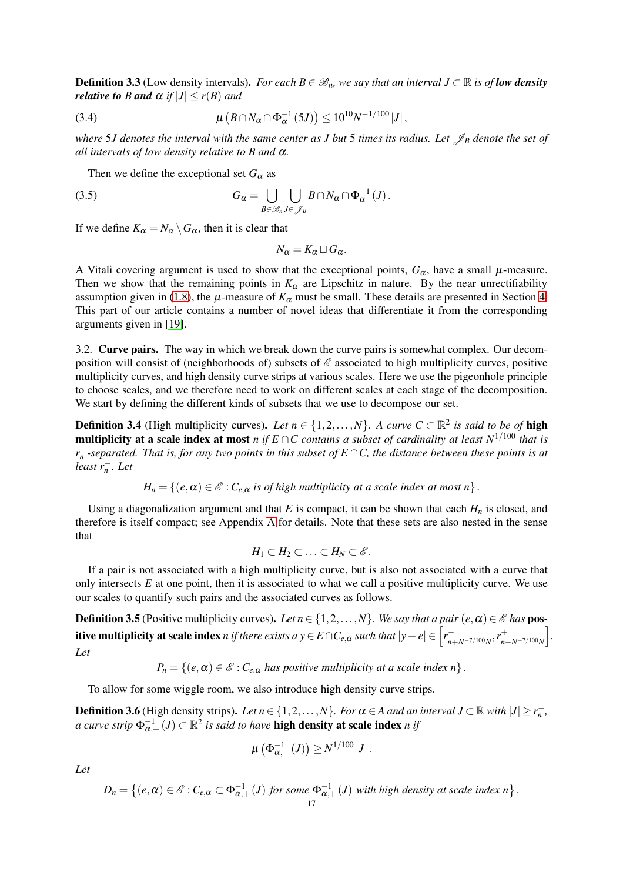<span id="page-16-4"></span>**Definition 3.3** (Low density intervals). *For each B* ∈  $\mathcal{B}_n$ *, we say that an interval*  $J \subset \mathbb{R}$  *is of low density relative to B and*  $\alpha$  *if*  $|J| \le r(B)$  *and* 

<span id="page-16-3"></span>(3.4) 
$$
\mu\left(B \cap N_{\alpha} \cap \Phi_{\alpha}^{-1}(5J)\right) \leq 10^{10} N^{-1/100} |J|,
$$

*where* 5*J* denotes the interval with the same center as *J* but 5 times its radius. Let  $\mathscr{J}_B$  denote the set of *all intervals of low density relative to B and* <sup>α</sup>*.*

Then we define the exceptional set  $G_{\alpha}$  as

(3.5) 
$$
G_{\alpha} = \bigcup_{B \in \mathscr{B}_n} \bigcup_{J \in \mathscr{J}_B} B \cap N_{\alpha} \cap \Phi_{\alpha}^{-1}(J).
$$

If we define  $K_{\alpha} = N_{\alpha} \setminus G_{\alpha}$ , then it is clear that

<span id="page-16-2"></span>
$$
N_{\alpha}=K_{\alpha}\sqcup G_{\alpha}.
$$

A Vitali covering argument is used to show that the exceptional points,  $G_{\alpha}$ , have a small  $\mu$ -measure. Then we show that the remaining points in  $K_\alpha$  are Lipschitz in nature. By the near unrectifiability assumption given in [\(1.8\)](#page-3-3), the  $\mu$ -measure of  $K_{\alpha}$  must be small. These details are presented in Section [4.](#page-20-0) This part of our article contains a number of novel ideas that differentiate it from the corresponding arguments given in [\[19\]](#page-36-0).

3.2. Curve pairs. The way in which we break down the curve pairs is somewhat complex. Our decomposition will consist of (neighborhoods of) subsets of  $\mathscr E$  associated to high multiplicity curves, positive multiplicity curves, and high density curve strips at various scales. Here we use the pigeonhole principle to choose scales, and we therefore need to work on different scales at each stage of the decomposition. We start by defining the different kinds of subsets that we use to decompose our set.

<span id="page-16-0"></span>**Definition 3.4** (High multiplicity curves). Let  $n \in \{1, 2, ..., N\}$ . A curve  $C \subset \mathbb{R}^2$  is said to be of high multiplicity at a scale index at most *n* if  $E \cap C$  contains a subset of cardinality at least  $N^{1/100}$  that is *r* − *n -separated. That is, for any two points in this subset of E* ∩*C, the distance between these points is at least r*− *n . Let*

 $H_n = \{(e, \alpha) \in \mathcal{E} : C_{e,\alpha}$  *is of high multiplicity at a scale index at most n* $\}$ .

Using a diagonalization argument and that  $E$  is compact, it can be shown that each  $H<sub>n</sub>$  is closed, and therefore is itself compact; see Appendix [A](#page-35-0) for details. Note that these sets are also nested in the sense that

$$
H_1\subset H_2\subset\ldots\subset H_N\subset\mathscr{E}.
$$

If a pair is not associated with a high multiplicity curve, but is also not associated with a curve that only intersects *E* at one point, then it is associated to what we call a positive multiplicity curve. We use our scales to quantify such pairs and the associated curves as follows.

<span id="page-16-1"></span>**Definition 3.5** (Positive multiplicity curves). Let  $n \in \{1, 2, ..., N\}$ . We say that a pair  $(e, \alpha) \in \mathcal{E}$  has **pos**itive multiplicity at scale index *n* if there exists a  $y \in E \cap C_{e,\alpha}$  such that  $|y-e| \in \left[ r_{n+N^{-7/100}N}^{-} , r_{n}^{+} \right]$ *<sup>n</sup>*−*N*−7/100*<sup>N</sup>* i *. Let*

$$
P_n = \{ (e, \alpha) \in \mathcal{E} : C_{e,\alpha} \text{ has positive multiplicity at a scale index } n \}.
$$

To allow for some wiggle room, we also introduce high density curve strips.

<span id="page-16-5"></span>**Definition 3.6** (High density strips). Let  $n \in \{1, 2, ..., N\}$ . For  $\alpha \in A$  and an interval  $J \subset \mathbb{R}$  with  $|J| \ge r_n^{-}$ , *a curve strip*  $\Phi_{\alpha,+}^{-1}(J) \subset \mathbb{R}^2$  *is said to have <code>high density at scale index</mark> <i>n if*</code>

$$
\mu\left(\Phi_{\alpha,+}^{-1}\left(J\right)\right)\geq N^{1/100}\left|J\right|.
$$

*Let*

$$
D_n = \left\{ (e, \alpha) \in \mathscr{E} : C_{e,\alpha} \subset \Phi_{\alpha,+}^{-1}(J) \text{ for some } \Phi_{\alpha,+}^{-1}(J) \text{ with high density at scale index } n \right\}.
$$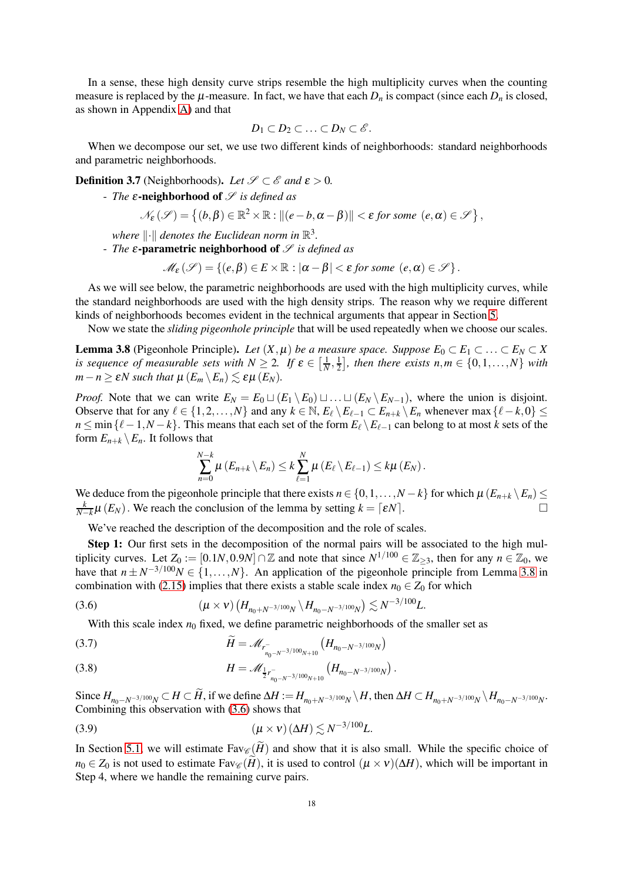In a sense, these high density curve strips resemble the high multiplicity curves when the counting measure is replaced by the  $\mu$ -measure. In fact, we have that each  $D_n$  is compact (since each  $D_n$  is closed, as shown in Appendix [A\)](#page-35-0) and that

$$
D_1\subset D_2\subset\ldots\subset D_N\subset\mathscr{E}.
$$

When we decompose our set, we use two different kinds of neighborhoods: standard neighborhoods and parametric neighborhoods.

**Definition 3.7** (Neighborhoods). Let  $\mathcal{S} \subset \mathcal{E}$  and  $\epsilon > 0$ .

- *The* <sup>ε</sup>-neighborhood of S *is defined as*

$$
\mathcal{N}_{\varepsilon}(\mathscr{S}) = \left\{ (b, \beta) \in \mathbb{R}^2 \times \mathbb{R} : ||(e - b, \alpha - \beta)|| < \varepsilon \text{ for some } (e, \alpha) \in \mathscr{S} \right\},
$$

where  $\lVert \cdot \rVert$  denotes the Euclidean norm in  $\mathbb{R}^3$ .

- *The*  $\varepsilon$ -parametric neighborhood of  $\mathscr S$  *is defined as* 

$$
\mathscr{M}_{\varepsilon}(\mathscr{S}) = \left\{ (e,\beta) \in E \times \mathbb{R} : |\alpha - \beta| < \varepsilon \text{ for some } (e,\alpha) \in \mathscr{S} \right\}.
$$

As we will see below, the parametric neighborhoods are used with the high multiplicity curves, while the standard neighborhoods are used with the high density strips. The reason why we require different kinds of neighborhoods becomes evident in the technical arguments that appear in Section [5.](#page-29-0)

Now we state the *sliding pigeonhole principle* that will be used repeatedly when we choose our scales.

<span id="page-17-0"></span>**Lemma 3.8** (Pigeonhole Principle). *Let*  $(X, \mu)$  *be a measure space. Suppose*  $E_0 \subset E_1 \subset \ldots \subset E_N \subset X$ *is sequence of measurable sets with*  $N \geq 2$ , *If*  $\varepsilon \in \left[\frac{1}{N}, \frac{1}{2}\right]$  $\frac{1}{2}$ , then there exists  $n,m \in \{0,1,\ldots,N\}$  with  $m - n \ge \varepsilon N$  such that  $\mu(E_m \setminus E_n) \le \varepsilon \mu(E_N)$ .

*Proof.* Note that we can write  $E_N = E_0 \sqcup (E_1 \setminus E_0) \sqcup \ldots \sqcup (E_N \setminus E_{N-1})$ , where the union is disjoint. Observe that for any  $\ell \in \{1, 2, ..., N\}$  and any  $k \in \mathbb{N}$ ,  $E_{\ell} \setminus E_{\ell-1} \subset E_{n+k} \setminus E_n$  whenever max  $\{\ell - k, 0\} \le$ *n* ≤ min { $\ell$  − 1,*N* − *k*}. This means that each set of the form  $E_{\ell} \setminus E_{\ell-1}$  can belong to at most *k* sets of the form  $E_{n+k} \setminus E_n$ . It follows that

$$
\sum_{n=0}^{N-k} \mu(E_{n+k} \setminus E_n) \leq k \sum_{\ell=1}^N \mu(E_{\ell} \setminus E_{\ell-1}) \leq k \mu(E_N).
$$

We deduce from the pigeonhole principle that there exists  $n \in \{0, 1, ..., N - k\}$  for which  $\mu(E_{n+k} \setminus E_n) \le$ *k*  $\frac{k}{N-k}\mu(E_N)$ . We reach the conclusion of the lemma by setting  $k = \lceil \varepsilon N \rceil$ .

We've reached the description of the decomposition and the role of scales.

Step 1: Our first sets in the decomposition of the normal pairs will be associated to the high multiplicity curves. Let  $Z_0 := [0.1N, 0.9N] \cap \mathbb{Z}$  and note that since  $N^{1/100} \in \mathbb{Z}_{\geq 3}$ , then for any  $n \in \mathbb{Z}_0$ , we have that  $n \pm N^{-3/100}N \in \{1, ..., N\}$ . An application of the pigeonhole principle from Lemma [3.8](#page-17-0) in combination with [\(2.15\)](#page-14-3) implies that there exists a stable scale index  $n_0 \in Z_0$  for which

(3.6) 
$$
(\mu \times \nu) \left( H_{n_0 + N^{-3/100}N} \setminus H_{n_0 - N^{-3/100}N} \right) \lesssim N^{-3/100}L.
$$

<span id="page-17-1"></span>With this scale index  $n_0$  fixed, we define parametric neighborhoods of the smaller set as

<span id="page-17-3"></span>(3.7) 
$$
\widetilde{H} = \mathscr{M}_{r_{n_0 - N^{-3/100}N+10}} \left( H_{n_0 - N^{-3/100}N} \right)
$$

<span id="page-17-4"></span>(3.8) 
$$
H = \mathscr{M}_{\frac{1}{2}r_{n_0-N^{-3/100}N+10}^{-}}\left(H_{n_0-N^{-3/100}N}\right).
$$

Since  $H_{n_0-N^{-3/100}N} \subset H \subset H$ , if we define  $\Delta H := H_{n_0+N^{-3/100}N} \setminus H$ , then  $\Delta H \subset H_{n_0+N^{-3/100}N} \setminus H_{n_0-N^{-3/100}N}$ . Combining this observation with [\(3.6\)](#page-17-1) shows that

<span id="page-17-2"></span>
$$
(3.9) \t\t\t (\mu \times \nu) (\Delta H) \lesssim N^{-3/100} L.
$$

In Section [5.1,](#page-29-1) we will estimate  $Fav_{\mathscr{C}}(H)$  and show that it is also small. While the specific choice of  $n_0 \in Z_0$  is not used to estimate Fav $\mathscr{C}(\widetilde{H})$ , it is used to control  $(\mu \times \nu)(\Delta H)$ , which will be important in Step 4, where we handle the remaining curve pairs.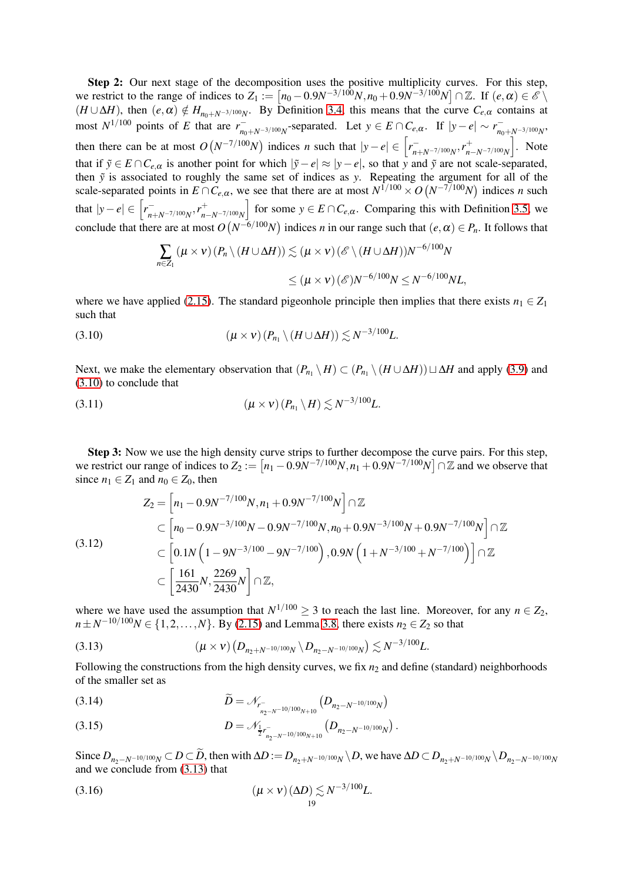Step 2: Our next stage of the decomposition uses the positive multiplicity curves. For this step, we restrict to the range of indices to  $Z_1 := [n_0 - 0.9N^{-3/100}N, n_0 + 0.9N^{-3/100}N] \cap \mathbb{Z}$ . If  $(e, \alpha) \in \mathscr{E} \setminus \mathbb{Z}$  $(H \cup \Delta H)$ , then  $(e, \alpha) \notin H_{n_0+N^{-3/100}N}$ . By Definition [3.4,](#page-16-0) this means that the curve  $C_{e,\alpha}$  contains at  $\text{most } N^{1/100} \text{ points of } E \text{ that are } r_{n_0+N^{-3/100}N}^{-} \text{separated.}$  Let  $y \in E \cap C_{e,\alpha}$ . If  $|y-e| \sim r_{n_0+N^{-3/100}N}^{-}$ then there can be at most  $O(N^{-7/100}N)$  indices *n* such that  $|y-e| \in \left[r_{n+N^{-7/100}N}^{-} , r_{n}^{+}\right]$ *<sup>n</sup>*−*N*−7/100*<sup>N</sup>* i . Note that if  $\tilde{y}$  ∈ *E* ∩  $C_{e,\alpha}$  is another point for which  $|\tilde{y} - e| \approx |y - e|$ , so that *y* and  $\tilde{y}$  are not scale-separated, then ˜*y* is associated to roughly the same set of indices as *y*. Repeating the argument for all of the scale-separated points in  $E \cap C_{e,\alpha}$ , we see that there are at most  $N^{1/100} \times O(N^{-7/100}N)$  indices *n* such that  $|y-e| \in \left[ r_{n+N^{-7/100}N}^{-}, r_{n}^{+} \right]$ *n*−*N*−7/100*N* for some  $y \in E \cap C_{e,\alpha}$ . Comparing this with Definition [3.5,](#page-16-1) we conclude that there are at most  $O(N^{-6/100}N)$  indices *n* in our range such that  $(e, \alpha) \in P_n$ . It follows that

<span id="page-18-0"></span>
$$
\sum_{n\in Z_1} (\mu \times \nu) (P_n \setminus (H \cup \Delta H)) \lesssim (\mu \times \nu) (\mathscr{E} \setminus (H \cup \Delta H)) N^{-6/100} N
$$
  

$$
\leq (\mu \times \nu) (\mathscr{E}) N^{-6/100} N \leq N^{-6/100} N L,
$$

where we have applied [\(2.15\)](#page-14-3). The standard pigeonhole principle then implies that there exists  $n_1 \in Z_1$ such that

(3.10) 
$$
(\mu \times \nu) (P_{n_1} \setminus (H \cup \Delta H)) \lesssim N^{-3/100} L.
$$

Next, we make the elementary observation that  $(P_{n_1} \setminus H) \subset (P_{n_1} \setminus (H \cup \Delta H)) \sqcup \Delta H$  and apply [\(3.9\)](#page-17-2) and [\(3.10\)](#page-18-0) to conclude that

<span id="page-18-2"></span>
$$
(3.11) \qquad (\mu \times \nu) (P_{n_1} \backslash H) \lesssim N^{-3/100} L.
$$

Step 3: Now we use the high density curve strips to further decompose the curve pairs. For this step, we restrict our range of indices to  $Z_2 := [n_1 - 0.9N^{-7/100}N, n_1 + 0.9N^{-7/100}N] \cap \mathbb{Z}$  and we observe that since  $n_1 \in Z_1$  and  $n_0 \in Z_0$ , then

<span id="page-18-4"></span>
$$
Z_2 = \left[ n_1 - 0.9N^{-7/100}N, n_1 + 0.9N^{-7/100}N \right] \cap \mathbb{Z}
$$
  
\n
$$
\subset \left[ n_0 - 0.9N^{-3/100}N - 0.9N^{-7/100}N, n_0 + 0.9N^{-3/100}N + 0.9N^{-7/100}N \right] \cap \mathbb{Z}
$$
  
\n(3.12)  
\n
$$
\subset \left[ 0.1N \left( 1 - 9N^{-3/100} - 9N^{-7/100} \right), 0.9N \left( 1 + N^{-3/100} + N^{-7/100} \right) \right] \cap \mathbb{Z}
$$
  
\n
$$
\subset \left[ \frac{161}{2430}N, \frac{2269}{2430}N \right] \cap \mathbb{Z},
$$

where we have used the assumption that  $N^{1/100} \geq 3$  to reach the last line. Moreover, for any  $n \in Z_2$ , *n*± $N^{-10/100}$  $N \in \{1, 2, ..., N\}$ . By [\(2.15\)](#page-14-3) and Lemma [3.8,](#page-17-0) there exists *n*<sub>2</sub> ∈ *Z*<sub>2</sub> so that

<span id="page-18-1"></span>(3.13) 
$$
(\mu \times \nu) (D_{n_2+N^{-10/100}N} \setminus D_{n_2-N^{-10/100}N}) \lesssim N^{-3/100}L.
$$

Following the constructions from the high density curves, we fix  $n_2$  and define (standard) neighborhoods of the smaller set as

<span id="page-18-5"></span>(3.14) 
$$
\widetilde{D} = \mathcal{N}_{r_{n_{2}-N^{-10/100}N+10}} \left( D_{n_{2}-N^{-10/100}N} \right)
$$

<span id="page-18-6"></span>(3.15) 
$$
D = \mathcal{N}_{\frac{1}{2}r_{n_2-N^{-10/100}N+10}} \left( D_{n_2-N^{-10/100}N} \right).
$$

Since  $D_{n_2-N^{-10/100}N} \subset D \subset D$ , then with  $\Delta D := D_{n_2+N^{-10/100}N} \setminus D$ , we have  $\Delta D \subset D_{n_2+N^{-10/100}N} \setminus D_{n_2-N^{-10/100}N}$ and we conclude from [\(3.13\)](#page-18-1) that

<span id="page-18-3"></span>
$$
\left(\mu \times \nu\right) \left(\Delta D\right) \lesssim N^{-3/100} L.
$$
\n(1)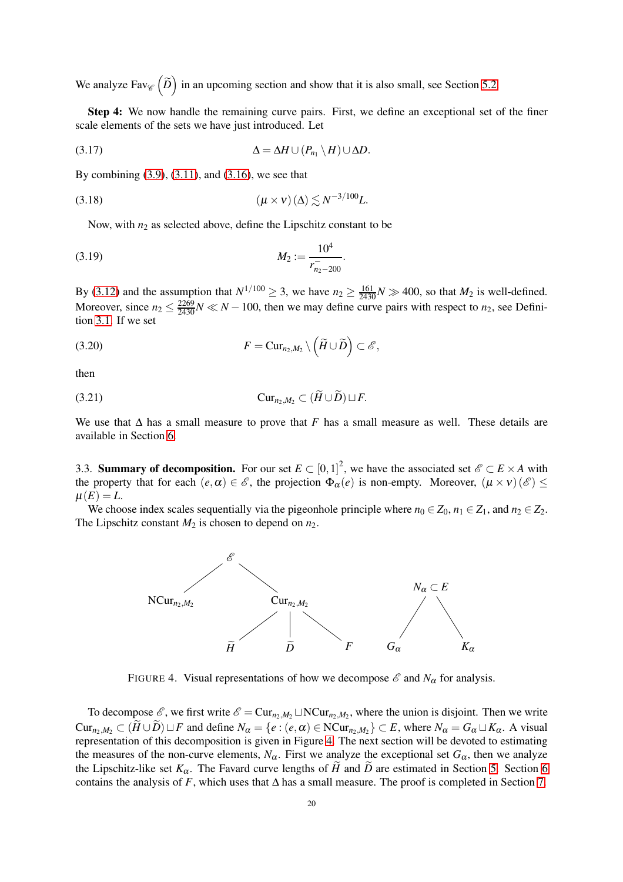We analyze  $\text{Fav}_{\mathscr{C}}\left(\widetilde{D}\right)$  in an upcoming section and show that it is also small, see Section [5.2.](#page-30-0)

Step 4: We now handle the remaining curve pairs. First, we define an exceptional set of the finer scale elements of the sets we have just introduced. Let

<span id="page-19-3"></span>
$$
\Delta = \Delta H \cup (P_{n_1} \setminus H) \cup \Delta D.
$$

By combining [\(3.9\)](#page-17-2), [\(3.11\)](#page-18-2), and [\(3.16\)](#page-18-3), we see that

$$
(3.18) \qquad (\mu \times \mathbf{v})(\Delta) \lesssim N^{-3/100}L.
$$

<span id="page-19-4"></span><span id="page-19-1"></span>Now, with  $n_2$  as selected above, define the Lipschitz constant to be

(3.19) 
$$
M_2 := \frac{10^4}{r_{n_2 - 200}^2}.
$$

By [\(3.12\)](#page-18-4) and the assumption that  $N^{1/100} \geq 3$ , we have  $n_2 \geq \frac{161}{2430}N \gg 400$ , so that  $M_2$  is well-defined. Moreover, since  $n_2 \leq \frac{2269}{2430}N \ll N - 100$ , then we may define curve pairs with respect to  $n_2$ , see Definition [3.1.](#page-15-1) If we set

<span id="page-19-2"></span>(3.20) 
$$
F = \mathrm{Cur}_{n_2,M_2} \setminus \left( \widetilde{H} \cup \widetilde{D} \right) \subset \mathscr{E},
$$

then

<span id="page-19-5"></span>(3.21) Cur*n*2,*M*<sup>2</sup> ⊂ (*H*e ∪ *D*e)⊔*F*.

We use that  $\Delta$  has a small measure to prove that *F* has a small measure as well. These details are available in Section [6.](#page-31-0)

3.3. **Summary of decomposition.** For our set  $E \subset [0,1]^2$ , we have the associated set  $\mathscr{E} \subset E \times A$  with the property that for each  $(e, \alpha) \in \mathscr{E}$ , the projection  $\Phi_{\alpha}(e)$  is non-empty. Moreover,  $(\mu \times \nu)(\mathscr{E}) \leq$  $\mu(E) = L$ .

We choose index scales sequentially via the pigeonhole principle where  $n_0 \in Z_0$ ,  $n_1 \in Z_1$ , and  $n_2 \in Z_2$ . The Lipschitz constant  $M_2$  is chosen to depend on  $n_2$ .



<span id="page-19-0"></span>FIGURE 4. Visual representations of how we decompose  $\mathscr E$  and  $N_\alpha$  for analysis.

To decompose  $\mathcal{E}$ , we first write  $\mathcal{E} = \text{Cur}_{n_2,M_2} \sqcup \text{NCur}_{n_2,M_2}$ , where the union is disjoint. Then we write  $Cur_{n_2,M_2} \subset (H \cup D) \sqcup F$  and define  $N_{\alpha} = \{e : (e, \alpha) \in NCur_{n_2,M_2}\} \subset E$ , where  $N_{\alpha} = G_{\alpha} \sqcup K_{\alpha}$ . A visual representation of this decomposition is given in Figure [4.](#page-19-0) The next section will be devoted to estimating the measures of the non-curve elements,  $N_\alpha$ . First we analyze the exceptional set  $G_\alpha$ , then we analyze the Lipschitz-like set  $K_{\alpha}$ . The Favard curve lengths of *H* and *D* are estimated in Section [5.](#page-29-0) Section [6](#page-31-0) contains the analysis of *F*, which uses that  $\Delta$  has a small measure. The proof is completed in Section [7.](#page-34-0)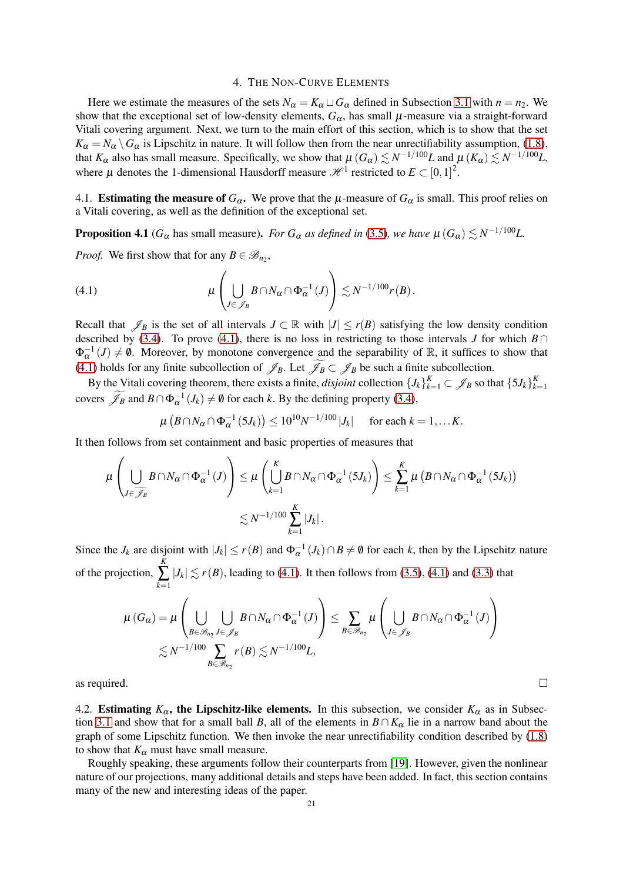### 4. THE NON-CURVE ELEMENTS

<span id="page-20-0"></span>Here we estimate the measures of the sets  $N_\alpha = K_\alpha \sqcup G_\alpha$  defined in Subsection [3.1](#page-15-3) with  $n = n_2$ . We show that the exceptional set of low-density elements,  $G_{\alpha}$ , has small  $\mu$ -measure via a straight-forward Vitali covering argument. Next, we turn to the main effort of this section, which is to show that the set  $K_{\alpha} = N_{\alpha} \setminus G_{\alpha}$  is Lipschitz in nature. It will follow then from the near unrectifiability assumption, [\(1.8\)](#page-3-3), that  $K_\alpha$  also has small measure. Specifically, we show that  $\mu(G_\alpha) \lesssim N^{-1/100}L$  and  $\mu(K_\alpha) \lesssim N^{-1/100}L$ , where  $\mu$  denotes the 1-dimensional Hausdorff measure  $\mathcal{H}^1$  restricted to  $E \subset [0,1]^2$ .

4.1. **Estimating the measure of**  $G_\alpha$ . We prove that the  $\mu$ -measure of  $G_\alpha$  is small. This proof relies on a Vitali covering, as well as the definition of the exceptional set.

<span id="page-20-2"></span>**Proposition 4.1** ( $G_{\alpha}$  has small measure). *For G<sub>α</sub> as defined in* [\(3.5\)](#page-16-2)*, we have*  $\mu$  ( $G_{\alpha}$ )  $\lesssim N^{-1/100}L$ .

*Proof.* We first show that for any  $B \in \mathcal{B}_{n_2}$ ,

<span id="page-20-1"></span>(4.1) 
$$
\mu\left(\bigcup_{J\in\mathscr{J}_B}B\cap N_{\alpha}\cap\Phi_{\alpha}^{-1}(J)\right)\lesssim N^{-1/100}r(B).
$$

Recall that  $\mathscr{J}_B$  is the set of all intervals  $J \subset \mathbb{R}$  with  $|J| \le r(B)$  satisfying the low density condition described by [\(3.4\)](#page-16-3). To prove [\(4.1\)](#page-20-1), there is no loss in restricting to those intervals *J* for which  $B \cap$  $\Phi_{\alpha}^{-1}(J) \neq \emptyset$ . Moreover, by monotone convergence and the separability of R, it suffices to show that [\(4.1\)](#page-20-1) holds for any finite subcollection of  $\mathscr{J}_B$ . Let  $\widetilde{\mathscr{J}_B} \subset \mathscr{J}_B$  be such a finite subcollection.

By the Vitali covering theorem, there exists a finite, *disjoint* collection  ${J_k}_{k=1}^K \subset \mathscr{J}_B$  so that  ${5J_k}_{k=1}^K$ *k*=1 covers  $\widetilde{\mathscr{J}}_B$  and  $B \cap \Phi_\alpha^{-1}(J_k) \neq \emptyset$  for each *k*. By the defining property [\(3.4\)](#page-16-3),

$$
\mu\left(B\cap N_{\alpha}\cap \Phi_{\alpha}^{-1}\left(\overline{5J_{k}}\right)\right)\leq 10^{10}N^{-1/100}|J_{k}| \quad \text{ for each } k=1,\ldots K.
$$

It then follows from set containment and basic properties of measures that

$$
\mu\left(\bigcup_{J\in\widetilde{\mathscr{J}}_B}B\cap N_{\alpha}\cap\Phi_{\alpha}^{-1}(J)\right)\leq\mu\left(\bigcup_{k=1}^KB\cap N_{\alpha}\cap\Phi_{\alpha}^{-1}\left(5J_k\right)\right)\leq\sum_{k=1}^K\mu\left(B\cap N_{\alpha}\cap\Phi_{\alpha}^{-1}\left(5J_k\right)\right)
$$

$$
\lesssim N^{-1/100}\sum_{k=1}^K|J_k|.
$$

Since the *J<sub>k</sub>* are disjoint with  $|J_k| \le r(B)$  and  $\Phi_{\alpha}^{-1}(J_k) \cap B \ne \emptyset$  for each *k*, then by the Lipschitz nature of the projection,  $\sum_{k=1}^{K} |J_k| \lesssim r(B)$ , leading to [\(4.1\)](#page-20-1). It then follows from [\(3.5\)](#page-16-2), [\(4.1\)](#page-20-1) and [\(3.3\)](#page-15-4) that

$$
\mu(G_{\alpha}) = \mu\left(\bigcup_{B \in \mathscr{B}_{n_2}} \bigcup_{J \in \mathscr{J}_B} B \cap N_{\alpha} \cap \Phi_{\alpha}^{-1}(J)\right) \leq \sum_{B \in \mathscr{B}_{n_2}} \mu\left(\bigcup_{J \in \mathscr{J}_B} B \cap N_{\alpha} \cap \Phi_{\alpha}^{-1}(J)\right) \leq N^{-1/100} \sum_{B \in \mathscr{B}_{n_2}} r(B) \lesssim N^{-1/100} L,
$$

as required.

4.2. Estimating  $K_{\alpha}$ , the Lipschitz-like elements. In this subsection, we consider  $K_{\alpha}$  as in Subsec-tion [3.1](#page-15-3) and show that for a small ball *B*, all of the elements in  $B \cap K_\alpha$  lie in a narrow band about the graph of some Lipschitz function. We then invoke the near unrectifiability condition described by [\(1.8\)](#page-3-3) to show that  $K_{\alpha}$  must have small measure.

Roughly speaking, these arguments follow their counterparts from [\[19\]](#page-36-0). However, given the nonlinear nature of our projections, many additional details and steps have been added. In fact, this section contains many of the new and interesting ideas of the paper.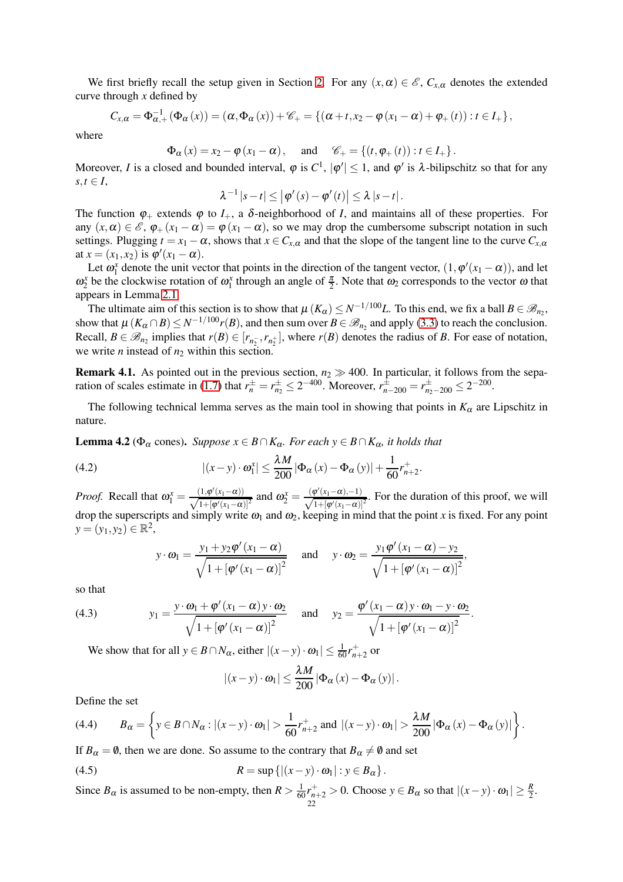We first briefly recall the setup given in Section [2.](#page-9-0) For any  $(x, \alpha) \in \mathscr{E}$ ,  $C_{x,\alpha}$  denotes the extended curve through *x* defined by

$$
C_{x,\alpha} = \Phi_{\alpha,+}^{-1} (\Phi_{\alpha}(x)) = (\alpha, \Phi_{\alpha}(x)) + \mathscr{C}_{+} = \{ (\alpha + t, x_2 - \varphi(x_1 - \alpha) + \varphi_{+}(t)) : t \in I_{+} \},
$$

where

 $\Phi_{\alpha}(x) = x_2 - \phi(x_1 - \alpha)$ , and  $\mathscr{C}_{+} = \{(t, \phi_{+}(t)) : t \in I_{+}\}.$ 

Moreover, *I* is a closed and bounded interval,  $\varphi$  is  $C^1$ ,  $|\varphi'|\leq 1$ , and  $\varphi'$  is  $\lambda$ -bilipschitz so that for any  $s,t \in I$ ,

$$
\lambda^{-1} |s-t| \leq |\varphi'(s) - \varphi'(t)| \leq \lambda |s-t|.
$$

The function  $\varphi_+$  extends  $\varphi$  to  $I_+$ , a  $\delta$ -neighborhood of *I*, and maintains all of these properties. For any  $(x, \alpha) \in \mathscr{E}$ ,  $\varphi_+(x_1 - \alpha) = \varphi(x_1 - \alpha)$ , so we may drop the cumbersome subscript notation in such settings. Plugging  $t = x_1 - \alpha$ , shows that  $x \in C_{x,\alpha}$  and that the slope of the tangent line to the curve  $C_{x,\alpha}$ at  $x = (x_1, x_2)$  is  $\varphi'(x_1 - \alpha)$ .

Let  $\omega_1^x$  denote the unit vector that points in the direction of the tangent vector,  $(1, \varphi'(x_1 - \alpha))$ , and let  $\omega_2^x$  be the clockwise rotation of  $\omega_1^x$  through an angle of  $\frac{\pi}{2}$ . Note that  $\omega_2$  corresponds to the vector  $\omega$  that appears in Lemma [2.1.](#page-11-3)

The ultimate aim of this section is to show that  $\mu(K_\alpha) \leq N^{-1/100}L$ . To this end, we fix a ball  $B \in \mathcal{B}_{n_2}$ , show that  $\mu$  ( $K_{\alpha} \cap B$ )  $\leq N^{-1/100} r(B)$ , and then sum over  $B \in \mathcal{B}_{n_2}$  and apply [\(3.3\)](#page-15-4) to reach the conclusion. Recall,  $B \in \mathcal{B}_{n_2}$  implies that  $r(B) \in [r_{n_2^-}, r_{n_2^+}]$ , where  $r(B)$  denotes the radius of *B*. For ease of notation, we write *n* instead of  $n_2$  within this section.

<span id="page-21-2"></span>**Remark 4.1.** As pointed out in the previous section,  $n_2 \gg 400$ . In particular, it follows from the sepa-ration of scales estimate in [\(1.7\)](#page-3-4) that  $r_n^{\pm} = r_{n_2}^{\pm} \le 2^{-400}$ . Moreover,  $r_{n-200}^{\pm} = r_{n_2-200}^{\pm} \le 2^{-200}$ .

The following technical lemma serves as the main tool in showing that points in  $K_\alpha$  are Lipschitz in nature.

**Lemma 4.2** ( $\Phi_{\alpha}$  cones). *Suppose*  $x \in B \cap K_{\alpha}$ *. For each*  $y \in B \cap K_{\alpha}$ *, it holds that* 

(4.2) 
$$
|(x - y) \cdot \omega_1^x| \le \frac{\lambda M}{200} |\Phi_{\alpha}(x) - \Phi_{\alpha}(y)| + \frac{1}{60} r_{n+2}^+.
$$

*Proof.* Recall that  $\omega_1^x = \frac{(1, \varphi'(x_1 - \alpha))}{\sqrt{1 + [\varphi'(x_1 - \alpha)]}}$  $\frac{(1, \varphi'(x_1-\alpha))}{1+[\varphi'(x_1-\alpha)]^2}$  and  $\omega_2^x = \frac{(\varphi'(x_1-\alpha),-1)}{\sqrt{1+[\varphi'(x_1-\alpha)]}}$  $\frac{\phi(x_1-\alpha)-1}{1+[\phi'(x_1-\alpha)]^2}$ . For the duration of this proof, we will drop the superscripts and simply write  $\omega_1$  and  $\omega_2$ , keeping in mind that the point *x* is fixed. For any point  $y = (y_1, y_2) \in \mathbb{R}^2$ ,

<span id="page-21-3"></span>
$$
y \cdot \omega_1 = \frac{y_1 + y_2 \varphi'(x_1 - \alpha)}{\sqrt{1 + [\varphi'(x_1 - \alpha)]^2}}
$$
 and  $y \cdot \omega_2 = \frac{y_1 \varphi'(x_1 - \alpha) - y_2}{\sqrt{1 + [\varphi'(x_1 - \alpha)]^2}}$ ,

so that

<span id="page-21-1"></span>(4.3) 
$$
y_1 = \frac{y \cdot \omega_1 + \varphi'(x_1 - \alpha)y \cdot \omega_2}{\sqrt{1 + [\varphi'(x_1 - \alpha)]^2}} \quad \text{and} \quad y_2 = \frac{\varphi'(x_1 - \alpha)y \cdot \omega_1 - y \cdot \omega_2}{\sqrt{1 + [\varphi'(x_1 - \alpha)]^2}}.
$$

We show that for all  $y \in B \cap N_\alpha$ , either  $|(x - y) \cdot \omega_1| \leq \frac{1}{60} r_{n+2}^+$  or

$$
|(x-y)\cdot\omega_1|\leq \frac{\lambda M}{200}|\Phi_{\alpha}(x)-\Phi_{\alpha}(y)|.
$$

Define the set

<span id="page-21-0"></span>
$$
(4.4) \qquad B_{\alpha} = \left\{ y \in B \cap N_{\alpha} : \left| (x - y) \cdot \omega_1 \right| > \frac{1}{60} r_{n+2}^+ \text{ and } \left| (x - y) \cdot \omega_1 \right| > \frac{\lambda M}{200} \left| \Phi_{\alpha} \left( x \right) - \Phi_{\alpha} \left( y \right) \right| \right\}.
$$

If  $B_\alpha = \emptyset$ , then we are done. So assume to the contrary that  $B_\alpha \neq \emptyset$  and set

(4.5) 
$$
R = \sup \left\{ |(x - y) \cdot \omega_1| : y \in B_\alpha \right\}.
$$

Since  $B_{\alpha}$  is assumed to be non-empty, then  $R > \frac{1}{60}r_{n+2}^+ > 0$ . Choose  $y \in B_{\alpha}$  so that  $|(x - y) \cdot \omega_1| \geq \frac{R}{2}$ . 22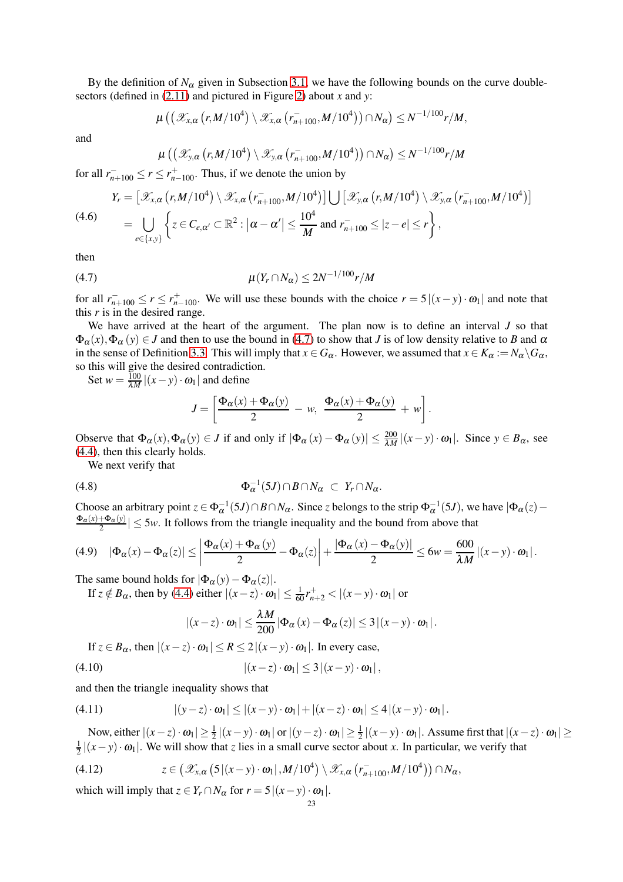By the definition of  $N_\alpha$  given in Subsection [3.1,](#page-15-3) we have the following bounds on the curve doublesectors (defined in [\(2.11\)](#page-11-0) and pictured in Figure [2\)](#page-11-2) about *x* and *y*:

$$
\mu\left(\left(\mathscr{X}_{x,\alpha}\left(r,M/10^4\right)\setminus \mathscr{X}_{x,\alpha}\left(r_{n+100}^{-},M/10^4\right)\right)\cap N_{\alpha}\right)\leq N^{-1/100}r/M,
$$

and

 $\mu\left(\left(\mathscr{X}_{\mathsf{y},\alpha}\left(\mathsf{r},M/10^4\right)\setminus \mathscr{X}_{\mathsf{y},\alpha}\left(\mathsf{r}_{n+100}^{-},M/10^4\right)\right) \cap N_{\alpha}\right) \leq N^{-1/100}r/M$ 

for all  $r_{n+100}^- \le r \le r_{n-100}^+$ . Thus, if we denote the union by

$$
Y_r = \left[\mathscr{X}_{x,\alpha}\left(r,M/10^4\right) \setminus \mathscr{X}_{x,\alpha}\left(r_{n+100}^{-},M/10^4\right)\right] \bigcup \left[\mathscr{X}_{y,\alpha}\left(r,M/10^4\right) \setminus \mathscr{X}_{y,\alpha}\left(r_{n+100}^{-},M/10^4\right)\right]
$$
\n
$$
= \bigcup_{e \in \{x,y\}} \left\{z \in C_{e,\alpha'} \subset \mathbb{R}^2 : \left|\alpha - \alpha'\right| \le \frac{10^4}{M} \text{ and } r_{n+100}^{-} \le |z - e| \le r\right\},\right\}
$$
\n(4.6)

then

(4.7) 
$$
\mu(Y_r \cap N_{\alpha}) \leq 2N^{-1/100} r/M
$$

for all  $r_{n+100}^- \le r \le r_{n-100}^+$ . We will use these bounds with the choice  $r = 5|(x-y) \cdot \omega_1|$  and note that this *r* is in the desired range.

We have arrived at the heart of the argument. The plan now is to define an interval *J* so that  $\Phi_{\alpha}(x), \Phi_{\alpha}(y) \in J$  and then to use the bound in [\(4.7\)](#page-22-0) to show that *J* is of low density relative to *B* and  $\alpha$ in the sense of Definition [3.3.](#page-16-4) This will imply that  $x \in G_\alpha$ . However, we assumed that  $x \in K_\alpha := N_\alpha \backslash G_\alpha$ , so this will give the desired contradiction.

Set  $w = \frac{100}{\lambda M} |(x - y) \cdot \omega_1|$  and define

<span id="page-22-5"></span><span id="page-22-0"></span>
$$
J = \left[\frac{\Phi_{\alpha}(x) + \Phi_{\alpha}(y)}{2} - w, \frac{\Phi_{\alpha}(x) + \Phi_{\alpha}(y)}{2} + w\right].
$$

Observe that  $\Phi_{\alpha}(x), \Phi_{\alpha}(y) \in J$  if and only if  $|\Phi_{\alpha}(x) - \Phi_{\alpha}(y)| \leq \frac{200}{\lambda M} |(x - y) \cdot \omega_1|$ . Since  $y \in B_{\alpha}$ , see [\(4.4\)](#page-21-0), then this clearly holds.

We next verify that

$$
\Phi_{\alpha}^{-1}(5J) \cap B \cap N_{\alpha} \subset Y_r \cap N_{\alpha}.
$$

Choose an arbitrary point  $z \in \Phi_{\alpha}^{-1}(5J) \cap B \cap N_{\alpha}$ . Since *z* belongs to the strip  $\Phi_{\alpha}^{-1}(5J)$ , we have  $|\Phi_{\alpha}(z) - \Phi_{\alpha}(z)|$  $\Phi_{\alpha}(x)+\Phi_{\alpha}(y)$  $\left|\frac{\Delta \Phi_{\alpha}(y)}{2}\right| \le 5w$ . It follows from the triangle inequality and the bound from above that

<span id="page-22-1"></span>
$$
(4.9) \quad |\Phi_{\alpha}(x) - \Phi_{\alpha}(z)| \le \left|\frac{\Phi_{\alpha}(x) + \Phi_{\alpha}(y)}{2} - \Phi_{\alpha}(z)\right| + \frac{|\Phi_{\alpha}(x) - \Phi_{\alpha}(y)|}{2} \le 6w = \frac{600}{\lambda M} |(x - y) \cdot \omega_{1}|.
$$

The same bound holds for  $|\Phi_{\alpha}(y)-\Phi_{\alpha}(z)|$ .

If  $z \notin B_\alpha$ , then by [\(4.4\)](#page-21-0) either  $|(x-z) \cdot \omega_1| \leq \frac{1}{60} r_{n+2}^+ < |(x-y) \cdot \omega_1|$  or

<span id="page-22-2"></span>
$$
|(x-z)\cdot\omega_1|\leq \frac{\lambda M}{200}|\Phi_{\alpha}(x)-\Phi_{\alpha}(z)|\leq 3|(x-y)\cdot\omega_1|.
$$

If  $z \in B_\alpha$ , then  $|(x - z) \cdot \omega_1| \le R \le 2|(x - y) \cdot \omega_1|$ . In every case,

$$
|(4.10) \quad |(x-z)\cdot\omega_1|\leq 3|(x-y)\cdot\omega_1|,
$$

and then the triangle inequality shows that

<span id="page-22-4"></span>(4.11) 
$$
|(y-z)\cdot\omega_1|\leq |(x-y)\cdot\omega_1|+|(x-z)\cdot\omega_1|\leq 4|(x-y)\cdot\omega_1|.
$$

Now, either  $|(x-z) \cdot \omega_1| \ge \frac{1}{2} |(x-y) \cdot \omega_1|$  or  $|(y-z) \cdot \omega_1| \ge \frac{1}{2} |(x-y) \cdot \omega_1|$ . Assume first that  $|(x-z) \cdot \omega_1| \ge$ 1  $\frac{1}{2} |(x-y) \cdot \omega_1|$ . We will show that *z* lies in a small curve sector about *x*. In particular, we verify that

<span id="page-22-3"></span>
$$
(4.12) \t z \in \left(\mathscr{X}_{x,\alpha}\left(5\left|(x-y)\cdot\omega_1\right|,M/10^4\right)\setminus \mathscr{X}_{x,\alpha}\left(r_{n+100}^-,M/10^4\right)\right)\cap N_{\alpha},
$$

which will imply that  $z \in Y_r \cap N_\alpha$  for  $r = 5|(x - y) \cdot \omega_1|$ .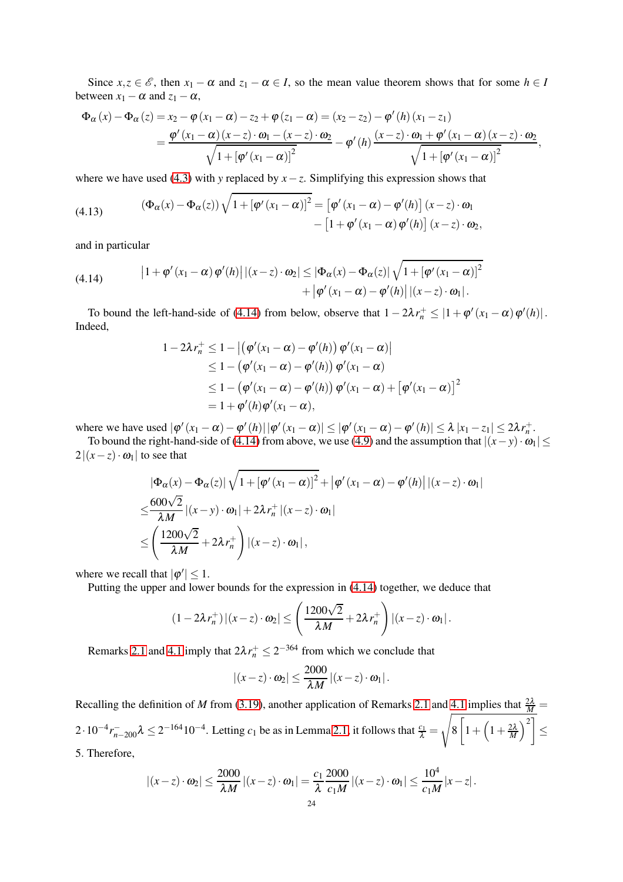Since  $x, z \in \mathcal{E}$ , then  $x_1 - \alpha$  and  $z_1 - \alpha \in I$ , so the mean value theorem shows that for some  $h \in I$ between  $x_1 - \alpha$  and  $z_1 - \alpha$ ,

$$
\Phi_{\alpha}(x) - \Phi_{\alpha}(z) = x_2 - \varphi(x_1 - \alpha) - z_2 + \varphi(z_1 - \alpha) = (x_2 - z_2) - \varphi'(h)(x_1 - z_1)
$$
  
= 
$$
\frac{\varphi'(x_1 - \alpha)(x - z) \cdot \omega_1 - (x - z) \cdot \omega_2}{\sqrt{1 + [\varphi'(x_1 - \alpha)]^2}} - \varphi'(h) \frac{(x - z) \cdot \omega_1 + \varphi'(x_1 - \alpha)(x - z) \cdot \omega_2}{\sqrt{1 + [\varphi'(x_1 - \alpha)]^2}},
$$

where we have used [\(4.3\)](#page-21-1) with *y* replaced by  $x - z$ . Simplifying this expression shows that

<span id="page-23-1"></span>(4.13) 
$$
(\Phi_{\alpha}(x) - \Phi_{\alpha}(z)) \sqrt{1 + [\varphi'(x_1 - \alpha)]^2} = [\varphi'(x_1 - \alpha) - \varphi'(h)] (x - z) \cdot \omega_1 - [1 + \varphi'(x_1 - \alpha) \varphi'(h)] (x - z) \cdot \omega_2,
$$

and in particular

<span id="page-23-0"></span>(4.14) 
$$
\left|1+\varphi'(x_1-\alpha)\,\varphi'(h)\right|\left|(x-z)\cdot\omega_2\right|\leq \left|\Phi_{\alpha}(x)-\Phi_{\alpha}(z)\right|\sqrt{1+\left[\varphi'(x_1-\alpha)\right]^2} + \left|\varphi'(x_1-\alpha)-\varphi'(h)\right|\left|(x-z)\cdot\omega_1\right|.
$$

To bound the left-hand-side of [\(4.14\)](#page-23-0) from below, observe that  $1 - 2\lambda r_n^+ \leq |1 + \varphi'(x_1 - \alpha)\varphi'(h)|$ . Indeed,

$$
1 - 2\lambda r_n^+ \le 1 - \left| \left( \varphi'(x_1 - \alpha) - \varphi'(h) \right) \varphi'(x_1 - \alpha) \right|
$$
  
\n
$$
\le 1 - \left( \varphi'(x_1 - \alpha) - \varphi'(h) \right) \varphi'(x_1 - \alpha)
$$
  
\n
$$
\le 1 - \left( \varphi'(x_1 - \alpha) - \varphi'(h) \right) \varphi'(x_1 - \alpha) + \left[ \varphi'(x_1 - \alpha) \right]^2
$$
  
\n
$$
= 1 + \varphi'(h) \varphi'(x_1 - \alpha),
$$

where we have used  $|\varphi'(x_1 - \alpha) - \varphi'(h)| |\varphi'(x_1 - \alpha)| \leq |\varphi'(x_1 - \alpha) - \varphi'(h)| \leq \lambda |x_1 - z_1| \leq 2\lambda r_n^+$ .

To bound the right-hand-side of [\(4.14\)](#page-23-0) from above, we use [\(4.9\)](#page-22-1) and the assumption that  $|(x - y) \cdot \omega_1|$  $2|(x-z)\cdot\omega_1|$  to see that

$$
\begin{split} & |\Phi_{\alpha}(x) - \Phi_{\alpha}(z)| \sqrt{1 + [\varphi'(x_1 - \alpha)]^2} + |\varphi'(x_1 - \alpha) - \varphi'(h)| |(x - z) \cdot \omega_1| \\ & \leq \frac{600\sqrt{2}}{\lambda M} |(x - y) \cdot \omega_1| + 2\lambda r_n^+ |(x - z) \cdot \omega_1| \\ & \leq \left(\frac{1200\sqrt{2}}{\lambda M} + 2\lambda r_n^+ \right) |(x - z) \cdot \omega_1|, \end{split}
$$

where we recall that  $|\varphi'| \leq 1$ .

Putting the upper and lower bounds for the expression in [\(4.14\)](#page-23-0) together, we deduce that

$$
(1-2\lambda r_n^+)(x-z)\cdot\omega_2\vert\leq \left(\frac{1200\sqrt{2}}{\lambda M}+2\lambda r_n^+\right)\vert(x-z)\cdot\omega_1\vert.
$$

Remarks [2.1](#page-9-1) and [4.1](#page-21-2) imply that  $2\lambda r_n^+ \leq 2^{-364}$  from which we conclude that

$$
|(x-z)\cdot\omega_2|\leq \frac{2000}{\lambda M}|(x-z)\cdot\omega_1|.
$$

Recalling the definition of *M* from [\(3.19\)](#page-19-1), another application of Remarks [2.1](#page-9-1) and  $\frac{4.1 \text{ implies that } \frac{2\lambda}{M}}{=}$  $2 \cdot 10^{-4} r_{n-200}^{-} \lambda \leq 2^{-164} 10^{-4}$ . Letting  $c_1$  be as in Lemma [2.1,](#page-11-3) it follows that  $\frac{c_1}{\lambda}$ s 8  $\sqrt{ }$  $1+\left(1+\frac{2\lambda}{M}\right)$  $\setminus^2$ ≤ 5. Therefore,

$$
|(x-z)\cdot\omega_2|\leq \frac{2000}{\lambda M}|(x-z)\cdot\omega_1|=\frac{c_1}{\lambda}\frac{2000}{c_1M}|(x-z)\cdot\omega_1|\leq \frac{10^4}{c_1M}|x-z|.
$$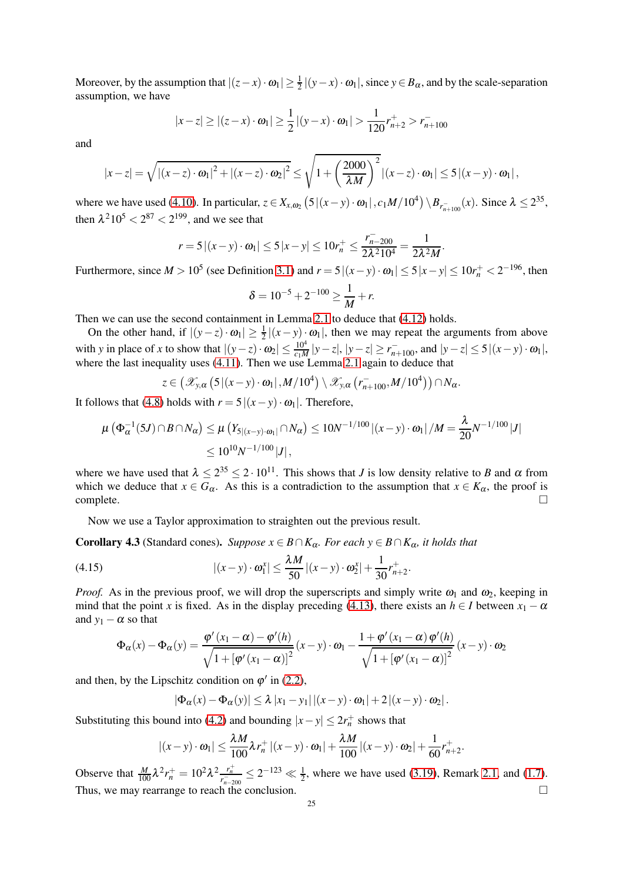Moreover, by the assumption that  $|(z-x) \cdot \omega_1| \ge \frac{1}{2} |(y-x) \cdot \omega_1|$ , since  $y \in B_\alpha$ , and by the scale-separation assumption, we have

$$
|x-z| \ge |(z-x) \cdot \omega_1| \ge \frac{1}{2} |(y-x) \cdot \omega_1| > \frac{1}{120} r_{n+2}^+ > r_{n+100}^-
$$

and

$$
|x-z|=\sqrt{\left|(x-z)\cdot\omega_1\right|^2+\left|(x-z)\cdot\omega_2\right|^2}\leq\sqrt{1+\left(\frac{2000}{\lambda M}\right)^2}\left|(x-z)\cdot\omega_1\right|\leq 5\left|(x-y)\cdot\omega_1\right|,
$$

where we have used [\(4.10\)](#page-22-2). In particular,  $z \in X_{x,\omega_2} (5|(x-y) \cdot \omega_1 |, c_1M/10^4) \setminus B_{r_{n+100}^-}(x)$ . Since  $\lambda \leq 2^{35}$ , then  $\lambda^2 10^5 < 2^{87} < 2^{199}$ , and we see that

$$
r = 5 |(x - y) \cdot \omega_1| \le 5 |x - y| \le 10r_n^+ \le \frac{r_{n-200}^-}{2\lambda^2 10^4} = \frac{1}{2\lambda^2 M}
$$

.

Furthermore, since  $M > 10^5$  (see Definition [3.1\)](#page-15-1) and  $r = 5|(x-y) \cdot \omega_1| \le 5|x-y| \le 10r_n^+ < 2^{-196}$ , then

$$
\delta = 10^{-5} + 2^{-100} \ge \frac{1}{M} + r.
$$

Then we can use the second containment in Lemma [2.1](#page-11-3) to deduce that [\(4.12\)](#page-22-3) holds.

On the other hand, if  $|(y-z) \cdot \omega_1| \ge \frac{1}{2}|(x-y) \cdot \omega_1|$ , then we may repeat the arguments from above with *y* in place of *x* to show that  $|(y-z) \cdot \omega_2| \le \frac{10^4}{c_1 M} |y-z|, |y-z| \ge r_{n+100}^{\text{-}}$ , and  $|y-z| \le 5 |(x-y) \cdot \omega_1|$ , where the last inequality uses  $(4.11)$ . Then we use Lemma [2.1](#page-11-3) again to deduce that

$$
z\in \left(\mathscr{X}_{y,\alpha}\left(5\left|(x-y)\cdot\omega_1\right|,M/10^4\right)\setminus \mathscr{X}_{y,\alpha}\left(r_{n+100}^-,M/10^4\right)\right)\cap N_{\alpha}.
$$

It follows that [\(4.8\)](#page-22-5) holds with  $r = 5|(x - y) \cdot \omega_1|$ . Therefore,

$$
\mu\left(\Phi_{\alpha}^{-1}(5J) \cap B \cap N_{\alpha}\right) \leq \mu\left(Y_{5|(x-y)\cdot\omega_{1}|} \cap N_{\alpha}\right) \leq 10N^{-1/100} |(x-y)\cdot\omega_{1}| / M = \frac{\lambda}{20}N^{-1/100} |J|
$$
  

$$
\leq 10^{10}N^{-1/100} |J|,
$$

where we have used that  $\lambda \leq 2^{35} \leq 2 \cdot 10^{11}$ . This shows that *J* is low density relative to *B* and  $\alpha$  from which we deduce that  $x \in G_\alpha$ . As this is a contradiction to the assumption that  $x \in K_\alpha$ , the proof is complete.  $\Box$ complete.  $\Box$ 

Now we use a Taylor approximation to straighten out the previous result.

<span id="page-24-0"></span>**Corollary 4.3** (Standard cones). *Suppose*  $x \in B \cap K_\alpha$ *. For each*  $y \in B \cap K_\alpha$ *, it holds that* 

(4.15) 
$$
|(x-y) \cdot \omega_1^x| \le \frac{\lambda M}{50} |(x-y) \cdot \omega_2^x| + \frac{1}{30} r_{n+2}^+.
$$

*Proof.* As in the previous proof, we will drop the superscripts and simply write  $\omega_1$  and  $\omega_2$ , keeping in mind that the point *x* is fixed. As in the display preceding [\(4.13\)](#page-23-1), there exists an  $h \in I$  between  $x_1 - \alpha$ and  $y_1 - \alpha$  so that

$$
\Phi_{\alpha}(x) - \Phi_{\alpha}(y) = \frac{\varphi'(x_1 - \alpha) - \varphi'(h)}{\sqrt{1 + [\varphi'(x_1 - \alpha)]^2}} (x - y) \cdot \omega_1 - \frac{1 + \varphi'(x_1 - \alpha) \varphi'(h)}{\sqrt{1 + [\varphi'(x_1 - \alpha)]^2}} (x - y) \cdot \omega_2
$$

and then, by the Lipschitz condition on  $\varphi'$  in [\(2.2\)](#page-9-2),

 $|\Phi_{\alpha}(x) - \Phi_{\alpha}(y)| \leq \lambda |x_1 - y_1| |(x - y) \cdot \omega_1| + 2 |(x - y) \cdot \omega_2|.$ 

Substituting this bound into [\(4.2\)](#page-21-3) and bounding  $|x-y| \leq 2r_n^+$  shows that

$$
|(x-y)\cdot\omega_1|\leq \frac{\lambda M}{100}\lambda r_n^+|(x-y)\cdot\omega_1|+\frac{\lambda M}{100}|(x-y)\cdot\omega_2|+\frac{1}{60}r_{n+2}^+.
$$

Observe that  $\frac{M}{100} \lambda^2 r_n^+ = 10^2 \lambda^2 \frac{r_n^+}{r_{n-200}^-} \leq 2^{-123} \ll \frac{1}{2}$ , where we have used [\(3.19\)](#page-19-1), Remark [2.1,](#page-9-1) and [\(1.7\)](#page-3-4). Thus, we may rearrange to reach the conclusion.  $\Box$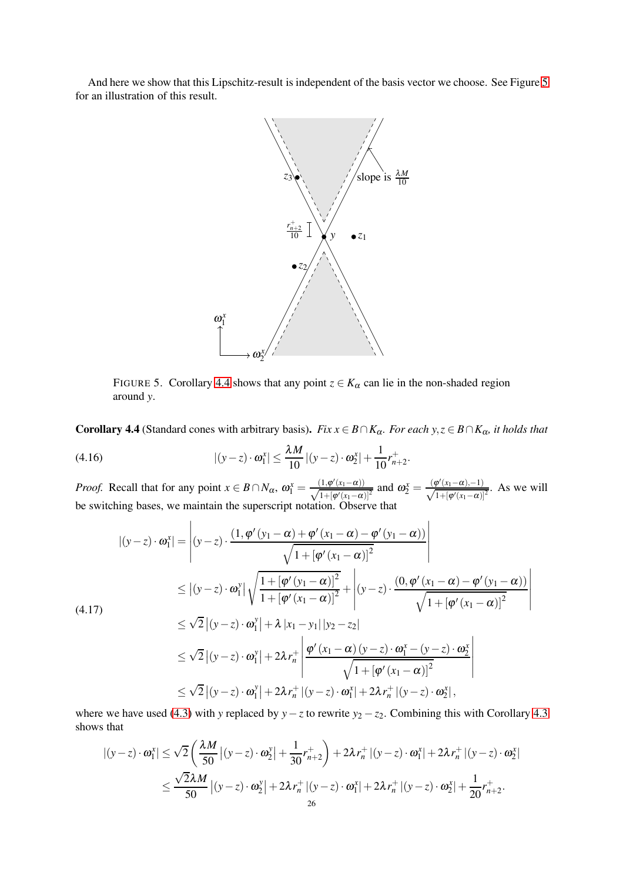And here we show that this Lipschitz-result is independent of the basis vector we choose. See Figure [5](#page-25-0) for an illustration of this result.



<span id="page-25-0"></span>FIGURE 5. Corollary [4.4](#page-25-1) shows that any point  $z \in K_\alpha$  can lie in the non-shaded region around *y*.

<span id="page-25-1"></span>Corollary 4.4 (Standard cones with arbitrary basis). *Fix*  $x \in B \cap K_\alpha$ *. For each y,*  $z \in B \cap K_\alpha$ *, it holds that* 

(4.16) 
$$
|(y-z) \cdot \omega_1^x| \le \frac{\lambda M}{10} |(y-z) \cdot \omega_2^x| + \frac{1}{10} r_{n+2}^+.
$$

*Proof.* Recall that for any point  $x \in B \cap N_\alpha$ ,  $\omega_1^x = \frac{(1, \phi'(x_1 - \alpha))}{\sqrt{1 + [\omega'(x_1 - \alpha)]}}$  $\frac{(1,φ'(x_1-α))}{1+[φ'(x_1-α)]^2}$  and  $\omega_2^x = \frac{(\phi'(x_1-α),-1)}{\sqrt{1+[φ'(x_1-α)]}}$  $\frac{\rho(x_1-\alpha)-1}{1+[\varphi'(x_1-\alpha)]^2}$ . As we will be switching bases, we maintain the superscript notation. Observe that

<span id="page-25-2"></span>
$$
|(y-z)\cdot \omega_1^x| = \left|(y-z)\cdot \frac{(1,\varphi'(y_1-\alpha)+\varphi'(x_1-\alpha)-\varphi'(y_1-\alpha))}{\sqrt{1+[\varphi'(x_1-\alpha)]^2}}\right|
$$
  
\n
$$
\leq |(y-z)\cdot \omega_1^y| \sqrt{\frac{1+[\varphi'(y_1-\alpha)]^2}{1+[\varphi'(x_1-\alpha)]^2}} + |(y-z)\cdot \frac{(0,\varphi'(x_1-\alpha)-\varphi'(y_1-\alpha))}{\sqrt{1+[\varphi'(x_1-\alpha)]^2}}|
$$
  
\n
$$
\leq \sqrt{2}|(y-z)\cdot \omega_1^y| + \lambda |x_1-y_1||y_2-z_2|
$$
  
\n
$$
\leq \sqrt{2}|(y-z)\cdot \omega_1^y| + 2\lambda r_n^+ \left|\frac{\varphi'(x_1-\alpha)(y-z)\cdot \omega_1^x - (y-z)\cdot \omega_2^x}{\sqrt{1+[\varphi'(x_1-\alpha)]^2}}\right|
$$
  
\n
$$
\leq \sqrt{2}|(y-z)\cdot \omega_1^y| + 2\lambda r_n^+ |(y-z)\cdot \omega_1^x| + 2\lambda r_n^+ |(y-z)\cdot \omega_2^x|,
$$

where we have used [\(4.3\)](#page-21-1) with *y* replaced by *y*−*z* to rewrite *y*<sub>2</sub> − *z*<sub>2</sub>. Combining this with Corollary [4.3](#page-24-0) shows that

$$
\begin{aligned} \left| (y-z) \cdot \omega_1^x \right| &\leq \sqrt{2} \left( \frac{\lambda M}{50} \left| (y-z) \cdot \omega_2^y \right| + \frac{1}{30} r_{n+2}^+ \right) + 2 \lambda r_n^+ \left| (y-z) \cdot \omega_1^x \right| + 2 \lambda r_n^+ \left| (y-z) \cdot \omega_2^x \right| \\ &\leq \frac{\sqrt{2} \lambda M}{50} \left| (y-z) \cdot \omega_2^y \right| + 2 \lambda r_n^+ \left| (y-z) \cdot \omega_1^x \right| + 2 \lambda r_n^+ \left| (y-z) \cdot \omega_2^x \right| + \frac{1}{20} r_{n+2}^+ .\end{aligned}
$$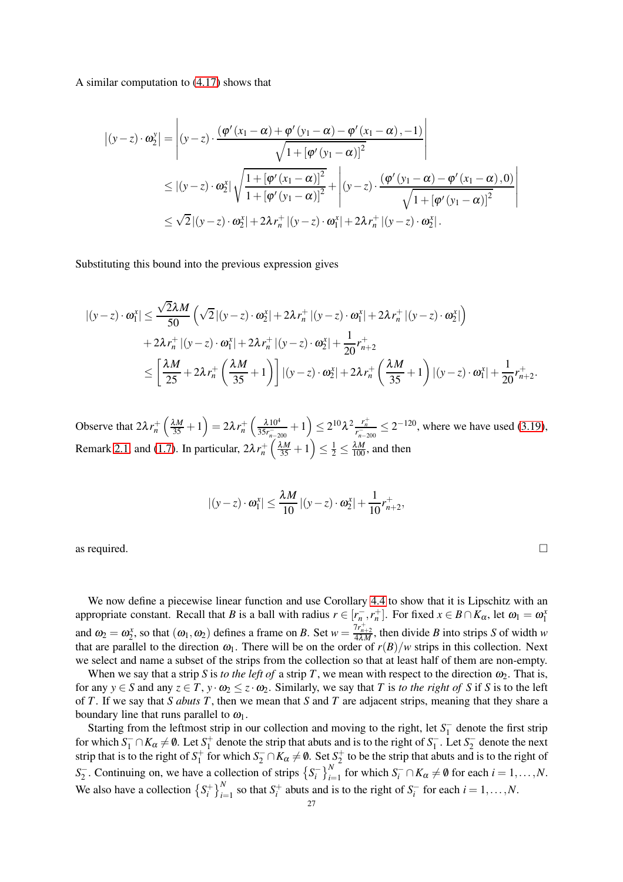A similar computation to [\(4.17\)](#page-25-2) shows that

$$
\begin{split}\n\left| (y-z) \cdot \omega_2^{\mathrm{y}} \right| &= \left| (y-z) \cdot \frac{\left( \varphi' (x_1 - \alpha) + \varphi' (y_1 - \alpha) - \varphi' (x_1 - \alpha) , -1 \right)}{\sqrt{1 + \left[ \varphi' (y_1 - \alpha) \right]^2}} \right| \\
&\leq \left| (y-z) \cdot \omega_2^{\mathrm{x}} \right| \sqrt{\frac{1 + \left[ \varphi' (x_1 - \alpha) \right]^2}{1 + \left[ \varphi' (y_1 - \alpha) \right]^2}} + \left| (y-z) \cdot \frac{\left( \varphi' (y_1 - \alpha) - \varphi' (x_1 - \alpha) , 0 \right)}{\sqrt{1 + \left[ \varphi' (y_1 - \alpha) \right]^2}} \right| \\
&\leq \sqrt{2} \left| (y-z) \cdot \omega_2^{\mathrm{x}} \right| + 2\lambda r_n^+ \left| (y-z) \cdot \omega_1^{\mathrm{x}} \right| + 2\lambda r_n^+ \left| (y-z) \cdot \omega_2^{\mathrm{x}} \right|. \n\end{split}
$$

Substituting this bound into the previous expression gives

$$
\begin{split} |(y-z)\cdot\omega_1^x| &\leq \frac{\sqrt{2}\lambda M}{50} \left(\sqrt{2}|(y-z)\cdot\omega_2^x|+2\lambda r_n^+|(y-z)\cdot\omega_1^x|+2\lambda r_n^+|(y-z)\cdot\omega_2^x|\right) \\ &+2\lambda r_n^+|(y-z)\cdot\omega_1^x|+2\lambda r_n^+|(y-z)\cdot\omega_2^x|+\frac{1}{20}r_{n+2}^+\\ &\leq \left[\frac{\lambda M}{25}+2\lambda r_n^+\left(\frac{\lambda M}{35}+1\right)\right]|(y-z)\cdot\omega_2^x|+2\lambda r_n^+\left(\frac{\lambda M}{35}+1\right)|(y-z)\cdot\omega_1^x|+\frac{1}{20}r_{n+2}^+.\end{split}
$$

Observe that  $2\lambda r_n^+$  $\left(\frac{\lambda M}{35}+1\right)=2\lambda r_n^+$  $\int \frac{\lambda 10^4}{\lambda 10^4}$  $rac{\lambda 10^4}{35r_{n-200}^-}+1$   $\leq 2^{10}\lambda^2 \frac{r_n^+}{r_{n-200}^-} \leq 2^{-120}$ , where we have used [\(3.19\)](#page-19-1), Remark [2.1,](#page-9-1) and [\(1.7\)](#page-3-4). In particular,  $2\lambda r_n^+$  $\left(\frac{\lambda M}{35}+1\right)$  $\leq \frac{1}{2} \leq \frac{\lambda M}{100}$ , and then

$$
|(y-z) \cdot \boldsymbol{\omega}_1^x| \le \frac{\lambda M}{10} |(y-z) \cdot \boldsymbol{\omega}_2^x| + \frac{1}{10} r_{n+2}^+,
$$

as required.  $\Box$ 

We now define a piecewise linear function and use Corollary [4.4](#page-25-1) to show that it is Lipschitz with an appropriate constant. Recall that *B* is a ball with radius  $r \in [r_{n_1}^-, r_n^+]$ . For fixed  $x \in B \cap K_\alpha$ , let  $\omega_1 = \omega_1^x$ and  $\omega_2 = \omega_2^x$ , so that  $(\omega_1, \omega_2)$  defines a frame on *B*. Set  $w = \frac{7r_{n+2}^+}{4\lambda M}$ , then divide *B* into strips *S* of width *w* that are parallel to the direction  $\omega_1$ . There will be on the order of  $r(B)/w$  strips in this collection. Next we select and name a subset of the strips from the collection so that at least half of them are non-empty.

When we say that a strip *S* is *to the left of* a strip *T*, we mean with respect to the direction  $\omega_2$ . That is, for any  $y \in S$  and any  $z \in T$ ,  $y \cdot \omega_2 \leq z \cdot \omega_2$ . Similarly, we say that *T* is *to the right of S* if *S* is to the left of *T*. If we say that *S abuts T*, then we mean that *S* and *T* are adjacent strips, meaning that they share a boundary line that runs parallel to  $\omega_1$ .

Starting from the leftmost strip in our collection and moving to the right, let  $S_1^-$  denote the first strip for which  $S_1^- \cap K_\alpha \neq \emptyset$ . Let  $S_1^+$  denote the strip that abuts and is to the right of  $S_1^-$ . Let  $S_2^-$  denote the next strip that is to the right of  $S_1^+$  for which  $S_2^- \cap K_\alpha \neq \emptyset$ . Set  $S_2^+$  to be the strip that abuts and is to the right of *S*<sub>2</sub>. Continuing on, we have a collection of strips  $\left\{ S_i^- \right\}_{i=1}^N$  for which  $S_i^- \cap K_\alpha \neq \emptyset$  for each  $i = 1, \ldots, N$ . We also have a collection  $\left\{ S_i^+ \right\}_{i=1}^N$  so that  $S_i^+$  abuts and is to the right of  $S_i^-$  for each  $i = 1, ..., N$ .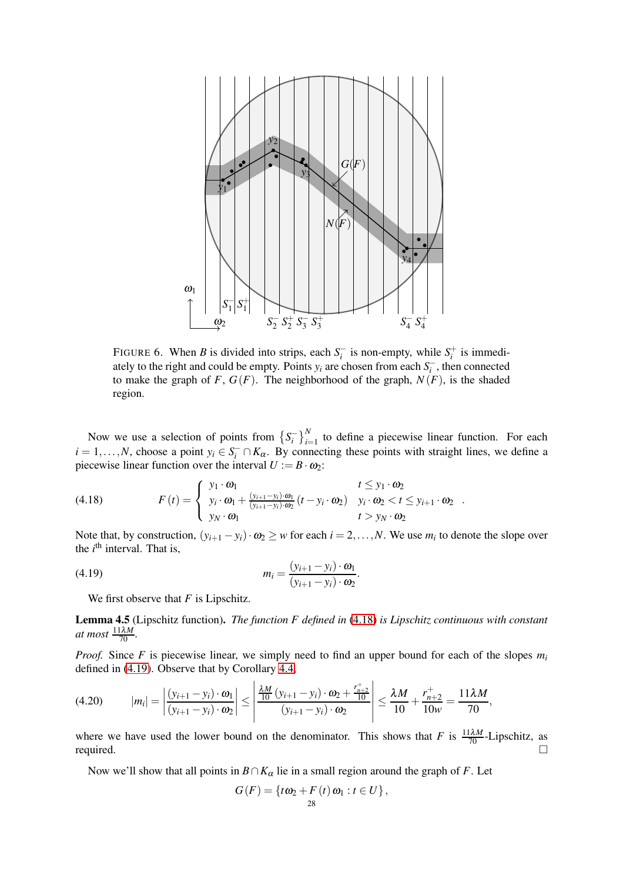

FIGURE 6. When *B* is divided into strips, each  $S_i^-$  is non-empty, while  $S_i^+$  is immediately to the right and could be empty. Points  $y_i$  are chosen from each  $S_i^-$ , then connected to make the graph of  $F$ ,  $G(F)$ . The neighborhood of the graph,  $N(F)$ , is the shaded region.

Now we use a selection of points from  $\left\{S_i^-\right\}_{i=1}^N$  to define a piecewise linear function. For each  $i = 1, \ldots, N$ , choose a point  $y_i \in S_i^- \cap K_\alpha$ . By connecting these points with straight lines, we define a piecewise linear function over the interval  $U := B \cdot \omega_2$ :

<span id="page-27-0"></span>(4.18) 
$$
F(t) = \begin{cases} y_1 \cdot \omega_1 & t \le y_1 \cdot \omega_2 \\ y_i \cdot \omega_1 + \frac{(y_{i+1} - y_i) \cdot \omega_1}{(y_{i+1} - y_i) \cdot \omega_2} (t - y_i \cdot \omega_2) & y_i \cdot \omega_2 < t \le y_{i+1} \cdot \omega_2 \\ y_N \cdot \omega_1 & t > y_N \cdot \omega_2 \end{cases}
$$

Note that, by construction,  $(y_{i+1} - y_i) \cdot \omega_2 \geq w$  for each  $i = 2, ..., N$ . We use  $m_i$  to denote the slope over the *i*<sup>th</sup> interval. That is,

<span id="page-27-1"></span>.

.

$$
(4.19) \t\t m_i = \frac{(y_{i+1} - y_i) \cdot \omega_1}{(y_{i+1} - y_i) \cdot \omega_2}
$$

We first observe that *F* is Lipschitz.

<span id="page-27-3"></span>Lemma 4.5 (Lipschitz function). *The function F defined in* [\(4.18\)](#page-27-0) *is Lipschitz continuous with constant at most*  $\frac{11\lambda M}{70}$ .

*Proof.* Since *F* is piecewise linear, we simply need to find an upper bound for each of the slopes  $m_i$ defined in [\(4.19\)](#page-27-1). Observe that by Corollary [4.4,](#page-25-1)

<span id="page-27-2"></span>
$$
(4.20) \t|m_i| = \left|\frac{(y_{i+1} - y_i) \cdot \omega_1}{(y_{i+1} - y_i) \cdot \omega_2}\right| \le \left|\frac{\frac{\lambda M}{10} (y_{i+1} - y_i) \cdot \omega_2 + \frac{r_{n+2}^+}{10}}{(y_{i+1} - y_i) \cdot \omega_2}\right| \le \frac{\lambda M}{10} + \frac{r_{n+2}^+}{10w} = \frac{11\lambda M}{70},
$$

where we have used the lower bound on the denominator. This shows that *F* is  $\frac{11\lambda M}{70}$ -Lipschitz, as required.  $\Box$ 

Now we'll show that all points in  $B \cap K_\alpha$  lie in a small region around the graph of *F*. Let

$$
G(F) = \{t\omega_2 + F(t)\omega_1 : t \in U\},\
$$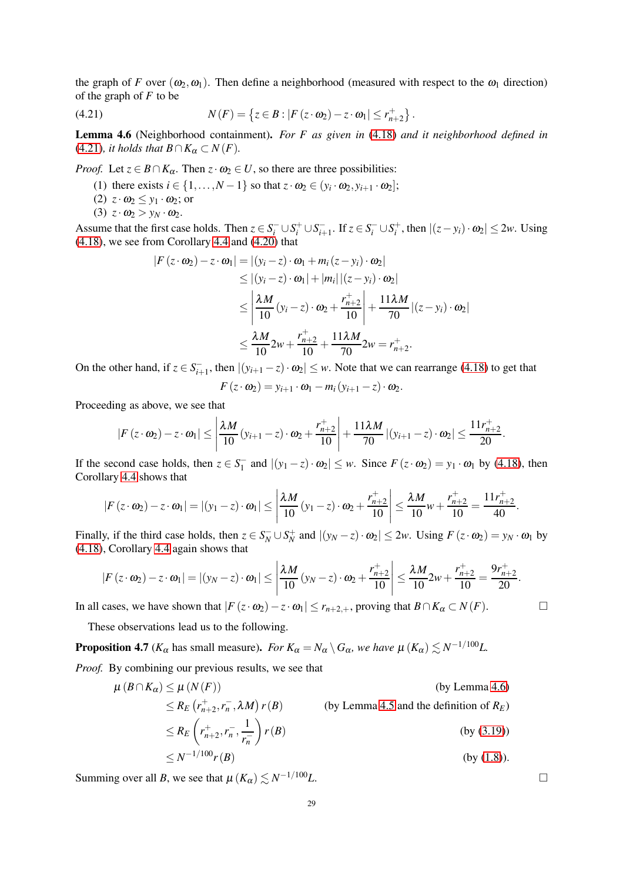the graph of *F* over  $(\omega_2, \omega_1)$ . Then define a neighborhood (measured with respect to the  $\omega_1$  direction) of the graph of *F* to be

<span id="page-28-0"></span>(4.21) 
$$
N(F) = \{ z \in B : |F(z \cdot \omega_2) - z \cdot \omega_1| \le r_{n+2}^+ \}.
$$

<span id="page-28-1"></span>Lemma 4.6 (Neighborhood containment). *For F as given in* [\(4.18\)](#page-27-0) *and it neighborhood defined in*  $(4.21)$ *, it holds that*  $B \cap K_\alpha \subset N(F)$ *.* 

*Proof.* Let  $z \in B \cap K_\alpha$ . Then  $z \cdot \omega_2 \in U$ , so there are three possibilities:

- (1) there exists  $i \in \{1, ..., N-1\}$  so that  $z \cdot \omega_2 \in (y_i \cdot \omega_2, y_{i+1} \cdot \omega_2];$
- (2)  $z \cdot \omega_2 \leq y_1 \cdot \omega_2$ ; or
- (3)  $z \cdot \omega_2 > y_N \cdot \omega_2$ .

Assume that the first case holds. Then  $z \in S_i^- \cup S_i^+ \cup S_{i+1}^-$ . If  $z \in S_i^- \cup S_i^+$ , then  $|(z - y_i) \cdot \omega_2| \le 2w$ . Using [\(4.18\)](#page-27-0), we see from Corollary [4.4](#page-25-1) and [\(4.20\)](#page-27-2) that

$$
|F(z \cdot \omega_2) - z \cdot \omega_1| = |(y_i - z) \cdot \omega_1 + m_i(z - y_i) \cdot \omega_2|
$$
  
\n
$$
\leq |(y_i - z) \cdot \omega_1| + |m_i| |(z - y_i) \cdot \omega_2|
$$
  
\n
$$
\leq \left| \frac{\lambda M}{10} (y_i - z) \cdot \omega_2 + \frac{r_{n+2}^+}{10} \right| + \frac{11\lambda M}{70} |(z - y_i) \cdot \omega_2|
$$
  
\n
$$
\leq \frac{\lambda M}{10} 2w + \frac{r_{n+2}^+}{10} + \frac{11\lambda M}{70} 2w = r_{n+2}^+.
$$

On the other hand, if  $z \in S_{i+1}^-$ , then  $|(y_{i+1} - z) \cdot \omega_2| \leq w$ . Note that we can rearrange [\(4.18\)](#page-27-0) to get that

$$
F(z \cdot \omega_2) = y_{i+1} \cdot \omega_1 - m_i (y_{i+1} - z) \cdot \omega_2.
$$

Proceeding as above, we see that

$$
\left|F\left(z \cdot \omega_2\right)-z \cdot \omega_1\right| \le \left|\frac{\lambda M}{10}\left(y_{i+1}-z\right) \cdot \omega_2+\frac{r_{n+2}^+}{10}\right|+\frac{11\lambda M}{70}\left|(y_{i+1}-z) \cdot \omega_2\right| \le \frac{11r_{n+2}^+}{20}.
$$

If the second case holds, then  $z \in S_1^-$  and  $|(y_1 - z) \cdot \omega_2| \leq w$ . Since  $F(z \cdot \omega_2) = y_1 \cdot \omega_1$  by [\(4.18\)](#page-27-0), then Corollary [4.4](#page-25-1) shows that

$$
|F(z \cdot \omega_2) - z \cdot \omega_1| = |(y_1 - z) \cdot \omega_1| \le \left| \frac{\lambda M}{10} (y_1 - z) \cdot \omega_2 + \frac{r_{n+2}^+}{10} \right| \le \frac{\lambda M}{10} w + \frac{r_{n+2}^+}{10} = \frac{11r_{n+2}^+}{40}.
$$

Finally, if the third case holds, then  $z \in S_N^- \cup S_N^+$  and  $|(y_N - z) \cdot \omega_2| \le 2w$ . Using  $F(z \cdot \omega_2) = y_N \cdot \omega_1$  by [\(4.18\)](#page-27-0), Corollary [4.4](#page-25-1) again shows that

$$
|F(z \cdot \omega_2) - z \cdot \omega_1| = |(y_N - z) \cdot \omega_1| \le \left| \frac{\lambda M}{10} (y_N - z) \cdot \omega_2 + \frac{r_{n+2}^+}{10} \right| \le \frac{\lambda M}{10} 2w + \frac{r_{n+2}^+}{10} = \frac{9r_{n+2}^+}{20}.
$$

In all cases, we have shown that  $|F(z \cdot ω_2) - z \cdot ω_1| \le r_{n+2,+}$ , proving that *B*∩*K*α ⊂ *N*(*F*). □

These observations lead us to the following.

<span id="page-28-2"></span>**Proposition 4.7** ( $K_{\alpha}$  has small measure). *For*  $K_{\alpha} = N_{\alpha} \setminus G_{\alpha}$ , we have  $\mu(K_{\alpha}) \lesssim N^{-1/100}L$ .

*Proof.* By combining our previous results, we see that

$$
\mu(B \cap K_{\alpha}) \le \mu(N(F))
$$
 (by Lemma 4.6)  
\n
$$
\le R_E \left( r_{n+2}^+, r_n^-, \lambda M \right) r(B)
$$
 (by Lemma 4.5 and the definition of  $R_E$ )  
\n
$$
\le R_E \left( r_{n+2}^+, r_n^-, \frac{1}{r_n^-} \right) r(B)
$$
 (by (3.19))

$$
\leq N^{-1/100} r(B) \tag{by (1.8).}
$$

Summing over all *B*, we see that  $\mu(K_{\alpha}) \lesssim N^{-1/100}L$ .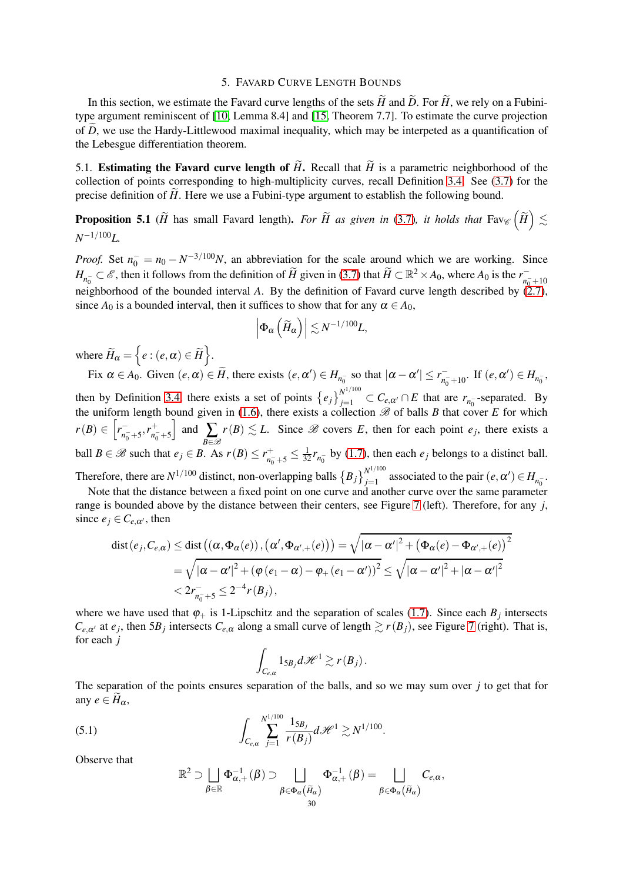### 5. FAVARD CURVE LENGTH BOUNDS

<span id="page-29-0"></span>In this section, we estimate the Favard curve lengths of the sets  $\widetilde{H}$  and  $\widetilde{D}$ . For  $\widetilde{H}$ , we rely on a Fubinitype argument reminiscent of [\[10,](#page-36-3) Lemma 8.4] and [\[15,](#page-36-4) Theorem 7.7]. To estimate the curve projection of *D*, we use the Hardy-Littlewood maximal inequality, which may be interpeted as a quantification of the Lebesgue differentiation theorem.

<span id="page-29-1"></span>5.1. Estimating the Favard curve length of  $\tilde{H}$ . Recall that  $\tilde{H}$  is a parametric neighborhood of the collection of points corresponding to high-multiplicity curves, recall Definition [3.4.](#page-16-0) See [\(3.7\)](#page-17-3) for the precise definition of  $\widetilde{H}$ . Here we use a Fubini-type argument to establish the following bound.

<span id="page-29-3"></span>**Proposition 5.1** ( $\widetilde{H}$  has small Favard length). *For*  $\widetilde{H}$  as given in [\(3.7\)](#page-17-3), it holds that  $\text{Fav}_{\mathscr{C}}\left(\widetilde{H}\right) \lesssim$ *N* <sup>−</sup>1/100*L.*

*Proof.* Set  $n_0^- = n_0 - N^{-3/100}N$ , an abbreviation for the scale around which we are working. Since  $H_{n_0^-} \subset \mathscr{E}$ , then it follows from the definition of  $\widetilde{H}$  given in [\(3.7\)](#page-17-3) that  $\widetilde{H} \subset \mathbb{R}^2 \times A_0$ , where  $A_0$  is the  $r_{n_0^-+10}^$ neighborhood of the bounded interval *A*. By the definition of Favard curve length described by [\(2.7\)](#page-10-3), since  $A_0$  is a bounded interval, then it suffices to show that for any  $\alpha \in A_0$ ,

$$
\left|\Phi_\alpha\left(\widetilde{H}_\alpha\right)\right| \lesssim N^{-1/100}L,
$$

where  $\widetilde{H}_\alpha = \left\{ e : (e, \alpha) \in \widetilde{H} \right\}.$ 

Fix  $\alpha \in A_0$ . Given  $(e, \alpha) \in H$ , there exists  $(e, \alpha') \in H_{n_0^-}$  so that  $|\alpha - \alpha'| \le r_{n_0^-+10}^-$ . If  $(e, \alpha') \in H_{n_0^-}$ , then by Definition [3.4,](#page-16-0) there exists a set of points  $\{e_j\}_{j=1}^{N^{1/100}} \subset C_{e,\alpha'} \cap E$  that are  $r_{n_0^-}$ -separated. By the uniform length bound given in [\(1.6\)](#page-3-2), there exists a collection  $\mathscr B$  of balls *B* that cover *E* for which  $r(B) \in \left[ r_{n_0^-+5}^-, r_{n_0^-}^+ \right]$  $n_0^-$ +5  $\Big|$  and  $\sum$ *B*∈B  $r(B) \lesssim L$ . Since *B* covers *E*, then for each point  $e_j$ , there exists a ball *B*  $\in$  *B* such that *e*<sub>*j*</sub>  $\in$  *B*. As *r*(*B*)  $\leq r_{n_c}^+$  $\frac{1}{n_0^- + 5} \leq \frac{1}{32} r_{n_0^-}$  by [\(1.7\)](#page-3-4), then each *e<sub>j</sub>* belongs to a distinct ball. Therefore, there are  $N^{1/100}$  distinct, non-overlapping balls  ${B_j}_{i=1}^{N^{1/100}}$  $\sum_{j=1}^{N}$  associated to the pair  $(e, \alpha') \in H_{n_0^-}$ .

Note that the distance between a fixed point on one curve and another curve over the same parameter range is bounded above by the distance between their centers, see Figure [7](#page-30-1) (left). Therefore, for any *j*, since  $e_j \in C_{e,\alpha'}$ , then

$$
\begin{aligned}\n\text{dist}(e_j, C_{e,\alpha}) &\leq \text{dist}\left(\left(\alpha, \Phi_{\alpha}(e)\right), \left(\alpha', \Phi_{\alpha',+}(e)\right)\right) = \sqrt{|\alpha - \alpha'|^2 + \left(\Phi_{\alpha}(e) - \Phi_{\alpha',+}(e)\right)^2} \\
&= \sqrt{|\alpha - \alpha'|^2 + \left(\phi\left(e_1 - \alpha\right) - \phi_+\left(e_1 - \alpha'\right)\right)^2} \leq \sqrt{|\alpha - \alpha'|^2 + |\alpha - \alpha'|^2} \\
&< 2r_{n_0^-+5}^- \leq 2^{-4}r(B_j)\,,\n\end{aligned}
$$

where we have used that  $\varphi_+$  is 1-Lipschitz and the separation of scales [\(1.7\)](#page-3-4). Since each  $B_j$  intersects  $C_{e,\alpha'}$  at  $e_j$ , then 5*B<sub>j</sub>* intersects  $C_{e,\alpha}$  along a small curve of length  $\gtrsim r(B_j)$ , see Figure [7](#page-30-1) (right). That is, for each *j*

$$
\int_{C_{e,\alpha}} 1_{5B_j} d\mathscr{H}^1 \gtrsim r(B_j).
$$

The separation of the points ensures separation of the balls, and so we may sum over *j* to get that for any  $e \in H_\alpha$ ,

(5.1) 
$$
\int_{C_{e,\alpha}} \sum_{j=1}^{N^{1/100}} \frac{1_{5B_j}}{r(B_j)} d\mathcal{H}^1 \gtrsim N^{1/100}.
$$

Observe that

<span id="page-29-2"></span>
$$
\mathbb{R}^2 \supset \bigsqcup_{\beta \in \mathbb{R}} \Phi_{\alpha,+}^{-1}(\beta) \supset \bigsqcup_{\substack{\beta \in \Phi_{\alpha}(\widetilde{H}_{\alpha}) \\ 30}} \Phi_{\alpha,+}^{-1}(\beta) = \bigsqcup_{\beta \in \Phi_{\alpha}(\widetilde{H}_{\alpha})} C_{e,\alpha},
$$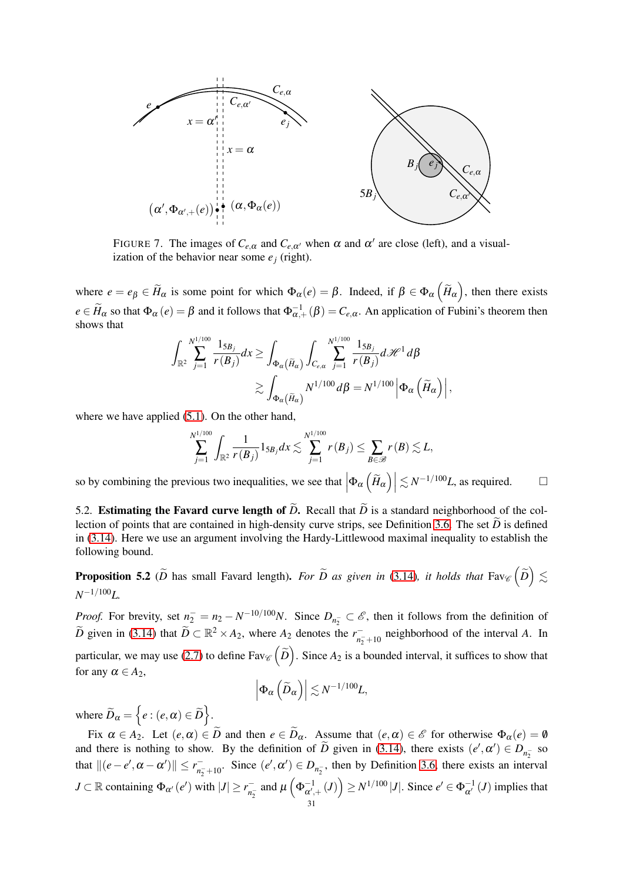

<span id="page-30-1"></span>FIGURE 7. The images of  $C_{e,\alpha}$  and  $C_{e,\alpha'}$  when  $\alpha$  and  $\alpha'$  are close (left), and a visualization of the behavior near some  $e_j$  (right).

where  $e = e_\beta \in \widetilde{H}_\alpha$  is some point for which  $\Phi_\alpha(e) = \beta$ . Indeed, if  $\beta \in \Phi_\alpha\left(\widetilde{H}_\alpha\right)$ , then there exists  $e \in \widetilde{H}_{\alpha}$  so that  $\Phi_{\alpha}(e) = \beta$  and it follows that  $\Phi_{\alpha,+}^{-1}(\beta) = C_{e,\alpha}$ . An application of Fubini's theorem then shows that

$$
\int_{\mathbb{R}^2} \sum_{j=1}^{N^{1/100}} \frac{1_{5B_j}}{r(B_j)} dx \ge \int_{\Phi_{\alpha}(\widetilde{H}_{\alpha})} \int_{C_{e,\alpha}} \sum_{j=1}^{N^{1/100}} \frac{1_{5B_j}}{r(B_j)} d\mathscr{H}^1 d\beta
$$

$$
\gtrsim \int_{\Phi_{\alpha}(\widetilde{H}_{\alpha})} N^{1/100} d\beta = N^{1/100} \left| \Phi_{\alpha}(\widetilde{H}_{\alpha}) \right|,
$$

where we have applied  $(5.1)$ . On the other hand,

$$
\sum_{j=1}^{N^{1/100}} \int_{\mathbb{R}^2} \frac{1}{r(B_j)} 1_{5B_j} dx \lesssim \sum_{j=1}^{N^{1/100}} r(B_j) \le \sum_{B \in \mathscr{B}} r(B) \lesssim L,
$$

so by combining the previous two inequalities, we see that  $|\Phi_{\alpha}(\tilde{H}_{\alpha})| \lesssim N^{-1/100}L$ , as required.  $\square$ 

<span id="page-30-0"></span>5.2. Estimating the Favard curve length of  $\widetilde{D}$ . Recall that  $\widetilde{D}$  is a standard neighborhood of the col-lection of points that are contained in high-density curve strips, see Definition [3.6.](#page-16-5) The set  $\tilde{D}$  is defined in [\(3.14\)](#page-18-5). Here we use an argument involving the Hardy-Littlewood maximal inequality to establish the following bound.

<span id="page-30-2"></span>**Proposition 5.2** ( $\widetilde{D}$  has small Favard length). *For*  $\widetilde{D}$  *as given in* [\(3.14\)](#page-18-5)*, it holds that*  $\text{Fav}_{\mathscr{C}}\left(\widetilde{D}\right)\lesssim$ *N* <sup>−</sup>1/100*L.*

*Proof.* For brevity, set  $n_2^- = n_2 - N^{-10/100}N$ . Since  $D_{n_2^-} \subset \mathscr{E}$ , then it follows from the definition of  $\widetilde{D}$  given in [\(3.14\)](#page-18-5) that  $\widetilde{D} \subset \mathbb{R}^2 \times A_2$ , where  $A_2$  denotes the  $r_{n_2+10}^-$  neighborhood of the interval *A*. In particular, we may use [\(2.7\)](#page-10-3) to define  $Fav_{\mathscr{C}}(\tilde{D})$ . Since  $A_2$  is a bounded interval, it suffices to show that for any  $\alpha \in A_2$ ,

$$
\left|\Phi_\alpha\left(\widetilde{D}_\alpha\right)\right| \lesssim N^{-1/100}L,
$$

where  $\widetilde{D}_{\alpha} = \left\{ e : (e, \alpha) \in \widetilde{D} \right\}.$ 

Fix  $\alpha \in A_2$ . Let  $(e, \alpha) \in D$  and then  $e \in D_\alpha$ . Assume that  $(e, \alpha) \in \mathscr{E}$  for otherwise  $\Phi_\alpha(e) = \emptyset$ and there is nothing to show. By the definition of *D* given in [\(3.14\)](#page-18-5), there exists  $(e', \alpha') \in D_{n_2^-}$  so that  $||(e - e', \alpha - \alpha')|| \le r_{n_2 + 10}^-$ . Since  $(e', \alpha') \in D_{n_2}^-$ , then by Definition [3.6,](#page-16-5) there exists an interval  $J \subset \mathbb{R}$  containing  $\Phi_{\alpha'}(e')$  with  $|J| \ge r_{n_2^-}^-$  and  $\mu\left(\Phi_{\alpha',+}^{-1}(J)\right) \ge N^{1/100} |J|$ . Since  $e' \in \Phi_{\alpha'}^{-1}(J)$  implies that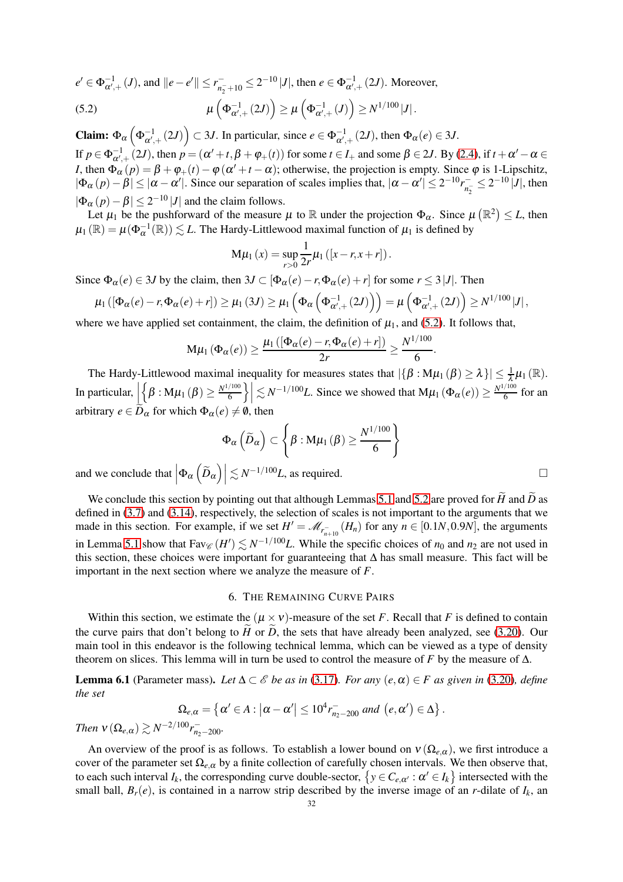$e' \in \Phi_{\alpha',+}^{-1}(J)$ , and  $||e - e'|| \le r_{n_2^-+10}^- \le 2^{-10} |J|$ , then  $e \in \Phi_{\alpha',+}^{-1}(2J)$ . Moreover,

<span id="page-31-1"></span>(5.2) 
$$
\mu\left(\Phi_{\alpha',+}^{-1}(2J)\right) \geq \mu\left(\Phi_{\alpha',+}^{-1}(J)\right) \geq N^{1/100}|J|.
$$

**Claim:**  $\Phi_{\alpha} \left( \Phi_{\alpha',+}^{-1} (2J) \right) \subset 3J$ . In particular, since  $e \in \Phi_{\alpha',+}^{-1} (2J)$ , then  $\Phi_{\alpha}(e) \in 3J$ . If  $p \in \Phi_{\alpha',+}^{-1}(2J)$ , then  $p = (\alpha' + t, \beta + \varphi_+(t))$  for some  $t \in I_+$  and some  $\beta \in 2J$ . By [\(2.4\)](#page-9-3), if  $t + \alpha' - \alpha \in I_+$ *I*, then  $\Phi_{\alpha}(p) = \beta + \varphi_{+}(t) - \varphi(\alpha' + t - \alpha)$ ; otherwise, the projection is empty. Since  $\varphi$  is 1-Lipschitz,  $|\Phi_{\alpha}(p)-\beta| \leq |\alpha-\alpha'|$ . Since our separation of scales implies that,  $|\alpha-\alpha'| \leq 2^{-10}r_{n_{2}}^{-} \leq 2^{-10}|J|$ , then  $|\Phi_{\alpha}(p)-\beta| \leq 2^{-10} |J|$  and the claim follows.

Let  $\mu_1$  be the pushforward of the measure  $\mu$  to  $\mathbb R$  under the projection  $\Phi_\alpha$ . Since  $\mu(\mathbb R^2) \leq L$ , then  $\mu_1(\mathbb{R}) = \mu(\Phi_\alpha^{-1}(\mathbb{R})) \lesssim L$ . The Hardy-Littlewood maximal function of  $\mu_1$  is defined by

$$
M\mu_1(x) = \sup_{r>0} \frac{1}{2r} \mu_1([x-r,x+r]).
$$

Since  $\Phi_{\alpha}(e) \in 3J$  by the claim, then  $3J \subset [\Phi_{\alpha}(e) - r, \Phi_{\alpha}(e) + r]$  for some  $r \leq 3|J|$ . Then

$$
\mu_1\left([\Phi_\alpha(e)-r,\Phi_\alpha(e)+r]\right)\geq \mu_1\left(3J\right)\geq \mu_1\left(\Phi_\alpha\left(\Phi_{\alpha',+}^{-1}\left(2J\right)\right)\right)=\mu\left(\Phi_{\alpha',+}^{-1}\left(2J\right)\right)\geq N^{1/100}\left|J\right|,
$$

where we have applied set containment, the claim, the definition of  $\mu_1$ , and [\(5.2\)](#page-31-1). It follows that,

$$
\mathsf{M}\mu_1\left(\Phi_\alpha(e)\right) \geq \frac{\mu_1\left(\left[\Phi_\alpha(e)-r,\Phi_\alpha(e)+r\right]\right)}{2r} \geq \frac{N^{1/100}}{6}.
$$

The Hardy-Littlewood maximal inequality for measures states that  $|\{\beta : M\mu_1(\beta) \ge \lambda\}| \le \frac{1}{\lambda} \mu_1(\mathbb{R})$ . In particular,  $\left| \right|$  $\Bigl\{ \beta : M \mu_1(\beta) \geq \frac{N^{1/100}}{6}$ 6  $\left| \sum_{i=1}^N N^{-1/100} L$ . Since we showed that  $M\mu_1(\Phi_\alpha(e)) \geq \frac{N^{1/100}}{6}$  $\frac{700}{6}$  for an arbitrary  $e \in \widetilde{D}_{\alpha}$  for which  $\Phi_{\alpha}(e) \neq \emptyset$ , then

$$
\Phi_{\alpha}\left(\widetilde{D}_{\alpha}\right) \subset \left\{\beta: M\mu_1\left(\beta\right) \ge \frac{N^{1/100}}{6}\right\}
$$

and we conclude that  $|\Phi_{\alpha}(\tilde{D}_{\alpha})| \lesssim N^{-1/100}L$ , as required.

We conclude this section by pointing out that although Lemmas [5.1](#page-29-3) and [5.2](#page-30-2) are proved for  $\widetilde{H}$  and  $\widetilde{D}$  as defined in [\(3.7\)](#page-17-3) and [\(3.14\)](#page-18-5), respectively, the selection of scales is not important to the arguments that we made in this section. For example, if we set  $H' = M_{r_{n+10}^-}(H_n)$  for any  $n \in [0.1N, 0.9N]$ , the arguments in Lemma [5.1](#page-29-3) show that  $Fav_{\mathscr{C}}(H') \lesssim N^{-1/100}L$ . While the specific choices of  $n_0$  and  $n_2$  are not used in this section, these choices were important for guaranteeing that  $\Delta$  has small measure. This fact will be important in the next section where we analyze the measure of *F*.

### 6. THE REMAINING CURVE PAIRS

<span id="page-31-0"></span>Within this section, we estimate the  $(\mu \times \nu)$ -measure of the set *F*. Recall that *F* is defined to contain the curve pairs that don't belong to  $\hat{H}$  or  $\hat{D}$ , the sets that have already been analyzed, see [\(3.20\)](#page-19-2). Our main tool in this endeavor is the following technical lemma, which can be viewed as a type of density theorem on slices. This lemma will in turn be used to control the measure of *F* by the measure of  $\Delta$ .

<span id="page-31-2"></span>**Lemma 6.1** (Parameter mass). Let  $\Delta \subset \mathcal{E}$  be as in [\(3.17\)](#page-19-3). For any  $(e, \alpha) \in F$  as given in [\(3.20\)](#page-19-2)*, define the set*

$$
\Omega_{e,\alpha} = \left\{ \alpha' \in A : \left| \alpha - \alpha' \right| \leq 10^4 r_{n_2 - 200}^- \text{ and } (e, \alpha') \in \Delta \right\}.
$$

*Then*  $v(\Omega_{e,\alpha}) \gtrsim N^{-2/100} r_{n_2-200}^-$ .

An overview of the proof is as follows. To establish a lower bound on  $v(\Omega_{e,\alpha})$ , we first introduce a cover of the parameter set  $\Omega_{e,\alpha}$  by a finite collection of carefully chosen intervals. We then observe that, to each such interval  $I_k$ , the corresponding curve double-sector,  $\{y \in C_{e,\alpha'} : \alpha' \in I_k\}$  intersected with the small ball,  $B_r(e)$ , is contained in a narrow strip described by the inverse image of an *r*-dilate of  $I_k$ , an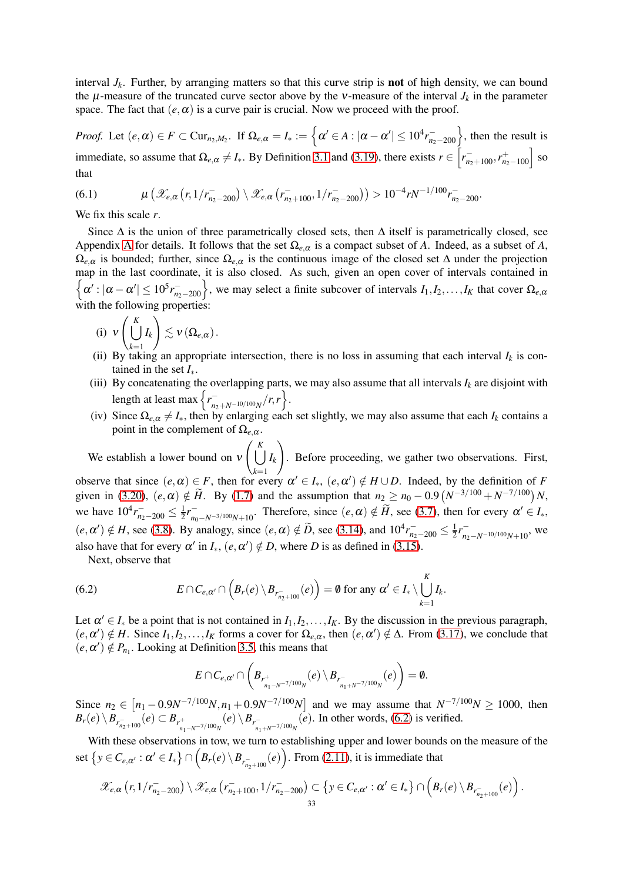interval  $J_k$ . Further, by arranging matters so that this curve strip is **not** of high density, we can bound the  $\mu$ -measure of the truncated curve sector above by the v-measure of the interval  $J_k$  in the parameter space. The fact that  $(e, \alpha)$  is a curve pair is crucial. Now we proceed with the proof.

*Proof.* Let  $(e, \alpha) \in F \subset \text{Cur}_{n_2, M_2}$ . If  $\Omega_{e, \alpha} = I_* := \left\{ \alpha' \in A : |\alpha - \alpha'| \le 10^4 r_{n_2 - 200}^- \right\}$ , then the result is immediate, so assume that  $\Omega_{e,\alpha} \neq I_*$ . By Definition [3.1](#page-15-1) and [\(3.19\)](#page-19-1), there exists  $r \in \left[ r_{n_2+100}^-, r_{n_2-100}^+ \right]$  so that

<span id="page-32-1"></span>(6.1) 
$$
\mu\left(\mathscr{X}_{e,\alpha}\left(r,1/r_{n_2-200}^-\right)\setminus\mathscr{X}_{e,\alpha}\left(r_{n_2+100}^-,1/r_{n_2-200}^-\right)\right)>10^{-4}rN^{-1/100}r_{n_2-200}^-.
$$

We fix this scale *r*.

Since  $\Delta$  is the union of three parametrically closed sets, then  $\Delta$  itself is parametrically closed, see Appendix [A](#page-35-0) for details. It follows that the set  $\Omega_{e,\alpha}$  is a compact subset of *A*. Indeed, as a subset of *A*,  $\Omega_{e,\alpha}$  is bounded; further, since  $\Omega_{e,\alpha}$  is the continuous image of the closed set  $\Delta$  under the projection map in the last coordinate, it is also closed. As such, given an open cover of intervals contained in  $\left\{\alpha': |\alpha - \alpha'| \le 10^5 r_{n_2-200}^-\right\}$ , we may select a finite subcover of intervals  $I_1, I_2, \ldots, I_K$  that cover  $\Omega_{e,\alpha}$ with the following properties:

(i) 
$$
v\left(\bigcup_{k=1}^K I_k\right) \lesssim v\left(\Omega_{e,\alpha}\right)
$$
.

- (ii) By taking an appropriate intersection, there is no loss in assuming that each interval  $I_k$  is contained in the set *I*∗.
- (iii) By concatenating the overlapping parts, we may also assume that all intervals  $I_k$  are disjoint with length at least max  $\left\{ r_{n_2+N^{-10/100}N}^{-}/r,r \right\}$ .
- (iv) Since  $\Omega_{e,\alpha} \neq I_*$ , then by enlarging each set slightly, we may also assume that each  $I_k$  contains a point in the complement of  $\Omega_{e,\alpha}$ .

We establish a lower bound on <sup>ν</sup>  $\sqrt{ }$ [ *K k*=1 *Ik* ! . Before proceeding, we gather two observations. First, observe that since  $(e, \alpha) \in F$ , then for every  $\alpha' \in I_*, (e, \alpha') \notin H \cup D$ . Indeed, by the definition of *F* given in [\(3.20\)](#page-19-2),  $(e, \alpha) \notin \tilde{H}$ . By [\(1.7\)](#page-3-4) and the assumption that  $n_2 \ge n_0 - 0.9(N^{-3/100} + N^{-7/100})N$ , we have  $10^4 r_{n_2-200}^2 \le \frac{1}{2} r_{n_0-N^{-3/100}N+10}^2$ . Therefore, since  $(e, \alpha) \notin \widetilde{H}$ , see [\(3.7\)](#page-17-3), then for every  $\alpha' \in I_*$ ,  $(e, \alpha') \notin H$ , see [\(3.8\)](#page-17-4). By analogy, since  $(e, \alpha) \notin \tilde{D}$ , see [\(3.14\)](#page-18-5), and  $10^4 r_{n_2-200}^{-1} \le \frac{1}{2} r_{n_2-N^{-10/100}N+10}^{-}$ , we also have that for every  $\alpha'$  in  $I_*, (e, \alpha') \notin D$ , where *D* is as defined in [\(3.15\)](#page-18-6).

Next, observe that

(6.2) 
$$
E \cap C_{e,\alpha'} \cap \left( B_r(e) \setminus B_{r_{n_2+100}^-}(e) \right) = \emptyset \text{ for any } \alpha' \in I_* \setminus \bigcup_{k=1}^K I_k.
$$

Let  $\alpha' \in I_*$  be a point that is not contained in  $I_1, I_2, \ldots, I_K$ . By the discussion in the previous paragraph,  $(e, \alpha') \notin H$ . Since  $I_1, I_2, \ldots, I_K$  forms a cover for  $\Omega_{e,\alpha}$ , then  $(e, \alpha') \notin \Delta$ . From [\(3.17\)](#page-19-3), we conclude that  $(e, \alpha') \notin P_{n_1}$ . Looking at Definition [3.5,](#page-16-1) this means that

<span id="page-32-0"></span>
$$
E\cap C_{e,\alpha'}\cap \bigg(B_{r_{n_1-N}^+\neg \gamma/100_N}(e)\,\backslash\, B_{r_{n_1+N}^-\neg \gamma/100_N}(e)\bigg)=\emptyset.
$$

Since  $n_2 \in [n_1 - 0.9N^{-7/100}N, n_1 + 0.9N^{-7/100}N]$  and we may assume that  $N^{-7/100}N \ge 1000$ , then  $B_r(e) \setminus B_{r_{n_2+100}^-}(e) \subset B_{r_{n_1-N}^+ - 7/100_N^-}(e) \setminus B_{r_{n_1+N}^- - 7/100_N^-}$ (*e*). In other words, [\(6.2\)](#page-32-0) is verified.

With these observations in tow, we turn to establishing upper and lower bounds on the measure of the set  $\{y \in C_{e,\alpha'} : \alpha' \in I_*\} \cap$  $(B_r(e) \setminus B_{r_{n_2+100}^-}(e)$ . From [\(2.11\)](#page-11-0), it is immediate that

$$
\mathscr{X}_{e,\alpha}\left(r,1/r_{n_2-200}^-\right)\setminus \mathscr{X}_{e,\alpha}\left(r_{n_2+100}^-,1/r_{n_2-200}^-\right)\subset \left\{y\in C_{e,\alpha'}:\alpha'\in I_*\right\}\cap \left(B_r(e)\setminus B_{r_{n_2+100}^-}(e)\right).
$$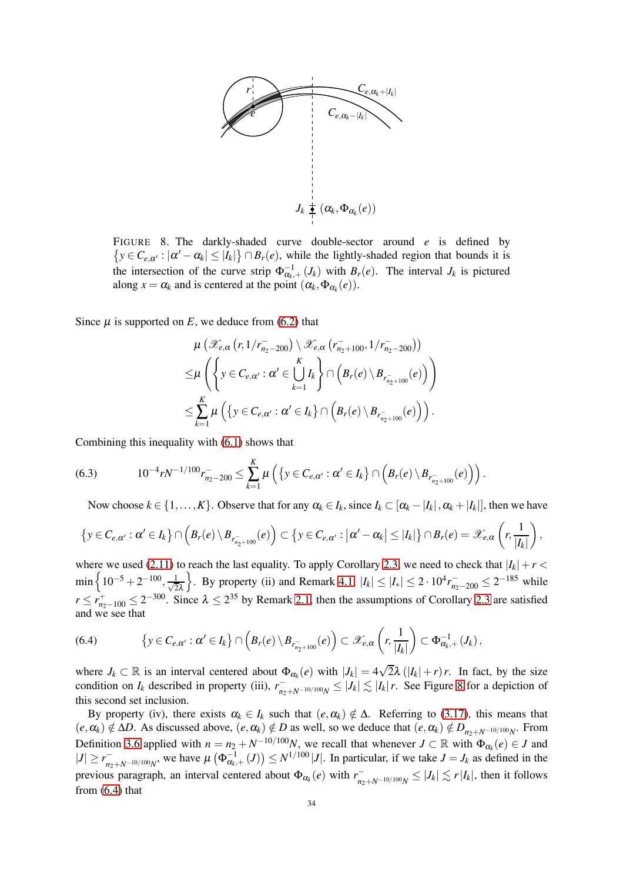

<span id="page-33-0"></span>FIGURE 8. The darkly-shaded curve double-sector around *e* is defined by  $\{y \in C_{e,\alpha'} : |\alpha'-\alpha_k| \leq |I_k|\} \cap B_r(e)$ , while the lightly-shaded region that bounds it is the intersection of the curve strip  $\Phi_{\alpha_k,+}^{-1}(J_k)$  with  $B_r(e)$ . The interval  $J_k$  is pictured along  $x = \alpha_k$  and is centered at the point  $(\alpha_k, \Phi_{\alpha_k}(e))$ .

Since  $\mu$  is supported on  $E$ , we deduce from [\(6.2\)](#page-32-0) that

$$
\mu\left(\mathscr{X}_{e,\alpha}\left(r,1/r_{n_2-200}^-\right)\setminus\mathscr{X}_{e,\alpha}\left(r_{n_2+100}^-,1/r_{n_2-200}^-\right)\right) \leq \mu\left(\left\{y \in C_{e,\alpha'}: \alpha' \in \bigcup_{k=1}^K I_k\right\} \cap \left(B_r(e) \setminus B_{r_{n_2+100}^-}(e)\right)\right) \leq \sum_{k=1}^K \mu\left(\left\{y \in C_{e,\alpha'}: \alpha' \in I_k\right\} \cap \left(B_r(e) \setminus B_{r_{n_2+100}^-}(e)\right)\right).
$$

Combining this inequality with [\(6.1\)](#page-32-1) shows that

<span id="page-33-2"></span>
$$
(6.3) \t10^{-4}rN^{-1/100}r_{n_2-200}^{-} \leq \sum_{k=1}^{K}\mu\left(\left\{y \in C_{e,\alpha'} : \alpha' \in I_k\right\} \cap \left(B_r(e) \setminus B_{r_{n_2+100}^{-}}(e)\right)\right).
$$

Now choose  $k \in \{1, ..., K\}$ . Observe that for any  $\alpha_k \in I_k$ , since  $I_k \subset [\alpha_k - |I_k|, \alpha_k + |I_k|]$ , then we have

$$
\left\{y\in C_{e,\alpha'}:\alpha'\in I_k\right\}\cap\left(B_r(e)\setminus B_{r_{n_2+100}^-}(e)\right)\subset\left\{y\in C_{e,\alpha'}:\left|\alpha'-\alpha_k\right|\leq\left|I_k\right|\right\}\cap B_r(e)=\mathscr{X}_{e,\alpha}\left(r,\dfrac{1}{\left|I_k\right|}\right),
$$

where we used [\(2.11\)](#page-11-0) to reach the last equality. To apply Corollary [2.3,](#page-14-0) we need to check that  $|I_k|+r <$  $\min\left\{10^{-5}+2^{-100},\frac{1}{\sqrt{2}}\right\}$ 2λ }. By property (ii) and Remark [4.1,](#page-21-2)  $|I_k|$  ≤  $|I_*|$  ≤  $2 \cdot 10^4 r_{n_2-200}^-$  ≤  $2^{-185}$  while  $r \leq r_{n_2-100}^+ \leq 2^{-300}$ . Since  $\lambda \leq 2^{35}$  by Remark [2.1,](#page-9-1) then the assumptions of Corollary [2.3](#page-14-0) are satisfied and we see that

<span id="page-33-1"></span>(6.4) 
$$
\{y \in C_{e,\alpha'} : \alpha' \in I_k\} \cap \left(B_r(e) \setminus B_{r_{n_2+100}^-}(e)\right) \subset \mathscr{X}_{e,\alpha}\left(r, \frac{1}{|I_k|}\right) \subset \Phi_{\alpha_k,+}^{-1}(J_k),
$$

where  $J_k \subset \mathbb{R}$  is an interval centered about  $\Phi_{\alpha_k}(e)$  with  $|J_k| = 4\sqrt{2\lambda} (|I_k| + r)r$ . In fact, by the size condition on  $I_k$  described in property (iii),  $r_{n_2+N^{-10/100}N}^{-1} \leq |J_k| \lesssim |I_k| r$ . See Figure [8](#page-33-0) for a depiction of this second set inclusion.

By property (iv), there exists  $\alpha_k \in I_k$  such that  $(e, \alpha_k) \notin \Delta$ . Referring to [\(3.17\)](#page-19-3), this means that  $(e, \alpha_k) \notin \Delta D$ . As discussed above,  $(e, \alpha_k) \notin D$  as well, so we deduce that  $(e, \alpha_k) \notin D_{n_2+N^{-10/100}N}$ . From Definition [3.6](#page-16-5) applied with  $n = n_2 + N^{-10/100}N$ , we recall that whenever  $J \subset \mathbb{R}$  with  $\Phi_{\alpha_k}(e) \in J$  and  $|J| \ge r_{n_2+N^{-10/100}N}^{-}$ , we have  $\mu\left(\Phi_{\alpha_k,+}^{-1}(J)\right) \le N^{1/100}|J|$ . In particular, if we take  $J = J_k$  as defined in the previous paragraph, an interval centered about  $\Phi_{\alpha_k}(e)$  with  $r_{n_2+N^{-10/100}N}^- \leq |J_k| \lesssim r|I_k|$ , then it follows from  $(6.4)$  that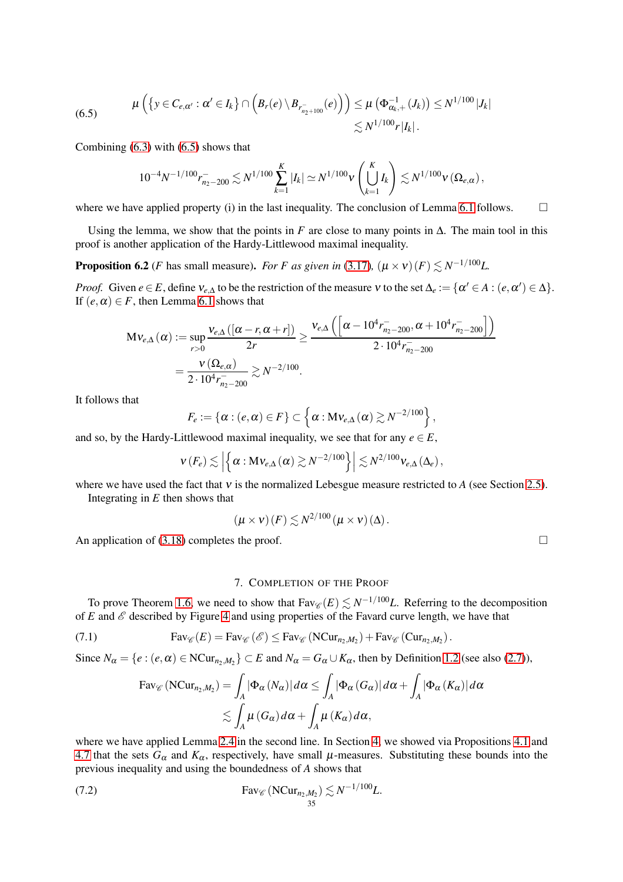(6.5) 
$$
\mu\left(\left\{y \in C_{e,\alpha'} : \alpha' \in I_k\right\} \cap \left(B_r(e) \setminus B_{r_{n_2+100}^{-}}(e)\right)\right) \leq \mu\left(\Phi_{\alpha_k,+}^{-1}(J_k)\right) \leq N^{1/100} |J_k| \leq N^{1/100} |J_k|.
$$

Combining  $(6.3)$  with  $(6.5)$  shows that

<span id="page-34-1"></span>
$$
10^{-4} N^{-1/100} r_{n_2-200}^- \lesssim N^{1/100} \sum_{k=1}^K |I_k| \simeq N^{1/100} \nu \left( \bigcup_{k=1}^K I_k \right) \lesssim N^{1/100} \nu \left( \Omega_{e,\alpha} \right),
$$

where we have applied property (i) in the last inequality. The conclusion of Lemma [6.1](#page-31-2) follows.  $\square$ 

Using the lemma, we show that the points in *F* are close to many points in  $\Delta$ . The main tool in this proof is another application of the Hardy-Littlewood maximal inequality.

<span id="page-34-2"></span>**Proposition 6.2** (*F* has small measure). *For F as given in* [\(3.17\)](#page-19-3)*,*  $(\mu \times \nu)(F) \lesssim N^{-1/100}L$ .

*Proof.* Given  $e \in E$ , define  $v_{e,\Delta}$  to be the restriction of the measure v to the set  $\Delta_e := \{ \alpha' \in A : (e, \alpha') \in \Delta \}.$ If  $(e, \alpha) \in F$ , then Lemma [6.1](#page-31-2) shows that

$$
\begin{split} \mathbf{M} \mathbf{\mathit{v}}_{e,\Delta}\left(\alpha\right) &:= \sup_{r>0} \frac{\mathbf{\mathit{v}}_{e,\Delta}\left(\left[\alpha-r,\alpha+r\right]\right)}{2r} \geq \frac{\mathbf{\mathit{v}}_{e,\Delta}\left(\left[\alpha-10^{4}r_{n_{2}-200}^{-},\alpha+10^{4}r_{n_{2}-200}^{-}\right]\right)}{2 \cdot 10^{4}r_{n_{2}-200}^{-}} \\ & = \frac{\mathbf{\mathit{v}}\left(\Omega_{e,\alpha}\right)}{2 \cdot 10^{4}r_{n_{2}-200}^{-}} \gtrsim N^{-2/100}. \end{split}
$$

It follows that

$$
F_e := \{ \alpha : (e, \alpha) \in F \} \subset \left\{ \alpha : \mathbf{M}\mathsf{v}_{e,\Delta}\left(\alpha\right) \gtrsim N^{-2/100} \right\},\
$$

and so, by the Hardy-Littlewood maximal inequality, we see that for any  $e \in E$ ,

$$
v(F_e) \lesssim \left| \left\{ \alpha : \mathbf{M} v_{e,\Delta} \left( \alpha \right) \gtrsim N^{-2/100} \right\} \right| \lesssim N^{2/100} v_{e,\Delta} \left( \Delta_e \right),
$$

where we have used the fact that <sup>ν</sup> is the normalized Lebesgue measure restricted to *A* (see Section [2.5\)](#page-14-4). Integrating in *E* then shows that

$$
(\mu \times \nu)(F) \lesssim N^{2/100} (\mu \times \nu)(\Delta).
$$

<span id="page-34-0"></span>An application of [\(3.18\)](#page-19-4) completes the proof.  $\Box$ 

7. COMPLETION OF THE PROOF

To prove Theorem [1.6,](#page-3-0) we need to show that  $\text{Fav}_{\mathscr{C}}(E) \lesssim N^{-1/100}L$ . Referring to the decomposition of  $E$  and  $\mathscr E$  described by Figure [4](#page-19-0) and using properties of the Favard curve length, we have that

<span id="page-34-4"></span>(7.1) 
$$
Fav_{\mathscr{C}}(E) = Fav_{\mathscr{C}}(\mathscr{E}) \leq Fav_{\mathscr{C}}(NCur_{n_2,M_2}) + Fav_{\mathscr{C}}(Cur_{n_2,M_2}).
$$

Since  $N_{\alpha} = \{e : (e, \alpha) \in \text{NCur}_{n_2, M_2}\} \subset E$  and  $N_{\alpha} = G_{\alpha} \cup K_{\alpha}$ , then by Definition [1.2](#page-2-0) (see also [\(2.7\)](#page-10-3)),

<span id="page-34-3"></span>
$$
\text{Fav}_{\mathscr{C}}\left(\text{NCur}_{n_2,M_2}\right) = \int_A |\Phi_{\alpha}\left(N_{\alpha}\right)| d\alpha \le \int_A |\Phi_{\alpha}\left(G_{\alpha}\right)| d\alpha + \int_A |\Phi_{\alpha}\left(K_{\alpha}\right)| d\alpha
$$
  
\$\lesssim \int\_A \mu\left(G\_{\alpha}\right) d\alpha + \int\_A \mu\left(K\_{\alpha}\right) d\alpha\$,

where we have applied Lemma [2.4](#page-14-1) in the second line. In Section [4,](#page-20-0) we showed via Propositions [4.1](#page-20-2) and [4.7](#page-28-2) that the sets  $G_{\alpha}$  and  $K_{\alpha}$ , respectively, have small  $\mu$ -measures. Substituting these bounds into the previous inequality and using the boundedness of *A* shows that

(7.2) 
$$
\operatorname{Fav}_{\mathscr{C}}(\mathrm{NCur}_{n_2,M_2}) \lesssim N^{-1/100}L.
$$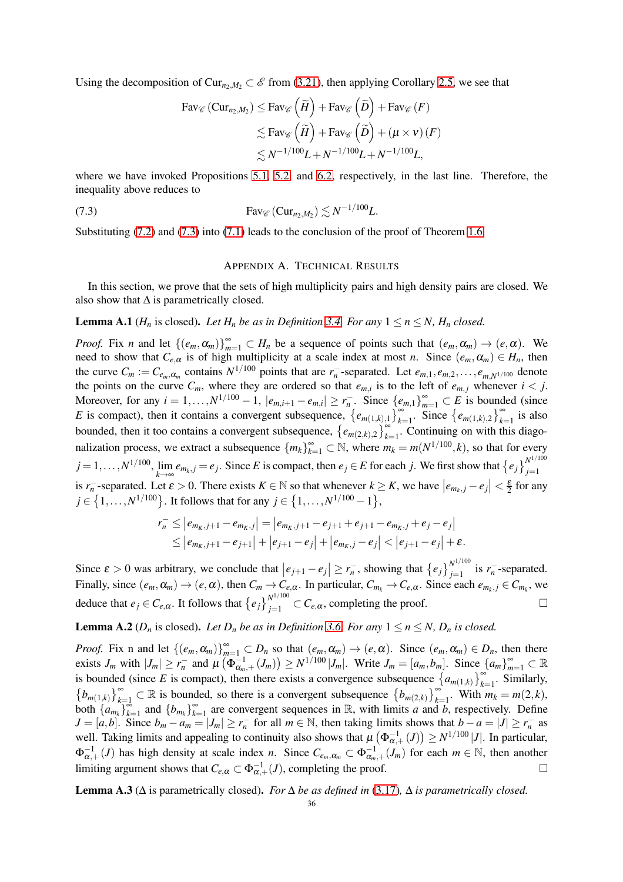Using the decomposition of Cur<sub>n</sub>,  $M_2 \subset \mathscr{E}$  from [\(3.21\)](#page-19-5), then applying Corollary [2.5,](#page-14-2) we see that

$$
\begin{aligned} \text{Fav}_{\mathscr{C}}\left(\text{Cur}_{n_2,M_2}\right) &\leq \text{Fav}_{\mathscr{C}}\left(\widetilde{H}\right) + \text{Fav}_{\mathscr{C}}\left(\widetilde{D}\right) + \text{Fav}_{\mathscr{C}}\left(F\right) \\ &\leq \text{Fav}_{\mathscr{C}}\left(\widetilde{H}\right) + \text{Fav}_{\mathscr{C}}\left(\widetilde{D}\right) + \left(\mu \times \nu\right)\left(F\right) \\ &\leq N^{-1/100}L + N^{-1/100}L + N^{-1/100}L, \end{aligned}
$$

where we have invoked Propositions [5.1,](#page-29-3) [5.2,](#page-30-2) and [6.2,](#page-34-2) respectively, in the last line. Therefore, the inequality above reduces to

$$
\text{Fav}_{\mathscr{C}}\left(\text{Cur}_{n_2,M_2}\right) \lesssim N^{-1/100}L.
$$

<span id="page-35-0"></span>Substituting [\(7.2\)](#page-34-3) and [\(7.3\)](#page-35-1) into [\(7.1\)](#page-34-4) leads to the conclusion of the proof of Theorem [1.6.](#page-3-0)

#### <span id="page-35-1"></span>APPENDIX A. TECHNICAL RESULTS

In this section, we prove that the sets of high multiplicity pairs and high density pairs are closed. We also show that  $\Delta$  is parametrically closed.

<span id="page-35-2"></span>**Lemma A.1** ( $H_n$  is closed). Let  $H_n$  be as in Definition [3.4.](#page-16-0) For any  $1 \le n \le N$ ,  $H_n$  closed.

*Proof.* Fix *n* and let  $\{(e_m, \alpha_m)\}_{m=1}^{\infty} \subset H_n$  be a sequence of points such that  $(e_m, \alpha_m) \to (e, \alpha)$ . We need to show that  $C_{e,\alpha}$  is of high multiplicity at a scale index at most *n*. Since  $(e_m, \alpha_m) \in H_n$ , then the curve  $C_m := C_{e_m, \alpha_m}$  contains  $N^{1/100}$  points that are  $r_n^-$ -separated. Let  $e_{m,1}, e_{m,2}, \ldots, e_{m,N^{1/100}}$  denote the points on the curve  $C_m$ , where they are ordered so that  $e_{m,i}$  is to the left of  $e_{m,j}$  whenever  $i < j$ . Moreover, for any  $i = 1,..., N^{1/100} - 1$ ,  $|e_{m,i+1} - e_{m,i}| \ge r_n^-$ . Since  $\{e_{m,1}\}_{m=1}^{\infty} \subset E$  is bounded (since *E* is compact), then it contains a convergent subsequence,  $\{e_{m(1,k),1}\}_{k=1}^{\infty}$ . Since  $\{e_{m(1,k),2}\}_{k=1}^{\infty}$  is also bounded, then it too contains a convergent subsequence,  $\{e_{m(2,k),2}\}_{k=1}^{\infty}$ . Continuing on with this diagonalization process, we extract a subsequence  ${m_k}_{k=1}^{\infty} \subset \mathbb{N}$ , where  $m_k = m(N^{1/100}, k)$ , so that for every  $j = 1, \ldots, N^{1/100}$ , lim *k*→∞  $e_{m_k,j} = e_j$ . Since *E* is compact, then  $e_j \in E$  for each *j*. We first show that  $\{e_j\}_{j=1}^{N^{1/100}}$ *j*=1 is  $r_n^-$ -separated. Let  $\varepsilon > 0$ . There exists  $K \in \mathbb{N}$  so that whenever  $k \geq K$ , we have  $|e_{m_k,j} - e_j| < \frac{\varepsilon}{2}$  for any *j* ∈ {1,...,*N*<sup>1/100</sup>}. It follows that for any *j* ∈ {1,...,*N*<sup>1/100</sup> − 1},

$$
r_n^- \le |e_{m_K,j+1} - e_{m_K,j}| = |e_{m_K,j+1} - e_{j+1} + e_{j+1} - e_{m_K,j} + e_j - e_j|
$$
  
\n
$$
\le |e_{m_K,j+1} - e_{j+1}| + |e_{j+1} - e_j| + |e_{m_K,j} - e_j| < |e_{j+1} - e_j| + \varepsilon.
$$

Since  $\varepsilon > 0$  was arbitrary, we conclude that  $|e_{j+1} - e_j| \ge r_n^-$ , showing that  $\{e_j\}_{j=1}^{N^{1/100}}$  $\sum_{j=1}^{\infty}$  is  $r_n^-$ -separated. Finally, since  $(e_m, \alpha_m) \to (e, \alpha)$ , then  $C_m \to C_{e,\alpha}$ . In particular,  $C_{m_k} \to C_{e,\alpha}$ . Since each  $e_{m_k, j} \in C_{m_k}$ , we deduce that  $e_j \in C_{e,\alpha}$ . It follows that  $\{e_j\}_{j=1}^{N^{1/100}}$  $\bigcup_{j=1}^{N} \subset C_{e,\alpha}$ , completing the proof.

<span id="page-35-3"></span>**Lemma A.2** ( $D_n$  is closed). Let  $D_n$  be as in Definition [3.6.](#page-16-5) For any  $1 \le n \le N$ ,  $D_n$  is closed.

*Proof.* Fix n and let  $\{(e_m, \alpha_m)\}_{m=1}^{\infty} \subset D_n$  so that  $(e_m, \alpha_m) \to (e, \alpha)$ . Since  $(e_m, \alpha_m) \in D_n$ , then there exists  $J_m$  with  $|J_m| \ge r_n^-$  and  $\mu(\Phi_{\alpha_m,+}^{-1}(J_m)) \ge N^{1/100}|J_m|$ . Write  $J_m = [a_m, b_m]$ . Since  $\{a_m\}_{m=1}^{\infty} \subset \mathbb{R}$ is bounded (since *E* is compact), then there exists a convergence subsequence  $\{a_{m(1,k)}\}_{k=1}^{\infty}$ . Similarly,  $\{b_{m(1,k)}\}_{k=1}^{\infty} \subset \mathbb{R}$  is bounded, so there is a convergent subsequence  $\{b_{m(2,k)}\}_{k=1}^{\infty}$ . With  $m_k = m(2,k)$ , both  $\left\{a_{m_k}\right\}_{k=1}^{\infty}$  $\sum_{k=1}^{\infty}$  and  $\{b_{m_k}\}_{k=1}^{\infty}$  $\sum_{k=1}^{\infty}$  are convergent sequences in R, with limits *a* and *b*, respectively. Define  $J = [a,b]$ . Since  $b_m - a_m = |J_m| \ge r_n$  for all  $m \in \mathbb{N}$ , then taking limits shows that  $b - a = |J| \ge r_n$  as well. Taking limits and appealing to continuity also shows that  $\mu(\Phi_{\alpha,+}^{-1}(J)) \ge N^{1/100}|J|$ . In particular,  $\Phi_{\alpha,+}^{-1}(J)$  has high density at scale index *n*. Since  $C_{e_m,\alpha_m} \subset \Phi_{\alpha_m,+}^{-1}(J_m)$  for each  $m \in \mathbb{N}$ , then another limiting argument shows that  $C_{e,\alpha} \subset \Phi_{\alpha,+}^{-1}(J)$ , completing the proof.

**Lemma A.3** ( $\Delta$  is parametrically closed). *For*  $\Delta$  *be as defined in* [\(3.17\)](#page-19-3)*,*  $\Delta$  *is parametrically closed.*